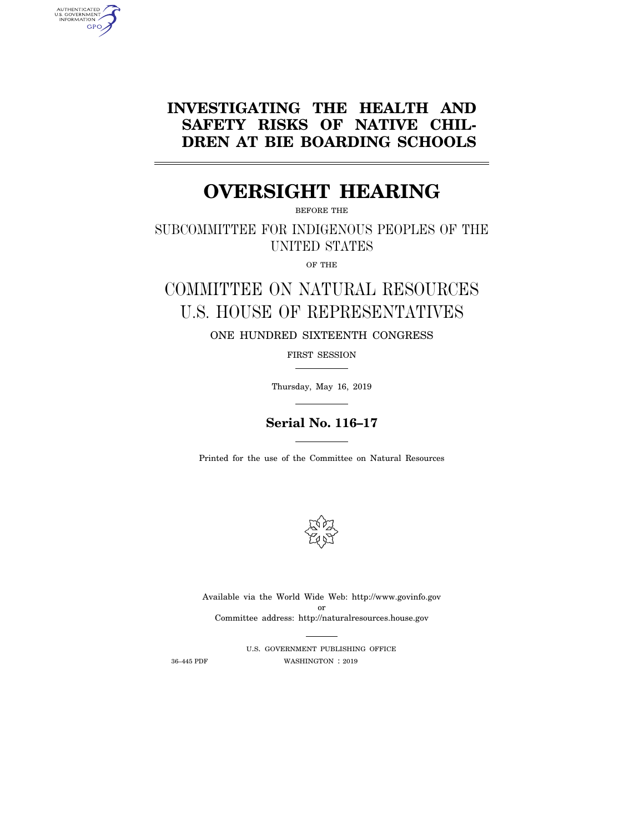# **INVESTIGATING THE HEALTH AND SAFETY RISKS OF NATIVE CHIL-DREN AT BIE BOARDING SCHOOLS**

# **OVERSIGHT HEARING**

BEFORE THE

SUBCOMMITTEE FOR INDIGENOUS PEOPLES OF THE UNITED STATES

OF THE

# COMMITTEE ON NATURAL RESOURCES U.S. HOUSE OF REPRESENTATIVES

ONE HUNDRED SIXTEENTH CONGRESS

FIRST SESSION

Thursday, May 16, 2019

# **Serial No. 116–17**

Printed for the use of the Committee on Natural Resources



Available via the World Wide Web: http://www.govinfo.gov or Committee address: http://naturalresources.house.gov

U.S. GOVERNMENT PUBLISHING OFFICE 36–445 PDF WASHINGTON : 2019

AUTHENTICATED<br>U.S. GOVERNMENT<br>INFORMATION GPO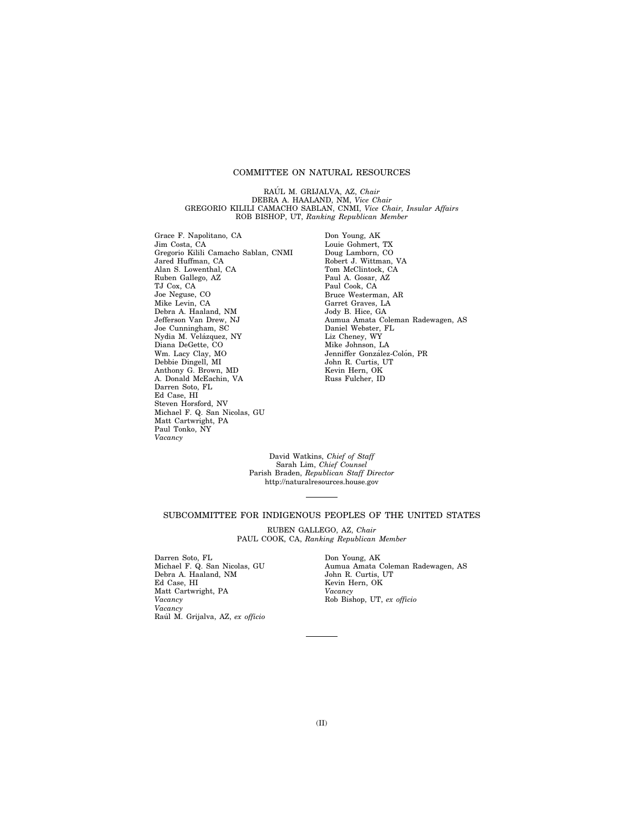# COMMITTEE ON NATURAL RESOURCES

RAÚL M. GRIJALVA, AZ, *Chair* DEBRA A. HAALAND, NM, *Vice Chair*  GREGORIO KILILI CAMACHO SABLAN, CNMI, *Vice Chair, Insular Affairs*  ROB BISHOP, UT, *Ranking Republican Member* 

Grace F. Napolitano, CA Jim Costa, CA Gregorio Kilili Camacho Sablan, CNMI Jared Huffman, CA Alan S. Lowenthal, CA Ruben Gallego, AZ TJ Cox, CA Joe Neguse, CO Mike Levin, CA Debra A. Haaland, NM Jefferson Van Drew, NJ Joe Cunningham, SC Nydia M. Velázquez, NY Diana DeGette, CO Wm. Lacy Clay, MO Debbie Dingell, MI Anthony G. Brown, MD A. Donald McEachin, VA Darren Soto, FL Ed Case, HI Steven Horsford, NV Michael F. Q. San Nicolas, GU Matt Cartwright, PA Paul Tonko, NY *Vacancy* 

Don Young, AK Louie Gohmert, TX Doug Lamborn, CO Robert J. Wittman, VA Tom McClintock, CA Paul A. Gosar, AZ Paul Cook, CA Bruce Westerman, AR Garret Graves, LA Jody B. Hice, GA Aumua Amata Coleman Radewagen, AS Daniel Webster, FL Liz Cheney, WY Mike Johnson, LA Jenniffer González-Colón, PR John R. Curtis, UT Kevin Hern, OK Russ Fulcher, ID

David Watkins, *Chief of Staff*  Sarah Lim, *Chief Counsel*  Parish Braden, *Republican Staff Director*  http://naturalresources.house.gov

## SUBCOMMITTEE FOR INDIGENOUS PEOPLES OF THE UNITED STATES

RUBEN GALLEGO, AZ, *Chair*  PAUL COOK, CA, *Ranking Republican Member* 

Darren Soto, FL Michael F. Q. San Nicolas, GU Debra A. Haaland, NM Ed Case, HI Matt Cartwright, PA *Vacancy Vacancy*  Rau´l M. Grijalva, AZ, *ex officio* 

Don Young, AK Aumua Amata Coleman Radewagen, AS John R. Curtis, UT Kevin Hern, OK *Vacancy*  Rob Bishop, UT, *ex officio*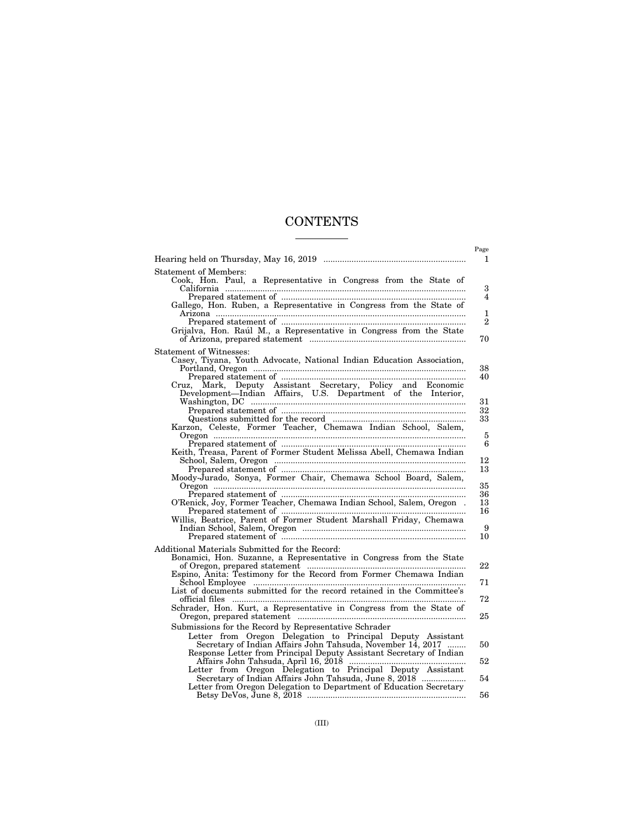# **CONTENTS**

|                                                                                                                                                                                                                                                                                                                                                                                                                                                                                                                                                                         | Page<br>1                                        |
|-------------------------------------------------------------------------------------------------------------------------------------------------------------------------------------------------------------------------------------------------------------------------------------------------------------------------------------------------------------------------------------------------------------------------------------------------------------------------------------------------------------------------------------------------------------------------|--------------------------------------------------|
| <b>Statement of Members:</b><br>Cook, Hon. Paul, a Representative in Congress from the State of<br>Gallego, Hon. Ruben, a Representative in Congress from the State of<br>Grijalva, Hon. Raúl M., a Representative in Congress from the State                                                                                                                                                                                                                                                                                                                           | 3<br>$\overline{4}$<br>1<br>$\overline{2}$<br>70 |
| Statement of Witnesses:<br>Casey, Tiyana, Youth Advocate, National Indian Education Association,<br>ruz, Mark, Deputy Assistant Secretary, Policy and Economic Development—Indian Affairs, U.S. Department of the Interior,<br>Cruz.<br>Karzon, Celeste, Former Teacher, Chemawa Indian School, Salem,                                                                                                                                                                                                                                                                  | 38<br>40<br>31<br>32<br>33<br>5                  |
| Keith, Treasa, Parent of Former Student Melissa Abell, Chemawa Indian<br>Moody-Jurado, Sonya, Former Chair, Chemawa School Board, Salem,<br>O'Renick, Joy, Former Teacher, Chemawa Indian School, Salem, Oregon.<br>Willis, Beatrice, Parent of Former Student Marshall Friday, Chemawa                                                                                                                                                                                                                                                                                 | 6<br>12<br>13<br>35<br>36<br>13<br>16<br>9<br>10 |
| Additional Materials Submitted for the Record:<br>Bonamici, Hon. Suzanne, a Representative in Congress from the State<br>${\small \begin{tabular}{l} \bf \textit{of Oregon, prepared statement} & \textit{\textit{}}\\ \bf \textit{Espino, Antia: Testimony for the Record from Former Chemawa Indian School Employee} & \textit{\textit{}}\\ \end{tabular}}$<br>List of documents submitted for the record retained in the Committee's<br>Schrader, Hon. Kurt, a Representative in Congress from the State of<br>Submissions for the Record by Representative Schrader | 22<br>71<br>72<br>25                             |
| Letter from Oregon Delegation to Principal Deputy Assistant<br>Secretary of Indian Affairs John Tahsuda, November 14, 2017<br>Response Letter from Principal Deputy Assistant Secretary of Indian<br>Letter from Oregon Delegation to Principal Deputy Assistant<br>Secretary of Indian Affairs John Tahsuda, June 8, 2018<br>Letter from Oregon Delegation to Department of Education Secretary                                                                                                                                                                        | 50<br>52<br>54<br>56                             |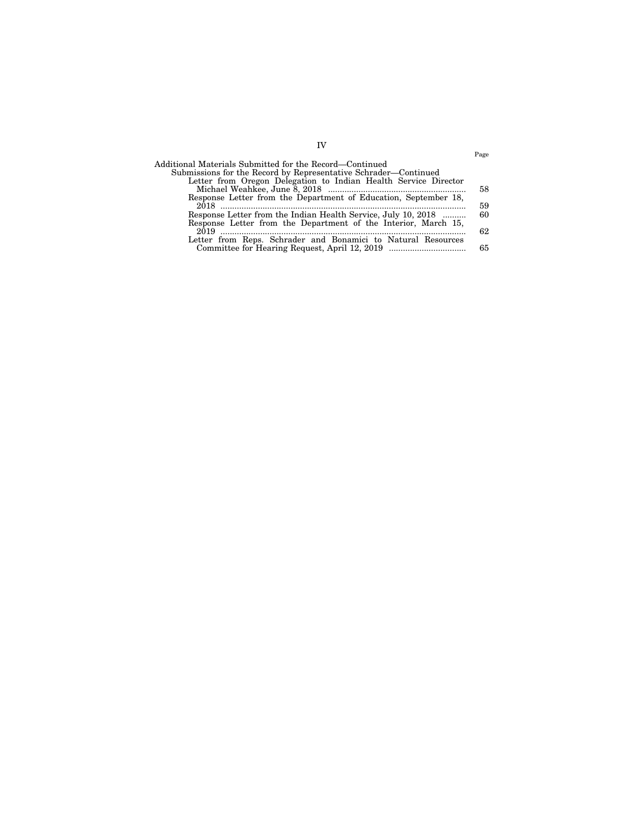|                                                                 | Page |
|-----------------------------------------------------------------|------|
| Additional Materials Submitted for the Record—Continued         |      |
| Submissions for the Record by Representative Schrader—Continued |      |
| Letter from Oregon Delegation to Indian Health Service Director |      |
|                                                                 | 58   |
| Response Letter from the Department of Education, September 18, |      |
|                                                                 | 59   |
| Response Letter from the Indian Health Service, July 10, 2018   | 60   |
| Response Letter from the Department of the Interior, March 15,  |      |
| 2019                                                            | 62   |
| Letter from Reps. Schrader and Bonamici to Natural Resources    |      |
| Committee for Hearing Request, April 12, 2019                   | 65   |
|                                                                 |      |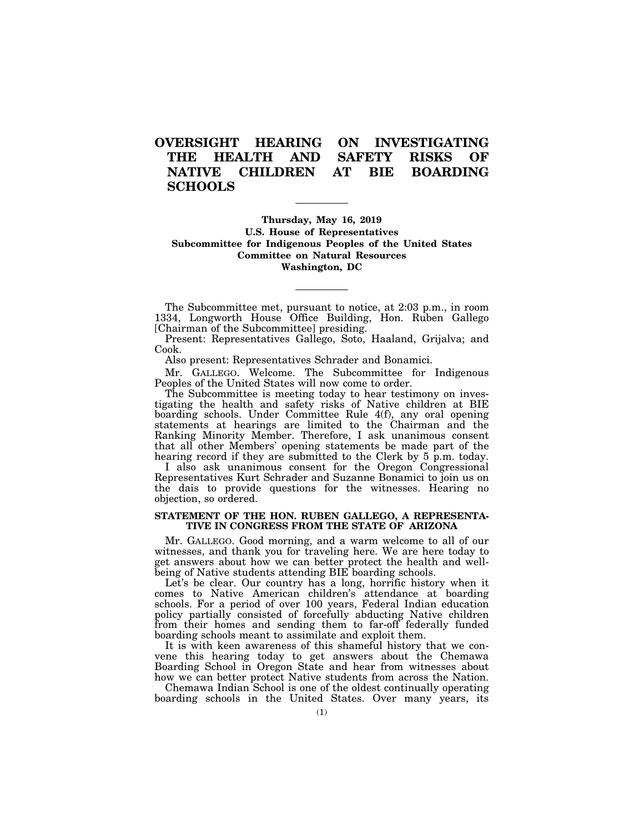# **OVERSIGHT HEARING ON INVESTIGATING THE HEALTH AND SAFETY RISKS OF NATIVE CHILDREN AT BIE BOARDING SCHOOLS**

# **Thursday, May 16, 2019 U.S. House of Representatives Subcommittee for Indigenous Peoples of the United States Committee on Natural Resources Washington, DC**

The Subcommittee met, pursuant to notice, at 2:03 p.m., in room 1334, Longworth House Office Building, Hon. Ruben Gallego [Chairman of the Subcommittee] presiding.

Present: Representatives Gallego, Soto, Haaland, Grijalva; and Cook.

Also present: Representatives Schrader and Bonamici.

Mr. GALLEGO. Welcome. The Subcommittee for Indigenous Peoples of the United States will now come to order.

The Subcommittee is meeting today to hear testimony on investigating the health and safety risks of Native children at BIE boarding schools. Under Committee Rule 4(f), any oral opening statements at hearings are limited to the Chairman and the Ranking Minority Member. Therefore, I ask unanimous consent that all other Members' opening statements be made part of the hearing record if they are submitted to the Clerk by 5 p.m. today.

I also ask unanimous consent for the Oregon Congressional Representatives Kurt Schrader and Suzanne Bonamici to join us on the dais to provide questions for the witnesses. Hearing no objection, so ordered.

# **STATEMENT OF THE HON. RUBEN GALLEGO, A REPRESENTA-TIVE IN CONGRESS FROM THE STATE OF ARIZONA**

Mr. GALLEGO. Good morning, and a warm welcome to all of our witnesses, and thank you for traveling here. We are here today to get answers about how we can better protect the health and wellbeing of Native students attending BIE boarding schools.

Let's be clear. Our country has a long, horrific history when it comes to Native American children's attendance at boarding schools. For a period of over 100 years, Federal Indian education policy partially consisted of forcefully abducting Native children from their homes and sending them to far-off federally funded boarding schools meant to assimilate and exploit them.

It is with keen awareness of this shameful history that we convene this hearing today to get answers about the Chemawa Boarding School in Oregon State and hear from witnesses about how we can better protect Native students from across the Nation.

Chemawa Indian School is one of the oldest continually operating boarding schools in the United States. Over many years, its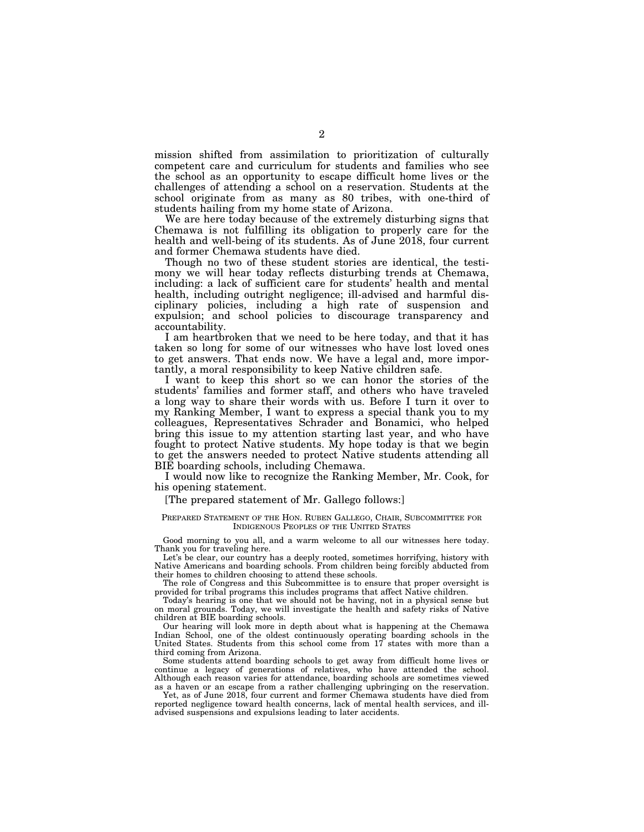mission shifted from assimilation to prioritization of culturally competent care and curriculum for students and families who see the school as an opportunity to escape difficult home lives or the challenges of attending a school on a reservation. Students at the school originate from as many as 80 tribes, with one-third of students hailing from my home state of Arizona.

We are here today because of the extremely disturbing signs that Chemawa is not fulfilling its obligation to properly care for the health and well-being of its students. As of June 2018, four current and former Chemawa students have died.

Though no two of these student stories are identical, the testimony we will hear today reflects disturbing trends at Chemawa, including: a lack of sufficient care for students' health and mental health, including outright negligence; ill-advised and harmful disciplinary policies, including a high rate of suspension and expulsion; and school policies to discourage transparency and accountability.

I am heartbroken that we need to be here today, and that it has taken so long for some of our witnesses who have lost loved ones to get answers. That ends now. We have a legal and, more importantly, a moral responsibility to keep Native children safe.

I want to keep this short so we can honor the stories of the students' families and former staff, and others who have traveled a long way to share their words with us. Before I turn it over to my Ranking Member, I want to express a special thank you to my colleagues, Representatives Schrader and Bonamici, who helped bring this issue to my attention starting last year, and who have fought to protect Native students. My hope today is that we begin to get the answers needed to protect Native students attending all BIE boarding schools, including Chemawa.

I would now like to recognize the Ranking Member, Mr. Cook, for his opening statement.

## [The prepared statement of Mr. Gallego follows:]

#### PREPARED STATEMENT OF THE HON. RUBEN GALLEGO, CHAIR, SUBCOMMITTEE FOR INDIGENOUS PEOPLES OF THE UNITED STATES

Good morning to you all, and a warm welcome to all our witnesses here today. Thank you for traveling here.

Let's be clear, our country has a deeply rooted, sometimes horrifying, history with Native Americans and boarding schools. From children being forcibly abducted from their homes to children choosing to attend these schools.

The role of Congress and this Subcommittee is to ensure that proper oversight is provided for tribal programs this includes programs that affect Native children.

Today's hearing is one that we should not be having, not in a physical sense but on moral grounds. Today, we will investigate the health and safety risks of Native children at BIE boarding schools.

Our hearing will look more in depth about what is happening at the Chemawa Indian School, one of the oldest continuously operating boarding schools in the United States. Students from this school come from 17 states with more than a third coming from Arizona.

Some students attend boarding schools to get away from difficult home lives or continue a legacy of generations of relatives, who have attended the school. Although each reason varies for attendance, boarding schools are sometimes viewed as a haven or an escape from a rather challenging upbringing on the reservation.

Yet, as of June 2018, four current and former Chemawa students have died from reported negligence toward health concerns, lack of mental health services, and illadvised suspensions and expulsions leading to later accidents.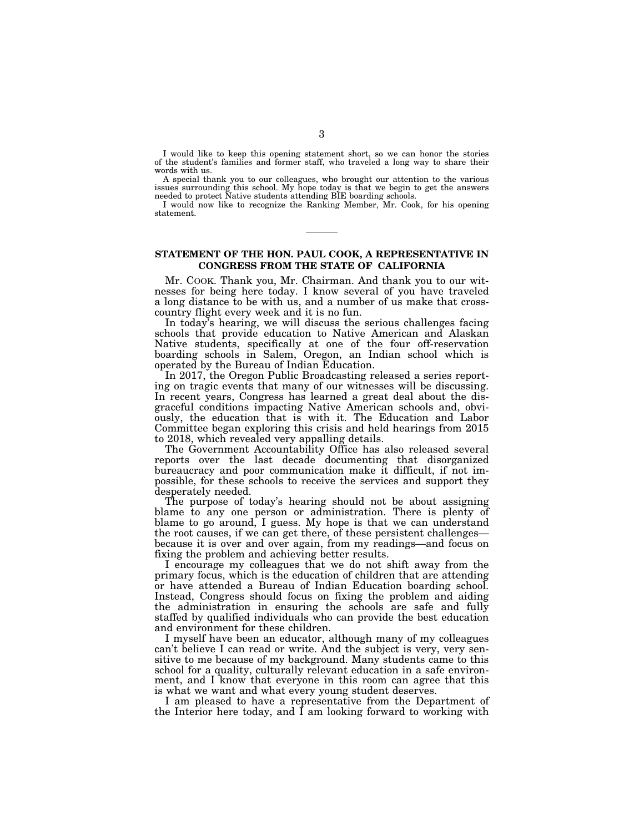I would like to keep this opening statement short, so we can honor the stories of the student's families and former staff, who traveled a long way to share their words with us.

A special thank you to our colleagues, who brought our attention to the various issues surrounding this school. My hope today is that we begin to get the answers needed to protect Native students attending BIE boarding schools.

I would now like to recognize the Ranking Member, Mr. Cook, for his opening statement.

# **STATEMENT OF THE HON. PAUL COOK, A REPRESENTATIVE IN CONGRESS FROM THE STATE OF CALIFORNIA**

Mr. COOK. Thank you, Mr. Chairman. And thank you to our witnesses for being here today. I know several of you have traveled a long distance to be with us, and a number of us make that crosscountry flight every week and it is no fun.

In today's hearing, we will discuss the serious challenges facing schools that provide education to Native American and Alaskan Native students, specifically at one of the four off-reservation boarding schools in Salem, Oregon, an Indian school which is operated by the Bureau of Indian Education.

In 2017, the Oregon Public Broadcasting released a series reporting on tragic events that many of our witnesses will be discussing. In recent years, Congress has learned a great deal about the disgraceful conditions impacting Native American schools and, obviously, the education that is with it. The Education and Labor Committee began exploring this crisis and held hearings from 2015 to 2018, which revealed very appalling details.

The Government Accountability Office has also released several reports over the last decade documenting that disorganized bureaucracy and poor communication make it difficult, if not impossible, for these schools to receive the services and support they desperately needed.

The purpose of today's hearing should not be about assigning blame to any one person or administration. There is plenty of blame to go around, I guess. My hope is that we can understand the root causes, if we can get there, of these persistent challenges because it is over and over again, from my readings—and focus on fixing the problem and achieving better results.

I encourage my colleagues that we do not shift away from the primary focus, which is the education of children that are attending or have attended a Bureau of Indian Education boarding school. Instead, Congress should focus on fixing the problem and aiding the administration in ensuring the schools are safe and fully staffed by qualified individuals who can provide the best education and environment for these children.

I myself have been an educator, although many of my colleagues can't believe I can read or write. And the subject is very, very sensitive to me because of my background. Many students came to this school for a quality, culturally relevant education in a safe environment, and I know that everyone in this room can agree that this is what we want and what every young student deserves.

I am pleased to have a representative from the Department of the Interior here today, and I am looking forward to working with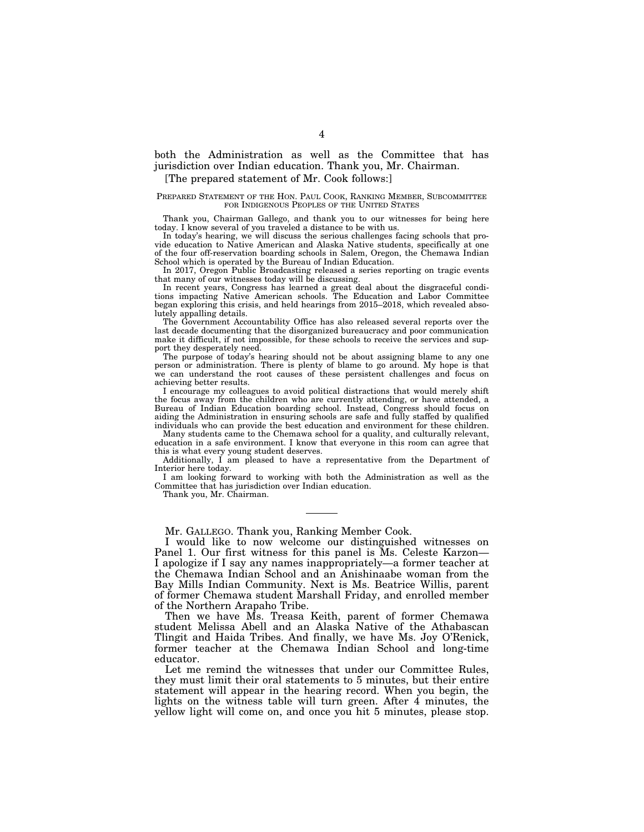both the Administration as well as the Committee that has jurisdiction over Indian education. Thank you, Mr. Chairman. [The prepared statement of Mr. Cook follows:]

# PREPARED STATEMENT OF THE HON. PAUL COOK, RANKING MEMBER, SUBCOMMITTEE

FOR INDIGENOUS PEOPLES OF THE UNITED STATES Thank you, Chairman Gallego, and thank you to our witnesses for being here today. I know several of you traveled a distance to be with us.

In today's hearing, we will discuss the serious challenges facing schools that provide education to Native American and Alaska Native students, specifically at one of the four off-reservation boarding schools in Salem, Oregon, the Chemawa Indian School which is operated by the Bureau of Indian Education.

In 2017, Oregon Public Broadcasting released a series reporting on tragic events that many of our witnesses today will be discussing.

In recent years, Congress has learned a great deal about the disgraceful conditions impacting Native American schools. The Education and Labor Committee began exploring this crisis, and held hearings from 2015–2018, which revealed absolutely appalling details.

The Government Accountability Office has also released several reports over the last decade documenting that the disorganized bureaucracy and poor communication make it difficult, if not impossible, for these schools to receive the services and support they desperately need.

The purpose of today's hearing should not be about assigning blame to any one person or administration. There is plenty of blame to go around. My hope is that we can understand the root causes of these persistent challenges and focus on achieving better results.

I encourage my colleagues to avoid political distractions that would merely shift the focus away from the children who are currently attending, or have attended, a Bureau of Indian Education boarding school. Instead, Congress should focus on aiding the Administration in ensuring schools are safe and fully staffed by qualified individuals who can provide the best education and environment for these children.

Many students came to the Chemawa school for a quality, and culturally relevant, education in a safe environment. I know that everyone in this room can agree that this is what every young student deserves.

Additionally, I am pleased to have a representative from the Department of Interior here today.

I am looking forward to working with both the Administration as well as the Committee that has jurisdiction over Indian education.

Thank you, Mr. Chairman.

Mr. GALLEGO. Thank you, Ranking Member Cook.

I would like to now welcome our distinguished witnesses on Panel 1. Our first witness for this panel is Ms. Celeste Karzon— I apologize if I say any names inappropriately—a former teacher at the Chemawa Indian School and an Anishinaabe woman from the Bay Mills Indian Community. Next is Ms. Beatrice Willis, parent of former Chemawa student Marshall Friday, and enrolled member of the Northern Arapaho Tribe.

Then we have Ms. Treasa Keith, parent of former Chemawa student Melissa Abell and an Alaska Native of the Athabascan Tlingit and Haida Tribes. And finally, we have Ms. Joy O'Renick, former teacher at the Chemawa Indian School and long-time educator.

Let me remind the witnesses that under our Committee Rules, they must limit their oral statements to 5 minutes, but their entire statement will appear in the hearing record. When you begin, the lights on the witness table will turn green. After 4 minutes, the yellow light will come on, and once you hit 5 minutes, please stop.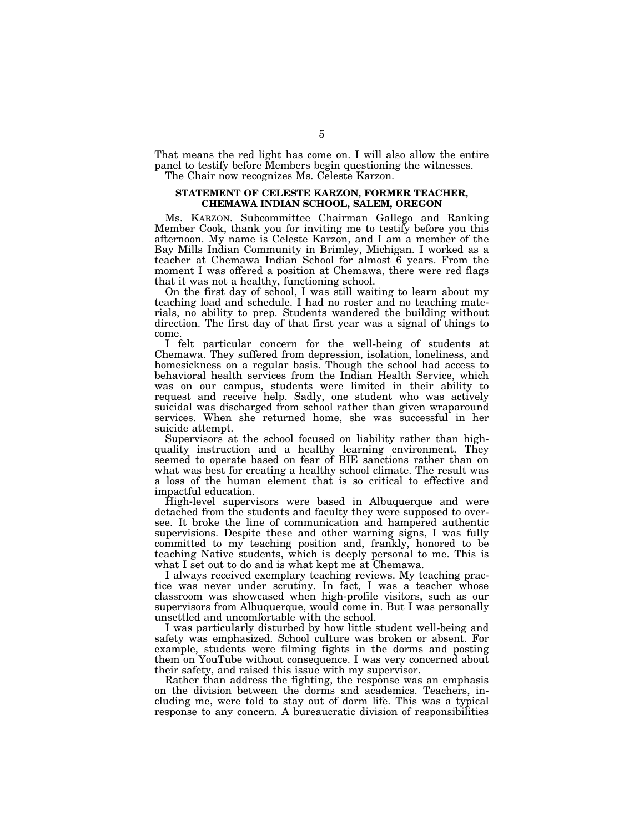That means the red light has come on. I will also allow the entire panel to testify before Members begin questioning the witnesses. The Chair now recognizes Ms. Celeste Karzon.

# **STATEMENT OF CELESTE KARZON, FORMER TEACHER, CHEMAWA INDIAN SCHOOL, SALEM, OREGON**

Ms. KARZON. Subcommittee Chairman Gallego and Ranking Member Cook, thank you for inviting me to testify before you this afternoon. My name is Celeste Karzon, and I am a member of the Bay Mills Indian Community in Brimley, Michigan. I worked as a teacher at Chemawa Indian School for almost 6 years. From the moment I was offered a position at Chemawa, there were red flags that it was not a healthy, functioning school.

On the first day of school, I was still waiting to learn about my teaching load and schedule. I had no roster and no teaching materials, no ability to prep. Students wandered the building without direction. The first day of that first year was a signal of things to come.

I felt particular concern for the well-being of students at Chemawa. They suffered from depression, isolation, loneliness, and homesickness on a regular basis. Though the school had access to behavioral health services from the Indian Health Service, which was on our campus, students were limited in their ability to request and receive help. Sadly, one student who was actively suicidal was discharged from school rather than given wraparound services. When she returned home, she was successful in her suicide attempt.

Supervisors at the school focused on liability rather than highquality instruction and a healthy learning environment. They seemed to operate based on fear of BIE sanctions rather than on what was best for creating a healthy school climate. The result was a loss of the human element that is so critical to effective and impactful education.

High-level supervisors were based in Albuquerque and were detached from the students and faculty they were supposed to oversee. It broke the line of communication and hampered authentic supervisions. Despite these and other warning signs, I was fully committed to my teaching position and, frankly, honored to be teaching Native students, which is deeply personal to me. This is what I set out to do and is what kept me at Chemawa.

I always received exemplary teaching reviews. My teaching practice was never under scrutiny. In fact, I was a teacher whose classroom was showcased when high-profile visitors, such as our supervisors from Albuquerque, would come in. But I was personally unsettled and uncomfortable with the school.

I was particularly disturbed by how little student well-being and safety was emphasized. School culture was broken or absent. For example, students were filming fights in the dorms and posting them on YouTube without consequence. I was very concerned about their safety, and raised this issue with my supervisor.

Rather than address the fighting, the response was an emphasis on the division between the dorms and academics. Teachers, including me, were told to stay out of dorm life. This was a typical response to any concern. A bureaucratic division of responsibilities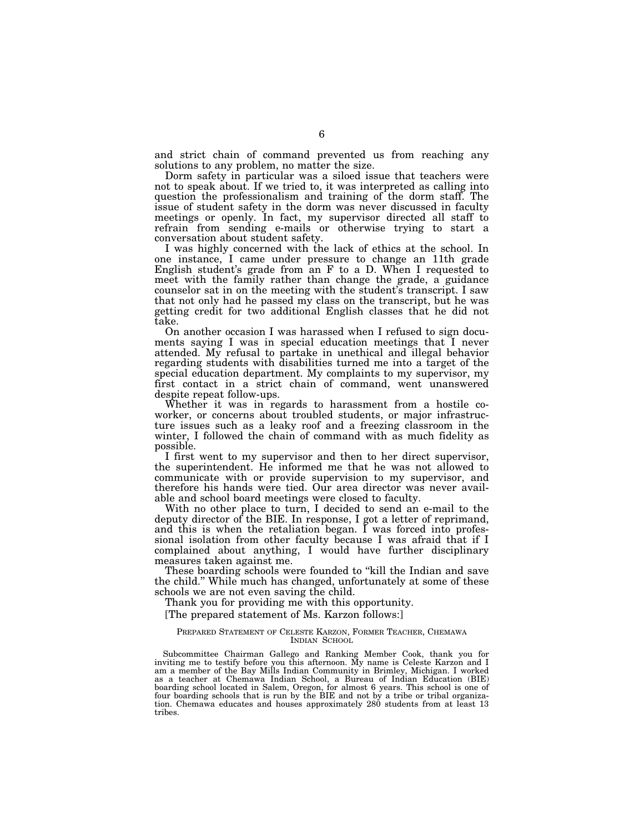and strict chain of command prevented us from reaching any solutions to any problem, no matter the size.

Dorm safety in particular was a siloed issue that teachers were not to speak about. If we tried to, it was interpreted as calling into question the professionalism and training of the dorm staff. The issue of student safety in the dorm was never discussed in faculty meetings or openly. In fact, my supervisor directed all staff to refrain from sending e-mails or otherwise trying to start a conversation about student safety.

I was highly concerned with the lack of ethics at the school. In one instance, I came under pressure to change an 11th grade English student's grade from an F to a D. When I requested to meet with the family rather than change the grade, a guidance counselor sat in on the meeting with the student's transcript. I saw that not only had he passed my class on the transcript, but he was getting credit for two additional English classes that he did not take.

On another occasion I was harassed when I refused to sign documents saying I was in special education meetings that I never attended. My refusal to partake in unethical and illegal behavior regarding students with disabilities turned me into a target of the special education department. My complaints to my supervisor, my first contact in a strict chain of command, went unanswered despite repeat follow-ups.

Whether it was in regards to harassment from a hostile coworker, or concerns about troubled students, or major infrastructure issues such as a leaky roof and a freezing classroom in the winter, I followed the chain of command with as much fidelity as possible.

I first went to my supervisor and then to her direct supervisor, the superintendent. He informed me that he was not allowed to communicate with or provide supervision to my supervisor, and therefore his hands were tied. Our area director was never available and school board meetings were closed to faculty.

With no other place to turn, I decided to send an e-mail to the deputy director of the BIE. In response, I got a letter of reprimand, and this is when the retaliation began. I was forced into professional isolation from other faculty because I was afraid that if I complained about anything, I would have further disciplinary measures taken against me.

These boarding schools were founded to ''kill the Indian and save the child.'' While much has changed, unfortunately at some of these schools we are not even saving the child.

Thank you for providing me with this opportunity.

[The prepared statement of Ms. Karzon follows:]

#### PREPARED STATEMENT OF CELESTE KARZON, FORMER TEACHER, CHEMAWA INDIAN SCHOOL

Subcommittee Chairman Gallego and Ranking Member Cook, thank you for inviting me to testify before you this afternoon. My name is Celeste Karzon and I am a member of the Bay Mills Indian Community in Brimley, Michigan. I worked as a teacher at Chemawa Indian School, a Bureau of Indian Education (BIE) boarding school located in Salem, Oregon, for almost 6 years. This school is one of four boarding schools that is run by the BIE and not by a tribe or tribal organiza-tion. Chemawa educates and houses approximately 280 students from at least 13 tribes.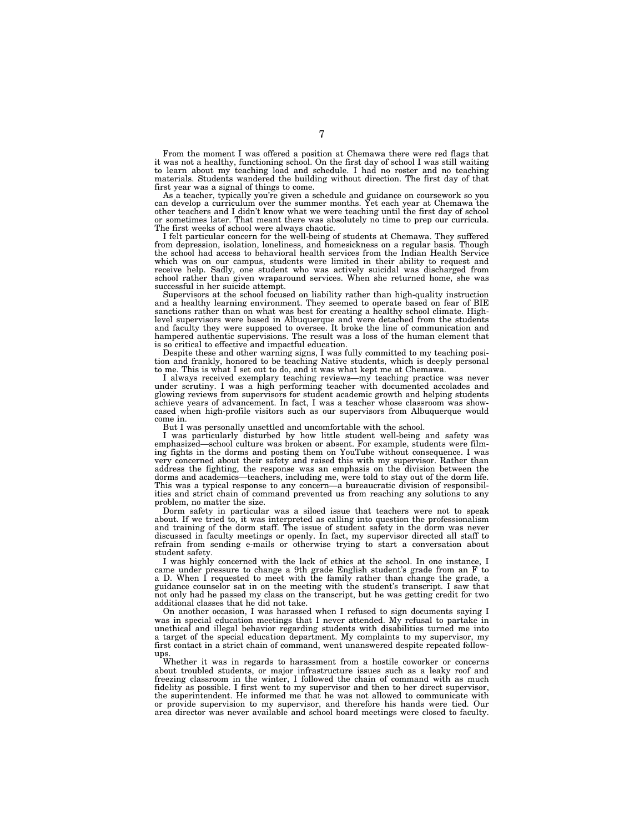From the moment I was offered a position at Chemawa there were red flags that it was not a healthy, functioning school. On the first day of school I was still waiting to learn about my teaching load and schedule. I had no roster and no teaching materials. Students wandered the building without direction. The first day of that first year was a signal of things to come.

As a teacher, typically you're given a schedule and guidance on coursework so you can develop a curriculum over the summer months. Yet each year at Chemawa the other teachers and I didn't know what we were teaching until the first day of school or sometimes later. That meant there was absolutely no time to prep our curricula. The first weeks of school were always chaotic.

I felt particular concern for the well-being of students at Chemawa. They suffered from depression, isolation, loneliness, and homesickness on a regular basis. Though the school had access to behavioral health services from the Indian Health Service which was on our campus, students were limited in their ability to request and receive help. Sadly, one student who was actively suicidal was discharged from school rather than given wraparound services. When she returned home, she was successful in her suicide attempt.

Supervisors at the school focused on liability rather than high-quality instruction and a healthy learning environment. They seemed to operate based on fear of BIE sanctions rather than on what was best for creating a healthy school climate. High-level supervisors were based in Albuquerque and were detached from the students and faculty they were supposed to oversee. It broke the line of communication and hampered authentic supervisions. The result was a loss of the human element that is so critical to effective and impactful education.

Despite these and other warning signs, I was fully committed to my teaching position and frankly, honored to be teaching Native students, which is deeply personal to me. This is what I set out to do, and it was what kept me at Chemawa.

I always received exemplary teaching reviews—my teaching practice was never under scrutiny. I was a high performing teacher with documented accolades and glowing reviews from supervisors for student academic growth and helping students achieve years of advancement. In fact, I was a teacher whose classroom was showcased when high-profile visitors such as our supervisors from Albuquerque would come in.

But I was personally unsettled and uncomfortable with the school.

I was particularly disturbed by how little student well-being and safety was emphasized—school culture was broken or absent. For example, students were filming fights in the dorms and posting them on YouTube without consequence. I was very concerned about their safety and raised this with my supervisor. Rather than address the fighting, the response was an emphasis on the division between the dorms and academics—teachers, including me, were told to stay out of the dorm life. This was a typical response to any concern—a bureaucratic division of responsibilities and strict chain of command prevented us from reaching any solutions to any problem, no matter the size.

Dorm safety in particular was a siloed issue that teachers were not to speak about. If we tried to, it was interpreted as calling into question the professionalism and training of the dorm staff. The issue of student safety in the dorm was never discussed in faculty meetings or openly. In fact, my supervisor directed all staff to refrain from sending e-mails or otherwise trying to start a conversation about student safety.

I was highly concerned with the lack of ethics at the school. In one instance, I came under pressure to change a 9th grade English student's grade from an F to a D. When I requested to meet with the family rather than change the grade, a guidance counselor sat in on the meeting with the student's transcript. I saw that not only had he passed my class on the transcript, but he was getting credit for two additional classes that he did not take.

On another occasion, I was harassed when I refused to sign documents saying I was in special education meetings that I never attended. My refusal to partake in unethical and illegal behavior regarding students with disabilities turned me into a target of the special education department. My complaints to my supervisor, my first contact in a strict chain of command, went unanswered despite repeated followups.

Whether it was in regards to harassment from a hostile coworker or concerns about troubled students, or major infrastructure issues such as a leaky roof and freezing classroom in the winter, I followed the chain of command with as much fidelity as possible. I first went to my supervisor and then to her direct supervisor, the superintendent. He informed me that he was not allowed to communicate with or provide supervision to my supervisor, and therefore his hands were tied. Our area director was never available and school board meetings were closed to faculty.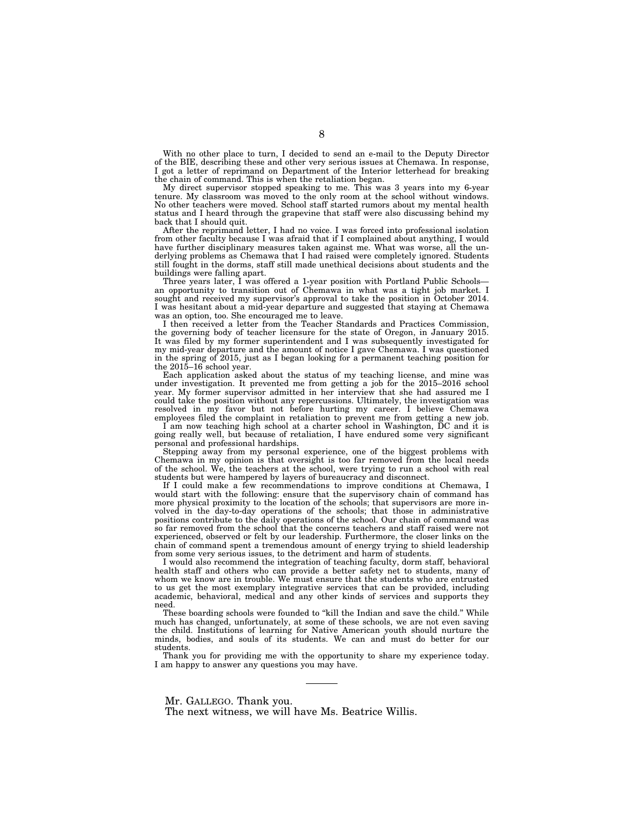With no other place to turn, I decided to send an e-mail to the Deputy Director of the BIE, describing these and other very serious issues at Chemawa. In response, I got a letter of reprimand on Department of the Interior letterhead for breaking the chain of command. This is when the retaliation began.

My direct supervisor stopped speaking to me. This was 3 years into my 6-year tenure. My classroom was moved to the only room at the school without windows. No other teachers were moved. School staff started rumors about my mental health status and I heard through the grapevine that staff were also discussing behind my back that I should quit.

After the reprimand letter, I had no voice. I was forced into professional isolation from other faculty because I was afraid that if I complained about anything, I would have further disciplinary measures taken against me. What was worse, all the underlying problems as Chemawa that I had raised were completely ignored. Students still fought in the dorms, staff still made unethical decisions about students and the buildings were falling apart.

Three years later, I was offered a 1-year position with Portland Public Schools an opportunity to transition out of Chemawa in what was a tight job market. I sought and received my supervisor's approval to take the position in October 2014. I was hesitant about a mid-year departure and suggested that staying at Chemawa was an option, too. She encouraged me to leave.

I then received a letter from the Teacher Standards and Practices Commission, the governing body of teacher licensure for the state of Oregon, in January 2015. It was filed by my former superintendent and I was subsequently investigated for my mid-year departure and the amount of notice I gave Chemawa. I was questioned in the spring of 2015, just as I began looking for a permanent teaching position for the 2015–16 school year.

Each application asked about the status of my teaching license, and mine was under investigation. It prevented me from getting a job for the 2015–2016 school year. My former supervisor admitted in her interview that she had assured me I could take the position without any repercussions. Ultimately, the investigation was resolved in my favor but not before hurting my career. I believe Chemawa employees filed the complaint in retaliation to prevent me from getting a new job.

I am now teaching high school at a charter school in Washington, DC and it is going really well, but because of retaliation, I have endured some very significant personal and professional hardships.

Stepping away from my personal experience, one of the biggest problems with Chemawa in my opinion is that oversight is too far removed from the local needs of the school. We, the teachers at the school, were trying to run a school with real students but were hampered by layers of bureaucracy and disconnect.

If I could make a few recommendations to improve conditions at Chemawa, I would start with the following: ensure that the supervisory chain of command has more physical proximity to the location of the schools; that supervisors are more involved in the day-to-day operations of the schools; that those in administrative positions contribute to the daily operations of the school. Our chain of command was so far removed from the school that the concerns teachers and staff raised were not experienced, observed or felt by our leadership. Furthermore, the closer links on the chain of command spent a tremendous amount of energy trying to shield leadership from some very serious issues, to the detriment and harm of students.

I would also recommend the integration of teaching faculty, dorm staff, behavioral health staff and others who can provide a better safety net to students, many of whom we know are in trouble. We must ensure that the students who are entrusted to us get the most exemplary integrative services that can be provided, including academic, behavioral, medical and any other kinds of services and supports they need.

These boarding schools were founded to "kill the Indian and save the child." While much has changed, unfortunately, at some of these schools, we are not even saving the child. Institutions of learning for Native American youth should nurture the minds, bodies, and souls of its students. We can and must do better for our students.

Thank you for providing me with the opportunity to share my experience today. I am happy to answer any questions you may have.

Mr. GALLEGO. Thank you. The next witness, we will have Ms. Beatrice Willis.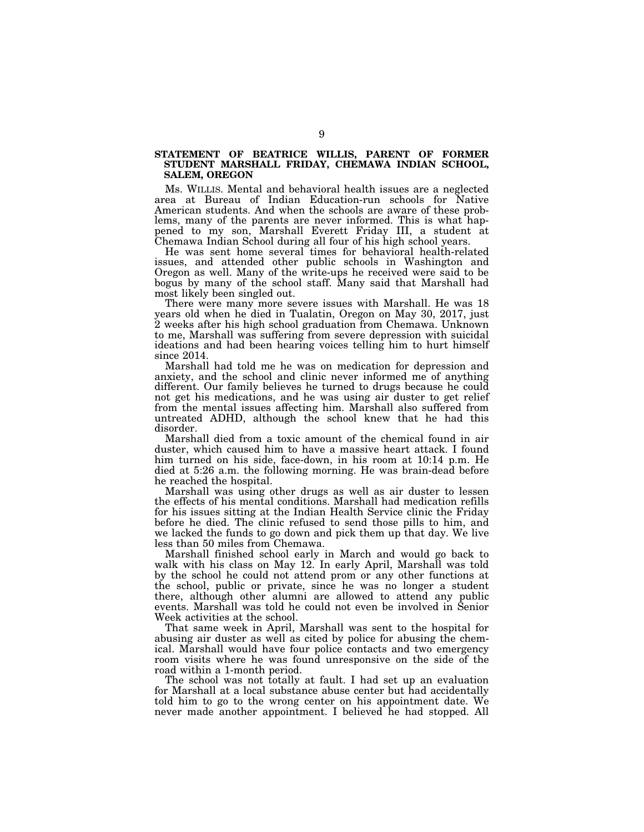# **STATEMENT OF BEATRICE WILLIS, PARENT OF FORMER STUDENT MARSHALL FRIDAY, CHEMAWA INDIAN SCHOOL, SALEM, OREGON**

Ms. WILLIS. Mental and behavioral health issues are a neglected area at Bureau of Indian Education-run schools for Native American students. And when the schools are aware of these problems, many of the parents are never informed. This is what happened to my son, Marshall Everett Friday III, a student at Chemawa Indian School during all four of his high school years.

He was sent home several times for behavioral health-related issues, and attended other public schools in Washington and Oregon as well. Many of the write-ups he received were said to be bogus by many of the school staff. Many said that Marshall had most likely been singled out.

There were many more severe issues with Marshall. He was 18 years old when he died in Tualatin, Oregon on May 30, 2017, just 2 weeks after his high school graduation from Chemawa. Unknown to me, Marshall was suffering from severe depression with suicidal ideations and had been hearing voices telling him to hurt himself since 2014.

Marshall had told me he was on medication for depression and anxiety, and the school and clinic never informed me of anything different. Our family believes he turned to drugs because he could not get his medications, and he was using air duster to get relief from the mental issues affecting him. Marshall also suffered from untreated ADHD, although the school knew that he had this disorder.

Marshall died from a toxic amount of the chemical found in air duster, which caused him to have a massive heart attack. I found him turned on his side, face-down, in his room at 10:14 p.m. He died at 5:26 a.m. the following morning. He was brain-dead before he reached the hospital.

Marshall was using other drugs as well as air duster to lessen the effects of his mental conditions. Marshall had medication refills for his issues sitting at the Indian Health Service clinic the Friday before he died. The clinic refused to send those pills to him, and we lacked the funds to go down and pick them up that day. We live less than 50 miles from Chemawa.

Marshall finished school early in March and would go back to walk with his class on May 12. In early April, Marshall was told by the school he could not attend prom or any other functions at the school, public or private, since he was no longer a student there, although other alumni are allowed to attend any public events. Marshall was told he could not even be involved in Senior Week activities at the school.

That same week in April, Marshall was sent to the hospital for abusing air duster as well as cited by police for abusing the chemical. Marshall would have four police contacts and two emergency room visits where he was found unresponsive on the side of the road within a 1-month period.

The school was not totally at fault. I had set up an evaluation for Marshall at a local substance abuse center but had accidentally told him to go to the wrong center on his appointment date. We never made another appointment. I believed he had stopped. All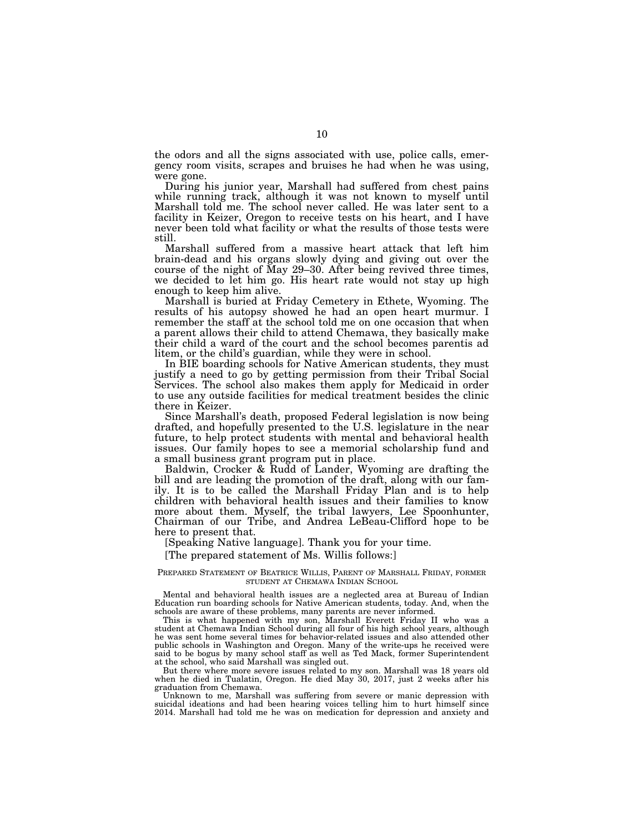the odors and all the signs associated with use, police calls, emergency room visits, scrapes and bruises he had when he was using, were gone.

During his junior year, Marshall had suffered from chest pains while running track, although it was not known to myself until Marshall told me. The school never called. He was later sent to a facility in Keizer, Oregon to receive tests on his heart, and I have never been told what facility or what the results of those tests were still.

Marshall suffered from a massive heart attack that left him brain-dead and his organs slowly dying and giving out over the course of the night of May 29–30. After being revived three times, we decided to let him go. His heart rate would not stay up high enough to keep him alive.

Marshall is buried at Friday Cemetery in Ethete, Wyoming. The results of his autopsy showed he had an open heart murmur. I remember the staff at the school told me on one occasion that when a parent allows their child to attend Chemawa, they basically make their child a ward of the court and the school becomes parentis ad litem, or the child's guardian, while they were in school.

In BIE boarding schools for Native American students, they must justify a need to go by getting permission from their Tribal Social Services. The school also makes them apply for Medicaid in order to use any outside facilities for medical treatment besides the clinic there in Keizer.

Since Marshall's death, proposed Federal legislation is now being drafted, and hopefully presented to the U.S. legislature in the near future, to help protect students with mental and behavioral health issues. Our family hopes to see a memorial scholarship fund and a small business grant program put in place.

Baldwin, Crocker & Rudd of Lander, Wyoming are drafting the bill and are leading the promotion of the draft, along with our family. It is to be called the Marshall Friday Plan and is to help children with behavioral health issues and their families to know more about them. Myself, the tribal lawyers, Lee Spoonhunter, Chairman of our Tribe, and Andrea LeBeau-Clifford hope to be here to present that.

[Speaking Native language]. Thank you for your time.

[The prepared statement of Ms. Willis follows:]

#### PREPARED STATEMENT OF BEATRICE WILLIS, PARENT OF MARSHALL FRIDAY, FORMER STUDENT AT CHEMAWA INDIAN SCHOOL

Mental and behavioral health issues are a neglected area at Bureau of Indian Education run boarding schools for Native American students, today. And, when the schools are aware of these problems, many parents are never informed.

This is what happened with my son, Marshall Everett Friday II who was a student at Chemawa Indian School during all four of his high school years, although he was sent home several times for behavior-related issues and also attended other public schools in Washington and Oregon. Many of the write-ups he received were said to be bogus by many school staff as well as Ted Mack, former Superintendent at the school, who said Marshall was singled out.

But there where more severe issues related to my son. Marshall was 18 years old when he died in Tualatin, Oregon. He died May 30, 2017, just 2 weeks after his graduation from Chemawa.

Unknown to me, Marshall was suffering from severe or manic depression with suicidal ideations and had been hearing voices telling him to hurt himself since 2014. Marshall had told me he was on medication for depression and anxiety and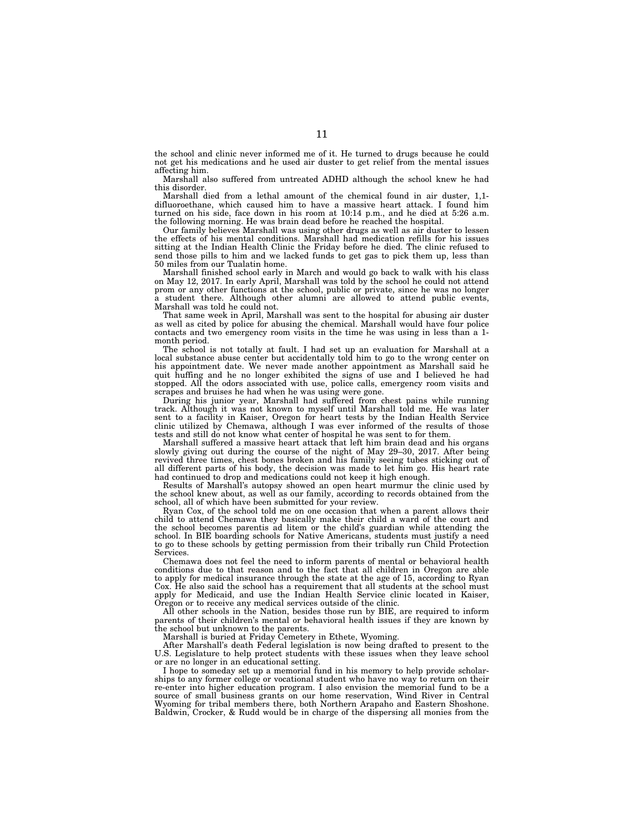the school and clinic never informed me of it. He turned to drugs because he could not get his medications and he used air duster to get relief from the mental issues affecting him.

Marshall also suffered from untreated ADHD although the school knew he had this disorder.

Marshall died from a lethal amount of the chemical found in air duster, 1,1 difluoroethane, which caused him to have a massive heart attack. I found him turned on his side, face down in his room at 10:14 p.m., and he died at 5:26 a.m. the following morning. He was brain dead before he reached the hospital.

Our family believes Marshall was using other drugs as well as air duster to lessen the effects of his mental conditions. Marshall had medication refills for his issues sitting at the Indian Health Clinic the Friday before he died. The clinic refused to send those pills to him and we lacked funds to get gas to pick them up, less than 50 miles from our Tualatin home.

Marshall finished school early in March and would go back to walk with his class on May 12, 2017. In early April, Marshall was told by the school he could not attend prom or any other functions at the school, public or private, since he was no longer a student there. Although other alumni are allowed to attend public events, Marshall was told he could not.

That same week in April, Marshall was sent to the hospital for abusing air duster as well as cited by police for abusing the chemical. Marshall would have four police contacts and two emergency room visits in the time he was using in less than a 1 month period.

The school is not totally at fault. I had set up an evaluation for Marshall at a local substance abuse center but accidentally told him to go to the wrong center on his appointment date. We never made another appointment as Marshall said he quit huffing and he no longer exhibited the signs of use and I believed he had stopped. All the odors associated with use, police calls, emergency room visits and scrapes and bruises he had when he was using were gone.

During his junior year, Marshall had suffered from chest pains while running track. Although it was not known to myself until Marshall told me. He was later sent to a facility in Kaiser, Oregon for heart tests by the Indian Health Service clinic utilized by Chemawa, although I was ever informed of the results of those tests and still do not know what center of hospital he was sent to for them.

Marshall suffered a massive heart attack that left him brain dead and his organs slowly giving out during the course of the night of May 29–30, 2017. After being revived three times, chest bones broken and his family seeing tubes sticking out of all different parts of his body, the decision was made to let him go. His heart rate had continued to drop and medications could not keep it high enough.

Results of Marshall's autopsy showed an open heart murmur the clinic used by the school knew about, as well as our family, according to records obtained from the school, all of which have been submitted for your review.

Ryan Cox, of the school told me on one occasion that when a parent allows their child to attend Chemawa they basically make their child a ward of the court and the school becomes parentis ad litem or the child's guardian while attending the school. In BIE boarding schools for Native Americans, students must justify a need to go to these schools by getting permission from their tribally run Child Protection Services.

Chemawa does not feel the need to inform parents of mental or behavioral health conditions due to that reason and to the fact that all children in Oregon are able to apply for medical insurance through the state at the age of 15, according to Ryan Cox. He also said the school has a requirement that all students at the school must apply for Medicaid, and use the Indian Health Service clinic located in Kaiser, Oregon or to receive any medical services outside of the clinic.

All other schools in the Nation, besides those run by BIE, are required to inform parents of their children's mental or behavioral health issues if they are known by the school but unknown to the parents.

Marshall is buried at Friday Cemetery in Ethete, Wyoming.

After Marshall's death Federal legislation is now being drafted to present to the U.S. Legislature to help protect students with these issues when they leave school or are no longer in an educational setting.

I hope to someday set up a memorial fund in his memory to help provide scholarships to any former college or vocational student who have no way to return on their re-enter into higher education program. I also envision the memorial fund to be a source of small business grants on our home reservation, Wind River in Central Wyoming for tribal members there, both Northern Arapaho and Eastern Shoshone. Baldwin, Crocker, & Rudd would be in charge of the dispersing all monies from the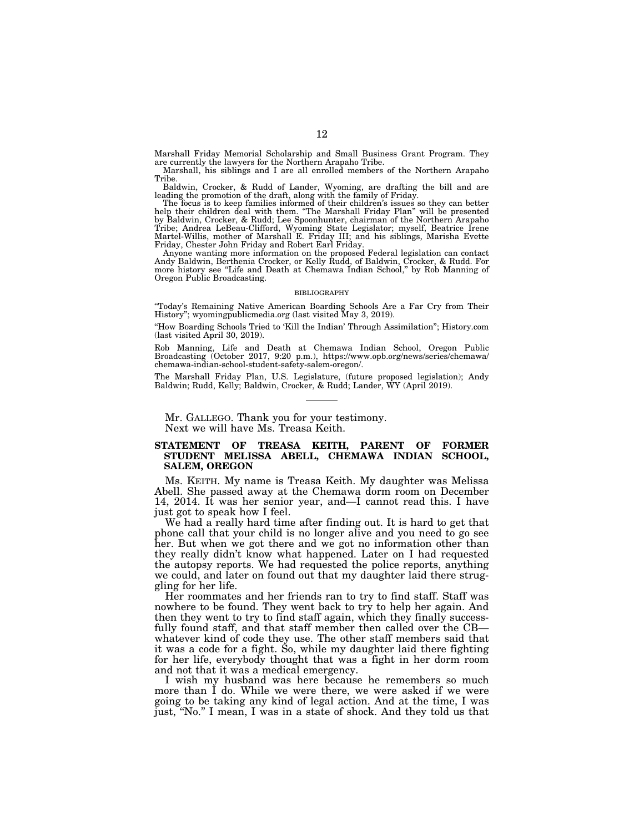Marshall Friday Memorial Scholarship and Small Business Grant Program. They are currently the lawyers for the Northern Arapaho Tribe.

Marshall, his siblings and I are all enrolled members of the Northern Arapaho Tribe.

Baldwin, Crocker, & Rudd of Lander, Wyoming, are drafting the bill and are

leading the promotion of the draft, along with the family of Friday.<br>The focus is to keep families informed of their children's issues so they can better<br>help their children deal with them. "The Marshall Friday Plan" will Friday, Chester John Friday and Robert Earl Friday. Anyone wanting more information on the proposed Federal legislation can contact

Andy Baldwin, Berthenia Crocker, or Kelly Rudd, of Baldwin, Crocker, & Rudd. For more history see ''Life and Death at Chemawa Indian School,'' by Rob Manning of Oregon Public Broadcasting.

#### BIBLIOGRAPHY

''Today's Remaining Native American Boarding Schools Are a Far Cry from Their History''; wyomingpublicmedia.org (last visited May 3, 2019).

''How Boarding Schools Tried to 'Kill the Indian' Through Assimilation''; History.com (last visited April 30, 2019).

Rob Manning, Life and Death at Chemawa Indian School, Oregon Public Broadcasting (October 2017, 9:20 p.m.), https://www.opb.org/news/series/chemawa/ chemawa-indian-school-student-safety-salem-oregon/.

The Marshall Friday Plan, U.S. Legislature, (future proposed legislation); Andy Baldwin; Rudd, Kelly; Baldwin, Crocker, & Rudd; Lander, WY (April 2019).

Mr. GALLEGO. Thank you for your testimony. Next we will have Ms. Treasa Keith.

## **STATEMENT OF TREASA KEITH, PARENT OF FORMER STUDENT MELISSA ABELL, CHEMAWA INDIAN SCHOOL, SALEM, OREGON**

Ms. KEITH. My name is Treasa Keith. My daughter was Melissa Abell. She passed away at the Chemawa dorm room on December 14, 2014. It was her senior year, and—I cannot read this. I have just got to speak how I feel.

We had a really hard time after finding out. It is hard to get that phone call that your child is no longer alive and you need to go see her. But when we got there and we got no information other than they really didn't know what happened. Later on I had requested the autopsy reports. We had requested the police reports, anything we could, and later on found out that my daughter laid there struggling for her life.

Her roommates and her friends ran to try to find staff. Staff was nowhere to be found. They went back to try to help her again. And then they went to try to find staff again, which they finally successfully found staff, and that staff member then called over the CB whatever kind of code they use. The other staff members said that it was a code for a fight. So, while my daughter laid there fighting for her life, everybody thought that was a fight in her dorm room and not that it was a medical emergency.

I wish my husband was here because he remembers so much more than I do. While we were there, we were asked if we were going to be taking any kind of legal action. And at the time, I was just, ''No.'' I mean, I was in a state of shock. And they told us that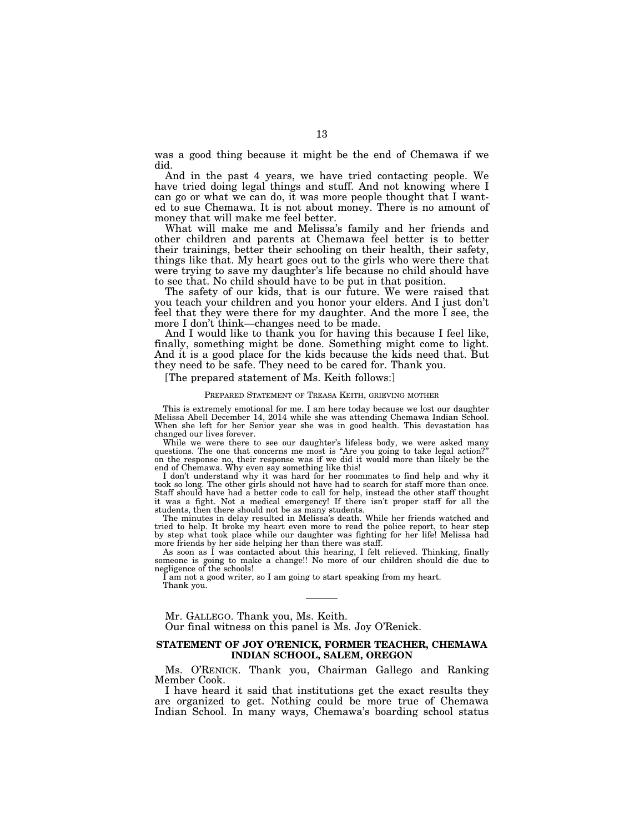was a good thing because it might be the end of Chemawa if we did.

And in the past 4 years, we have tried contacting people. We have tried doing legal things and stuff. And not knowing where I can go or what we can do, it was more people thought that I wanted to sue Chemawa. It is not about money. There is no amount of money that will make me feel better.

What will make me and Melissa's family and her friends and other children and parents at Chemawa feel better is to better their trainings, better their schooling on their health, their safety, things like that. My heart goes out to the girls who were there that were trying to save my daughter's life because no child should have to see that. No child should have to be put in that position.

The safety of our kids, that is our future. We were raised that you teach your children and you honor your elders. And I just don't feel that they were there for my daughter. And the more I see, the more I don't think—changes need to be made.

And I would like to thank you for having this because I feel like, finally, something might be done. Something might come to light. And it is a good place for the kids because the kids need that. But they need to be safe. They need to be cared for. Thank you.

#### [The prepared statement of Ms. Keith follows:]

## PREPARED STATEMENT OF TREASA KEITH, GRIEVING MOTHER

This is extremely emotional for me. I am here today because we lost our daughter Melissa Abell December 14, 2014 while she was attending Chemawa Indian School. When she left for her Senior year she was in good health. This devastation has changed our lives forever.

While we were there to see our daughter's lifeless body, we were asked many questions. The one that concerns me most is ''Are you going to take legal action?'' on the response no, their response was if we did it would more than likely be the end of Chemawa. Why even say something like this!

I don't understand why it was hard for her roommates to find help and why it took so long. The other girls should not have had to search for staff more than once. Staff should have had a better code to call for help, instead the other staff thought it was a fight. Not a medical emergency! If there isn't proper staff for all the students, then there should not be as many students.

The minutes in delay resulted in Melissa's death. While her friends watched and tried to help. It broke my heart even more to read the police report, to hear step by step what took place while our daughter was fighting for her life! Melissa had more friends by her side helping her than there was staff.

As soon as  $\check{I}$  was contacted about this hearing, I felt relieved. Thinking, finally someone is going to make a change!! No more of our children should die due to negligence of the schools!

I am not a good writer, so I am going to start speaking from my heart. Thank you.

# Mr. GALLEGO. Thank you, Ms. Keith.

Our final witness on this panel is Ms. Joy O'Renick.

# **STATEMENT OF JOY O'RENICK, FORMER TEACHER, CHEMAWA INDIAN SCHOOL, SALEM, OREGON**

Ms. O'RENICK. Thank you, Chairman Gallego and Ranking Member Cook.

I have heard it said that institutions get the exact results they are organized to get. Nothing could be more true of Chemawa Indian School. In many ways, Chemawa's boarding school status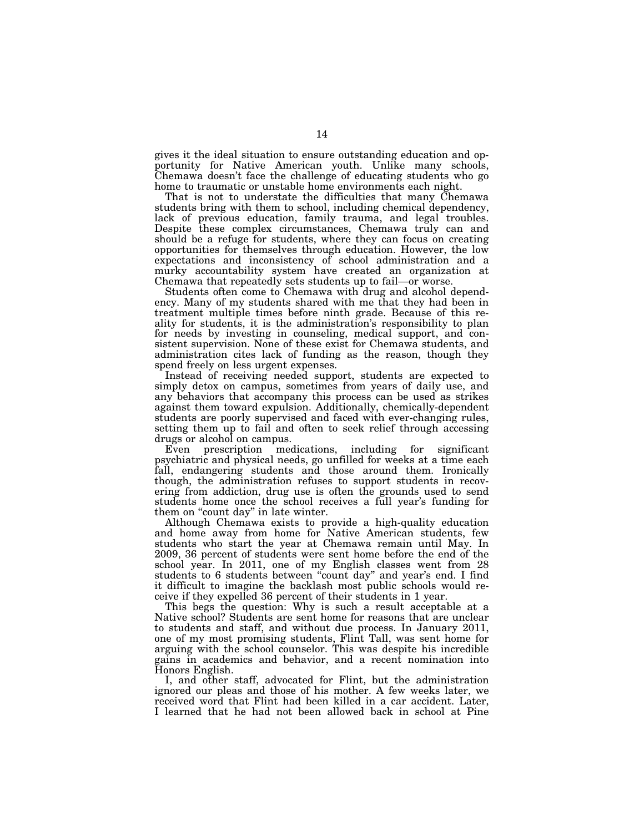gives it the ideal situation to ensure outstanding education and opportunity for Native American youth. Unlike many schools, Chemawa doesn't face the challenge of educating students who go home to traumatic or unstable home environments each night.

That is not to understate the difficulties that many Chemawa students bring with them to school, including chemical dependency, lack of previous education, family trauma, and legal troubles. Despite these complex circumstances, Chemawa truly can and should be a refuge for students, where they can focus on creating opportunities for themselves through education. However, the low expectations and inconsistency of school administration and a murky accountability system have created an organization at Chemawa that repeatedly sets students up to fail—or worse.

Students often come to Chemawa with drug and alcohol dependency. Many of my students shared with me that they had been in treatment multiple times before ninth grade. Because of this reality for students, it is the administration's responsibility to plan for needs by investing in counseling, medical support, and consistent supervision. None of these exist for Chemawa students, and administration cites lack of funding as the reason, though they spend freely on less urgent expenses.

Instead of receiving needed support, students are expected to simply detox on campus, sometimes from years of daily use, and any behaviors that accompany this process can be used as strikes against them toward expulsion. Additionally, chemically-dependent students are poorly supervised and faced with ever-changing rules, setting them up to fail and often to seek relief through accessing drugs or alcohol on campus.

Even prescription medications, including for significant psychiatric and physical needs, go unfilled for weeks at a time each fall, endangering students and those around them. Ironically though, the administration refuses to support students in recovering from addiction, drug use is often the grounds used to send students home once the school receives a full year's funding for them on "count day" in late winter.

Although Chemawa exists to provide a high-quality education and home away from home for Native American students, few students who start the year at Chemawa remain until May. In 2009, 36 percent of students were sent home before the end of the school year. In 2011, one of my English classes went from 28 students to 6 students between ''count day'' and year's end. I find it difficult to imagine the backlash most public schools would receive if they expelled 36 percent of their students in 1 year.

This begs the question: Why is such a result acceptable at a Native school? Students are sent home for reasons that are unclear to students and staff, and without due process. In January 2011, one of my most promising students, Flint Tall, was sent home for arguing with the school counselor. This was despite his incredible gains in academics and behavior, and a recent nomination into Honors English.

I, and other staff, advocated for Flint, but the administration ignored our pleas and those of his mother. A few weeks later, we received word that Flint had been killed in a car accident. Later, I learned that he had not been allowed back in school at Pine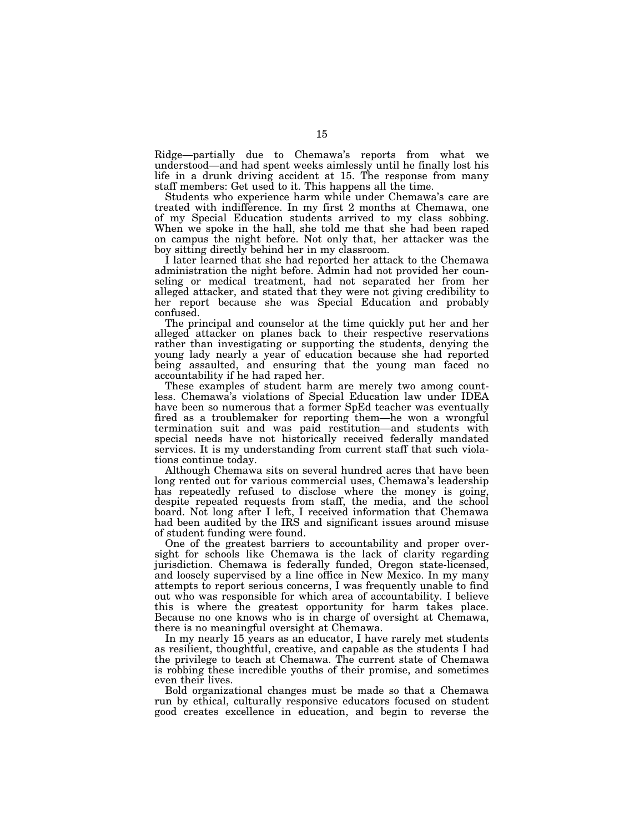Ridge—partially due to Chemawa's reports from what we understood—and had spent weeks aimlessly until he finally lost his life in a drunk driving accident at 15. The response from many staff members: Get used to it. This happens all the time.

Students who experience harm while under Chemawa's care are treated with indifference. In my first 2 months at Chemawa, one of my Special Education students arrived to my class sobbing. When we spoke in the hall, she told me that she had been raped on campus the night before. Not only that, her attacker was the boy sitting directly behind her in my classroom.

I later learned that she had reported her attack to the Chemawa administration the night before. Admin had not provided her counseling or medical treatment, had not separated her from her alleged attacker, and stated that they were not giving credibility to her report because she was Special Education and probably confused.

The principal and counselor at the time quickly put her and her alleged attacker on planes back to their respective reservations rather than investigating or supporting the students, denying the young lady nearly a year of education because she had reported being assaulted, and ensuring that the young man faced no accountability if he had raped her.

These examples of student harm are merely two among countless. Chemawa's violations of Special Education law under IDEA have been so numerous that a former SpEd teacher was eventually fired as a troublemaker for reporting them—he won a wrongful termination suit and was paid restitution—and students with special needs have not historically received federally mandated services. It is my understanding from current staff that such violations continue today.

Although Chemawa sits on several hundred acres that have been long rented out for various commercial uses, Chemawa's leadership has repeatedly refused to disclose where the money is going, despite repeated requests from staff, the media, and the school board. Not long after I left, I received information that Chemawa had been audited by the IRS and significant issues around misuse of student funding were found.

One of the greatest barriers to accountability and proper oversight for schools like Chemawa is the lack of clarity regarding jurisdiction. Chemawa is federally funded, Oregon state-licensed, and loosely supervised by a line office in New Mexico. In my many attempts to report serious concerns, I was frequently unable to find out who was responsible for which area of accountability. I believe this is where the greatest opportunity for harm takes place. Because no one knows who is in charge of oversight at Chemawa, there is no meaningful oversight at Chemawa.

In my nearly 15 years as an educator, I have rarely met students as resilient, thoughtful, creative, and capable as the students I had the privilege to teach at Chemawa. The current state of Chemawa is robbing these incredible youths of their promise, and sometimes even their lives.

Bold organizational changes must be made so that a Chemawa run by ethical, culturally responsive educators focused on student good creates excellence in education, and begin to reverse the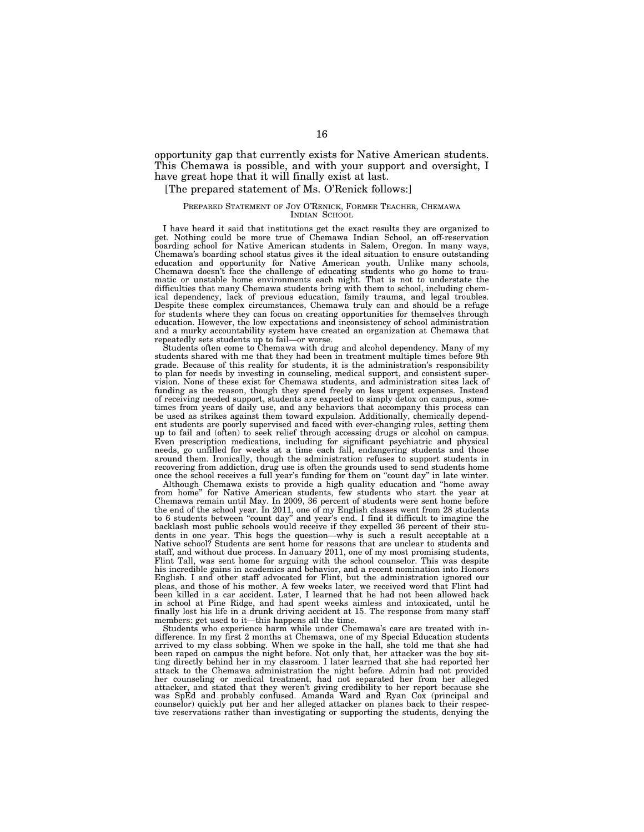opportunity gap that currently exists for Native American students. This Chemawa is possible, and with your support and oversight, I have great hope that it will finally exist at last.

# [The prepared statement of Ms. O'Renick follows:]

#### PREPARED STATEMENT OF JOY O'RENICK, FORMER TEACHER, CHEMAWA INDIAN SCHOOL

I have heard it said that institutions get the exact results they are organized to get. Nothing could be more true of Chemawa Indian School, an off-reservation boarding school for Native American students in Salem, Oregon. In many ways, Chemawa's boarding school status gives it the ideal situation to ensure outstanding education and opportunity for Native American youth. Unlike many schools, Chemawa doesn't face the challenge of educating students who go home to traumatic or unstable home environments each night. That is not to understate the difficulties that many Chemawa students bring with them to school, including chemical dependency, lack of previous education, family trauma, and legal troubles. Despite these complex circumstances, Chemawa truly can and should be a refuge for students where they can focus on creating opportunities for themselves through education. However, the low expectations and inconsistency of school administration and a murky accountability system have created an organization at Chemawa that repeatedly sets students up to fail—or worse.

Students often come to Chemawa with drug and alcohol dependency. Many of my students shared with me that they had been in treatment multiple times before 9th grade. Because of this reality for students, it is the administration's responsibility to plan for needs by investing in counseling, medical support, and consistent supervision. None of these exist for Chemawa students, and administration sites lack of funding as the reason, though they spend freely on less urgent expenses. Instead of receiving needed support, students are expected to simply detox on campus, sometimes from years of daily use, and any behaviors that accompany this process can be used as strikes against them toward expulsion. Additionally, chemically dependent students are poorly supervised and faced with ever-changing rules, setting them up to fail and (often) to seek relief through accessing drugs or alcohol on campus. Even prescription medications, including for significant psychiatric and physical needs, go unfilled for weeks at a time each fall, endangering students and those around them. Ironically, though the administration refuses to support students in recovering from addiction, drug use is often the grounds used to send students home once the school receives a full year's funding for them on ''count day'' in late winter.

Although Chemawa exists to provide a high quality education and ''home away from home'' for Native American students, few students who start the year at Chemawa remain until May. In 2009, 36 percent of students were sent home before the end of the school year. In 2011, one of my English classes went from 28 students to 6 students between ''count day'' and year's end. I find it difficult to imagine the backlash most public schools would receive if they expelled 36 percent of their students in one year. This begs the question—why is such a result acceptable at a Native school? Students are sent home for reasons that are unclear to students and staff, and without due process. In January 2011, one of my most promising students, Flint Tall, was sent home for arguing with the school counselor. This was despite his incredible gains in academics and behavior, and a recent nomination into Honors English. I and other staff advocated for Flint, but the administration ignored our pleas, and those of his mother. A few weeks later, we received word that Flint had been killed in a car accident. Later, I learned that he had not been allowed back in school at Pine Ridge, and had spent weeks aimless and intoxicated, until he finally lost his life in a drunk driving accident at 15. The response from many staff members: get used to it—this happens all the time.

Students who experience harm while under Chemawa's care are treated with indifference. In my first 2 months at Chemawa, one of my Special Education students arrived to my class sobbing. When we spoke in the hall, she told me that she had been raped on campus the night before. Not only that, her attacker was the boy sitting directly behind her in my classroom. I later learned that she had reported her attack to the Chemawa administration the night before. Admin had not provided her counseling or medical treatment, had not separated her from her alleged attacker, and stated that they weren't giving credibility to her report because she was SpEd and probably confused. Amanda Ward and Ryan Cox (principal and counselor) quickly put her and her alleged attacker on planes back to their respective reservations rather than investigating or supporting the students, denying the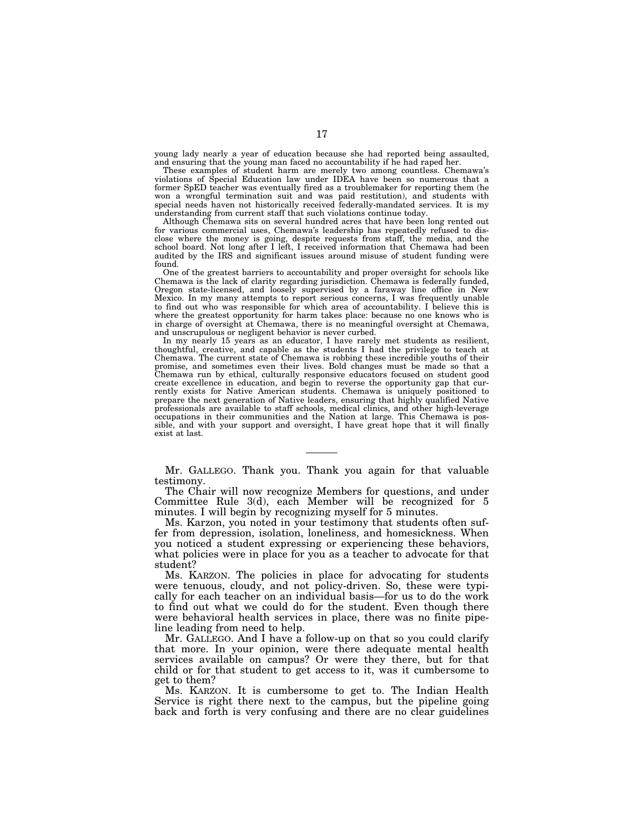young lady nearly a year of education because she had reported being assaulted, and ensuring that the young man faced no accountability if he had raped her.

These examples of student harm are merely two among countless. Chemawa's violations of Special Education law under IDEA have been so numerous that a former SpED teacher was eventually fired as a troublemaker for reporting them (he won a wrongful termination suit and was paid restitution), and students with special needs haven not historically received federally-mandated services. It is my understanding from current staff that such violations continue today.

Although Chemawa sits on several hundred acres that have been long rented out for various commercial uses, Chemawa's leadership has repeatedly refused to disclose where the money is going, despite requests from staff, the media, and the school board. Not long after I left, I received information that Chemawa had been audited by the IRS and significant issues around misuse of student funding were found.

One of the greatest barriers to accountability and proper oversight for schools like Chemawa is the lack of clarity regarding jurisdiction. Chemawa is federally funded, Oregon state-licensed, and loosely supervised by a faraway line office in New Mexico. In my many attempts to report serious concerns, I was frequently unable to find out who was responsible for which area of accountability. I believe this is where the greatest opportunity for harm takes place: because no one knows who is in charge of oversight at Chemawa, there is no meaningful oversight at Chemawa, and unscrupulous or negligent behavior is never curbed.

In my nearly 15 years as an educator, I have rarely met students as resilient, thoughtful, creative, and capable as the students I had the privilege to teach at Chemawa. The current state of Chemawa is robbing these incredible youths of their promise, and sometimes even their lives. Bold changes must be made so that a Chemawa run by ethical, culturally responsive educators focused on student good create excellence in education, and begin to reverse the opportunity gap that currently exists for Native American students. Chemawa is uniquely positioned to prepare the next generation of Native leaders, ensuring that highly qualified Native professionals are available to staff schools, medical clinics, and other high-leverage occupations in their communities and the Nation at large. This Chemawa is possible, and with your support and oversight, I have great hope that it will finally exist at last.

Mr. GALLEGO. Thank you. Thank you again for that valuable testimony.

The Chair will now recognize Members for questions, and under Committee Rule 3(d), each Member will be recognized for 5 minutes. I will begin by recognizing myself for 5 minutes.

Ms. Karzon, you noted in your testimony that students often suffer from depression, isolation, loneliness, and homesickness. When you noticed a student expressing or experiencing these behaviors, what policies were in place for you as a teacher to advocate for that student?

Ms. KARZON. The policies in place for advocating for students were tenuous, cloudy, and not policy-driven. So, these were typically for each teacher on an individual basis—for us to do the work to find out what we could do for the student. Even though there were behavioral health services in place, there was no finite pipeline leading from need to help.

Mr. GALLEGO. And I have a follow-up on that so you could clarify that more. In your opinion, were there adequate mental health services available on campus? Or were they there, but for that child or for that student to get access to it, was it cumbersome to get to them?

Ms. KARZON. It is cumbersome to get to. The Indian Health Service is right there next to the campus, but the pipeline going back and forth is very confusing and there are no clear guidelines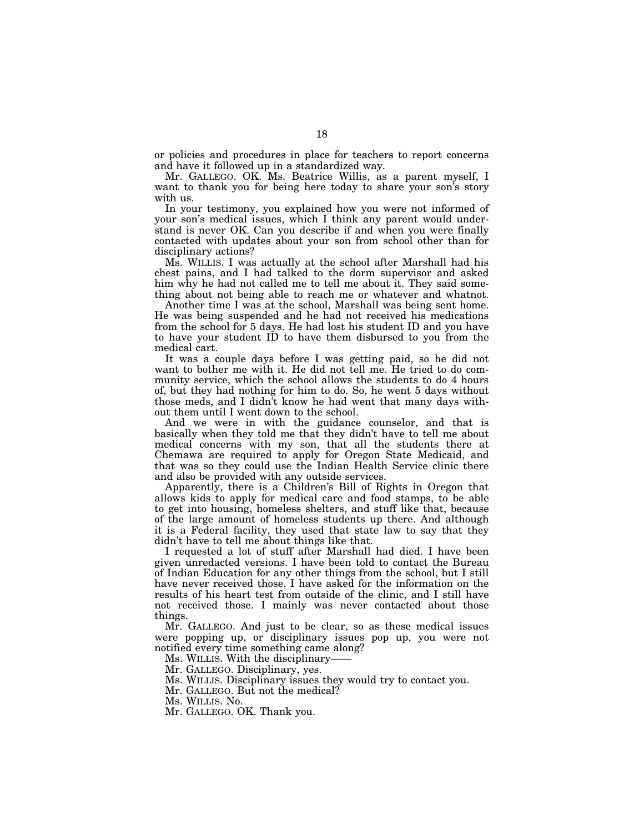or policies and procedures in place for teachers to report concerns and have it followed up in a standardized way.

Mr. GALLEGO. OK. Ms. Beatrice Willis, as a parent myself, I want to thank you for being here today to share your son's story with us.

In your testimony, you explained how you were not informed of your son's medical issues, which I think any parent would understand is never OK. Can you describe if and when you were finally contacted with updates about your son from school other than for disciplinary actions?

Ms. WILLIS. I was actually at the school after Marshall had his chest pains, and I had talked to the dorm supervisor and asked him why he had not called me to tell me about it. They said something about not being able to reach me or whatever and whatnot.

Another time I was at the school, Marshall was being sent home. He was being suspended and he had not received his medications from the school for 5 days. He had lost his student ID and you have to have your student ID to have them disbursed to you from the medical cart.

It was a couple days before I was getting paid, so he did not want to bother me with it. He did not tell me. He tried to do community service, which the school allows the students to do 4 hours of, but they had nothing for him to do. So, he went 5 days without those meds, and I didn't know he had went that many days without them until I went down to the school.

And we were in with the guidance counselor, and that is basically when they told me that they didn't have to tell me about medical concerns with my son, that all the students there at Chemawa are required to apply for Oregon State Medicaid, and that was so they could use the Indian Health Service clinic there and also be provided with any outside services.

Apparently, there is a Children's Bill of Rights in Oregon that allows kids to apply for medical care and food stamps, to be able to get into housing, homeless shelters, and stuff like that, because of the large amount of homeless students up there. And although it is a Federal facility, they used that state law to say that they didn't have to tell me about things like that.

I requested a lot of stuff after Marshall had died. I have been given unredacted versions. I have been told to contact the Bureau of Indian Education for any other things from the school, but I still have never received those. I have asked for the information on the results of his heart test from outside of the clinic, and I still have not received those. I mainly was never contacted about those things.

Mr. GALLEGO. And just to be clear, so as these medical issues were popping up, or disciplinary issues pop up, you were not notified every time something came along?

Ms. WILLIS. With the disciplinary-

Mr. GALLEGO. Disciplinary, yes.

Ms. WILLIS. Disciplinary issues they would try to contact you.

Mr. GALLEGO. But not the medical?

Ms. WILLIS. No.

Mr. GALLEGO. OK. Thank you.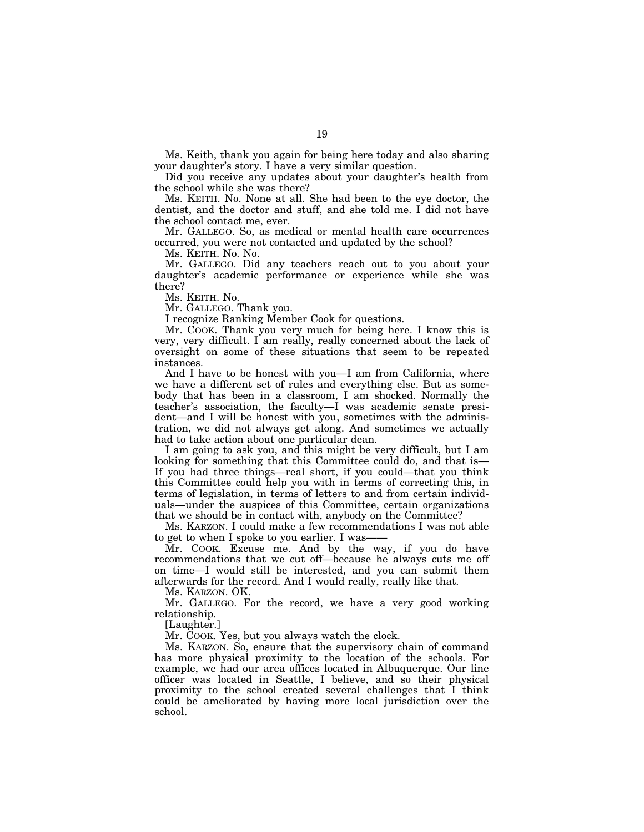Ms. Keith, thank you again for being here today and also sharing your daughter's story. I have a very similar question.

Did you receive any updates about your daughter's health from the school while she was there?

Ms. KEITH. No. None at all. She had been to the eye doctor, the dentist, and the doctor and stuff, and she told me. I did not have the school contact me, ever.

Mr. GALLEGO. So, as medical or mental health care occurrences occurred, you were not contacted and updated by the school?

Ms. KEITH. No. No.

Mr. GALLEGO. Did any teachers reach out to you about your daughter's academic performance or experience while she was there?

Ms. KEITH. No.

Mr. GALLEGO. Thank you.

I recognize Ranking Member Cook for questions.

Mr. COOK. Thank you very much for being here. I know this is very, very difficult. I am really, really concerned about the lack of oversight on some of these situations that seem to be repeated instances.

And I have to be honest with you—I am from California, where we have a different set of rules and everything else. But as somebody that has been in a classroom, I am shocked. Normally the teacher's association, the faculty—I was academic senate president—and I will be honest with you, sometimes with the administration, we did not always get along. And sometimes we actually had to take action about one particular dean.

I am going to ask you, and this might be very difficult, but I am looking for something that this Committee could do, and that is— If you had three things—real short, if you could—that you think this Committee could help you with in terms of correcting this, in terms of legislation, in terms of letters to and from certain individuals—under the auspices of this Committee, certain organizations that we should be in contact with, anybody on the Committee?

Ms. KARZON. I could make a few recommendations I was not able to get to when I spoke to you earlier. I was-

Mr. COOK. Excuse me. And by the way, if you do have recommendations that we cut off—because he always cuts me off on time—I would still be interested, and you can submit them afterwards for the record. And I would really, really like that.

Ms. KARZON. OK.

Mr. GALLEGO. For the record, we have a very good working relationship.

[Laughter.]

Mr. COOK. Yes, but you always watch the clock.

Ms. KARZON. So, ensure that the supervisory chain of command has more physical proximity to the location of the schools. For example, we had our area offices located in Albuquerque. Our line officer was located in Seattle, I believe, and so their physical proximity to the school created several challenges that I think could be ameliorated by having more local jurisdiction over the school.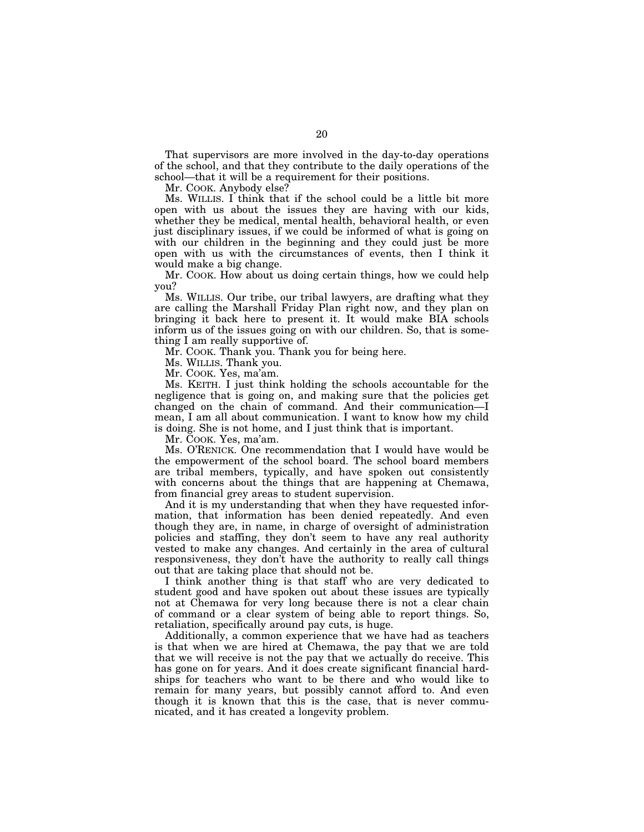That supervisors are more involved in the day-to-day operations of the school, and that they contribute to the daily operations of the school—that it will be a requirement for their positions.

Mr. COOK. Anybody else?

Ms. WILLIS. I think that if the school could be a little bit more open with us about the issues they are having with our kids, whether they be medical, mental health, behavioral health, or even just disciplinary issues, if we could be informed of what is going on with our children in the beginning and they could just be more open with us with the circumstances of events, then I think it would make a big change.

Mr. COOK. How about us doing certain things, how we could help you?

Ms. WILLIS. Our tribe, our tribal lawyers, are drafting what they are calling the Marshall Friday Plan right now, and they plan on bringing it back here to present it. It would make BIA schools inform us of the issues going on with our children. So, that is something I am really supportive of.

Mr. COOK. Thank you. Thank you for being here.

Ms. WILLIS. Thank you.

Mr. COOK. Yes, ma'am.

Ms. KEITH. I just think holding the schools accountable for the negligence that is going on, and making sure that the policies get changed on the chain of command. And their communication—I mean, I am all about communication. I want to know how my child is doing. She is not home, and I just think that is important.

Mr. COOK. Yes, ma'am.

Ms. O'RENICK. One recommendation that I would have would be the empowerment of the school board. The school board members are tribal members, typically, and have spoken out consistently with concerns about the things that are happening at Chemawa, from financial grey areas to student supervision.

And it is my understanding that when they have requested information, that information has been denied repeatedly. And even though they are, in name, in charge of oversight of administration policies and staffing, they don't seem to have any real authority vested to make any changes. And certainly in the area of cultural responsiveness, they don't have the authority to really call things out that are taking place that should not be.

I think another thing is that staff who are very dedicated to student good and have spoken out about these issues are typically not at Chemawa for very long because there is not a clear chain of command or a clear system of being able to report things. So, retaliation, specifically around pay cuts, is huge.

Additionally, a common experience that we have had as teachers is that when we are hired at Chemawa, the pay that we are told that we will receive is not the pay that we actually do receive. This has gone on for years. And it does create significant financial hardships for teachers who want to be there and who would like to remain for many years, but possibly cannot afford to. And even though it is known that this is the case, that is never communicated, and it has created a longevity problem.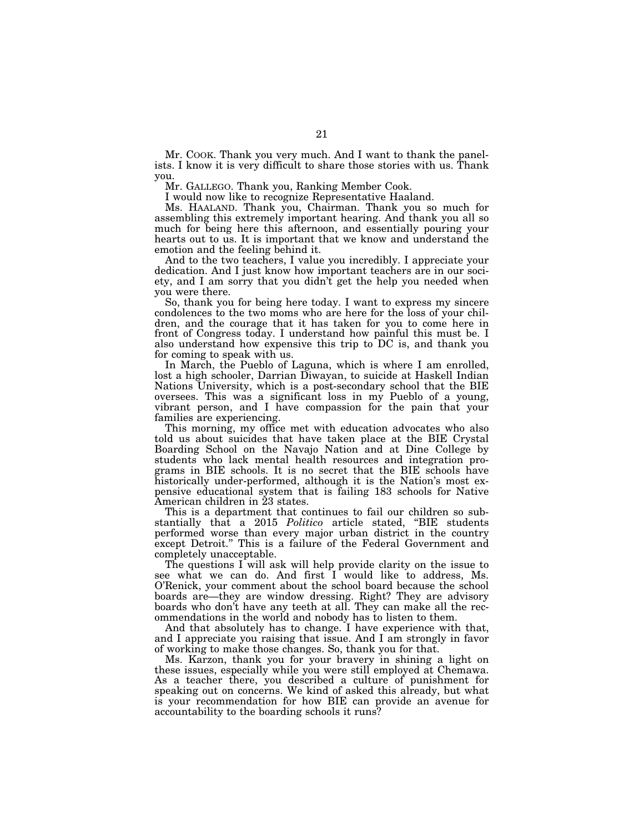Mr. COOK. Thank you very much. And I want to thank the panelists. I know it is very difficult to share those stories with us. Thank you.

Mr. GALLEGO. Thank you, Ranking Member Cook.

I would now like to recognize Representative Haaland.

Ms. HAALAND. Thank you, Chairman. Thank you so much for assembling this extremely important hearing. And thank you all so much for being here this afternoon, and essentially pouring your hearts out to us. It is important that we know and understand the emotion and the feeling behind it.

And to the two teachers, I value you incredibly. I appreciate your dedication. And I just know how important teachers are in our society, and I am sorry that you didn't get the help you needed when you were there.

So, thank you for being here today. I want to express my sincere condolences to the two moms who are here for the loss of your children, and the courage that it has taken for you to come here in front of Congress today. I understand how painful this must be. I also understand how expensive this trip to DC is, and thank you for coming to speak with us.

In March, the Pueblo of Laguna, which is where I am enrolled, lost a high schooler, Darrian Diwayan, to suicide at Haskell Indian Nations University, which is a post-secondary school that the BIE oversees. This was a significant loss in my Pueblo of a young, vibrant person, and I have compassion for the pain that your families are experiencing.

This morning, my office met with education advocates who also told us about suicides that have taken place at the BIE Crystal Boarding School on the Navajo Nation and at Dine College by students who lack mental health resources and integration programs in BIE schools. It is no secret that the BIE schools have historically under-performed, although it is the Nation's most expensive educational system that is failing 183 schools for Native American children in 23 states.

This is a department that continues to fail our children so substantially that a 2015 *Politico* article stated, ''BIE students performed worse than every major urban district in the country except Detroit.'' This is a failure of the Federal Government and completely unacceptable.

The questions I will ask will help provide clarity on the issue to see what we can do. And first I would like to address, Ms. O'Renick, your comment about the school board because the school boards are—they are window dressing. Right? They are advisory boards who don't have any teeth at all. They can make all the recommendations in the world and nobody has to listen to them.

And that absolutely has to change. I have experience with that, and I appreciate you raising that issue. And I am strongly in favor of working to make those changes. So, thank you for that.

Ms. Karzon, thank you for your bravery in shining a light on these issues, especially while you were still employed at Chemawa. As a teacher there, you described a culture of punishment for speaking out on concerns. We kind of asked this already, but what is your recommendation for how BIE can provide an avenue for accountability to the boarding schools it runs?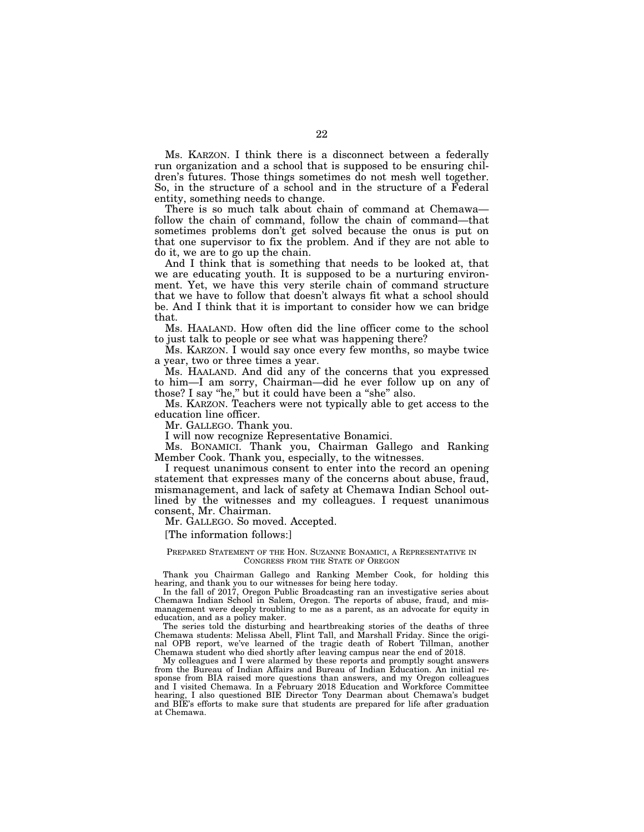Ms. KARZON. I think there is a disconnect between a federally run organization and a school that is supposed to be ensuring children's futures. Those things sometimes do not mesh well together. So, in the structure of a school and in the structure of a Federal entity, something needs to change.

There is so much talk about chain of command at Chemawa follow the chain of command, follow the chain of command—that sometimes problems don't get solved because the onus is put on that one supervisor to fix the problem. And if they are not able to do it, we are to go up the chain.

And I think that is something that needs to be looked at, that we are educating youth. It is supposed to be a nurturing environment. Yet, we have this very sterile chain of command structure that we have to follow that doesn't always fit what a school should be. And I think that it is important to consider how we can bridge that.

Ms. HAALAND. How often did the line officer come to the school to just talk to people or see what was happening there?

Ms. KARZON. I would say once every few months, so maybe twice a year, two or three times a year.

Ms. HAALAND. And did any of the concerns that you expressed to him—I am sorry, Chairman—did he ever follow up on any of those? I say "he," but it could have been a "she" also.

Ms. KARZON. Teachers were not typically able to get access to the education line officer.

Mr. GALLEGO. Thank you.

I will now recognize Representative Bonamici.

Ms. BONAMICI. Thank you, Chairman Gallego and Ranking Member Cook. Thank you, especially, to the witnesses.

I request unanimous consent to enter into the record an opening statement that expresses many of the concerns about abuse, fraud, mismanagement, and lack of safety at Chemawa Indian School outlined by the witnesses and my colleagues. I request unanimous consent, Mr. Chairman.

Mr. GALLEGO. So moved. Accepted.

[The information follows:]

#### PREPARED STATEMENT OF THE HON. SUZANNE BONAMICI, A REPRESENTATIVE IN CONGRESS FROM THE STATE OF OREGON

Thank you Chairman Gallego and Ranking Member Cook, for holding this hearing, and thank you to our witnesses for being here today.

In the fall of 2017, Oregon Public Broadcasting ran an investigative series about Chemawa Indian School in Salem, Oregon. The reports of abuse, fraud, and mismanagement were deeply troubling to me as a parent, as an advocate for equity in education, and as a policy maker.

The series told the disturbing and heartbreaking stories of the deaths of three Chemawa students: Melissa Abell, Flint Tall, and Marshall Friday. Since the original OPB report, we've learned of the tragic death of Robert Tillman, another Chemawa student who died shortly after leaving campus near the end of 2018.

My colleagues and I were alarmed by these reports and promptly sought answers from the Bureau of Indian Affairs and Bureau of Indian Education. An initial response from BIA raised more questions than answers, and my Oregon colleagues and I visited Chemawa. In a February 2018 Education and Workforce Committee hearing, I also questioned BIE Director Tony Dearman about Chemawa's budget and BIE's efforts to make sure that students are prepared for life after graduation at Chemawa.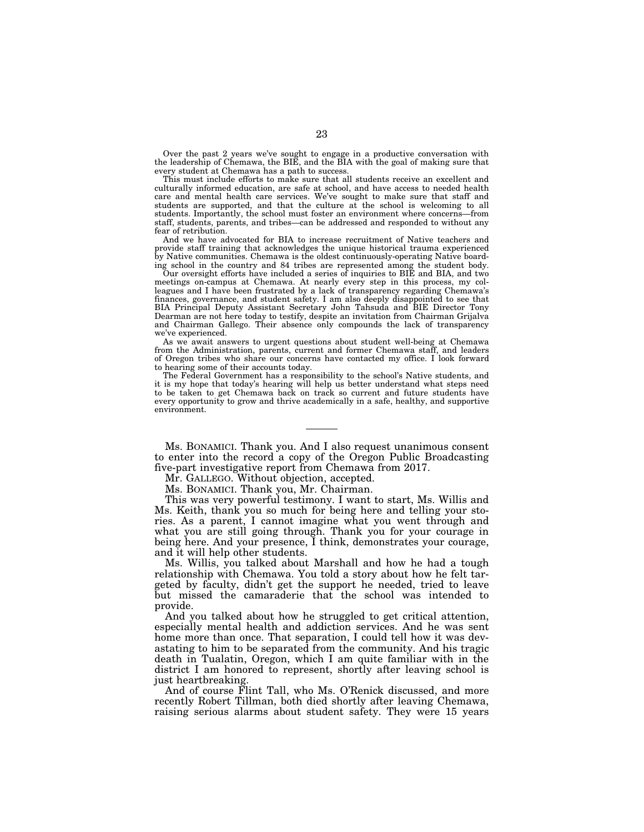Over the past 2 years we've sought to engage in a productive conversation with the leadership of Chemawa, the BIE, and the BIA with the goal of making sure that every student at Chemawa has a path to success.

This must include efforts to make sure that all students receive an excellent and culturally informed education, are safe at school, and have access to needed health care and mental health care services. We've sought to make sure that staff and students are supported, and that the culture at the school is welcoming to all students. Importantly, the school must foster an environment where concerns—from staff, students, parents, and tribes—can be addressed and responded to without any fear of retribution.

And we have advocated for BIA to increase recruitment of Native teachers and provide staff training that acknowledges the unique historical trauma experienced by Native communities. Chemawa is the oldest continuously-operating Native boarding school in the country and 84 tribes are represented among the student body.

Our oversight efforts have included a series of inquiries to BIE and BIA, and two meetings on-campus at Chemawa. At nearly every step in this process, my colleagues and I have been frustrated by a lack of transparency regarding Chemawa's finances, governance, and student safety. I am also deeply disappointed to see that BIA Principal Deputy Assistant Secretary John Tahsuda and BIE Director Tony Dearman are not here today to testify, despite an invitation from Chairman Grijalva and Chairman Gallego. Their absence only compounds the lack of transparency we've experienced.

As we await answers to urgent questions about student well-being at Chemawa from the Administration, parents, current and former Chemawa staff, and leaders of Oregon tribes who share our concerns have contacted my office. I look forward to hearing some of their accounts today.

The Federal Government has a responsibility to the school's Native students, and it is my hope that today's hearing will help us better understand what steps need to be taken to get Chemawa back on track so current and future students have every opportunity to grow and thrive academically in a safe, healthy, and supportive environment.

Ms. BONAMICI. Thank you. And I also request unanimous consent to enter into the record a copy of the Oregon Public Broadcasting five-part investigative report from Chemawa from 2017.

Mr. GALLEGO. Without objection, accepted.

Ms. BONAMICI. Thank you, Mr. Chairman.

This was very powerful testimony. I want to start, Ms. Willis and Ms. Keith, thank you so much for being here and telling your stories. As a parent, I cannot imagine what you went through and what you are still going through. Thank you for your courage in being here. And your presence, I think, demonstrates your courage, and it will help other students.

Ms. Willis, you talked about Marshall and how he had a tough relationship with Chemawa. You told a story about how he felt targeted by faculty, didn't get the support he needed, tried to leave but missed the camaraderie that the school was intended to provide.

And you talked about how he struggled to get critical attention, especially mental health and addiction services. And he was sent home more than once. That separation, I could tell how it was devastating to him to be separated from the community. And his tragic death in Tualatin, Oregon, which I am quite familiar with in the district I am honored to represent, shortly after leaving school is just heartbreaking.

And of course Flint Tall, who Ms. O'Renick discussed, and more recently Robert Tillman, both died shortly after leaving Chemawa, raising serious alarms about student safety. They were 15 years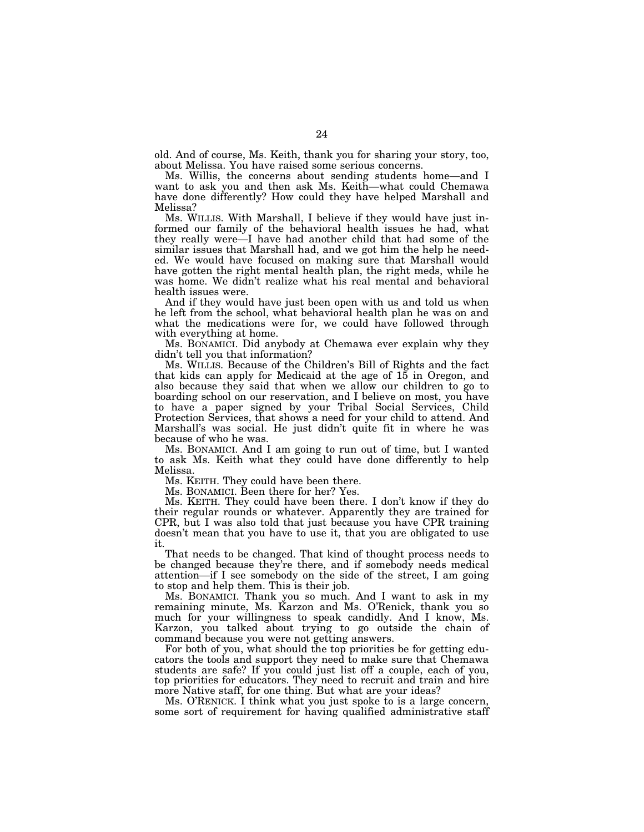old. And of course, Ms. Keith, thank you for sharing your story, too, about Melissa. You have raised some serious concerns.

Ms. Willis, the concerns about sending students home—and I want to ask you and then ask Ms. Keith—what could Chemawa have done differently? How could they have helped Marshall and Melissa?

Ms. WILLIS. With Marshall, I believe if they would have just informed our family of the behavioral health issues he had, what they really were—I have had another child that had some of the similar issues that Marshall had, and we got him the help he needed. We would have focused on making sure that Marshall would have gotten the right mental health plan, the right meds, while he was home. We didn't realize what his real mental and behavioral health issues were.

And if they would have just been open with us and told us when he left from the school, what behavioral health plan he was on and what the medications were for, we could have followed through with everything at home.

Ms. BONAMICI. Did anybody at Chemawa ever explain why they didn't tell you that information?

Ms. WILLIS. Because of the Children's Bill of Rights and the fact that kids can apply for Medicaid at the age of  $15$  in Oregon, and also because they said that when we allow our children to go to boarding school on our reservation, and I believe on most, you have to have a paper signed by your Tribal Social Services, Child Protection Services, that shows a need for your child to attend. And Marshall's was social. He just didn't quite fit in where he was because of who he was.

Ms. BONAMICI. And I am going to run out of time, but I wanted to ask Ms. Keith what they could have done differently to help Melissa.

Ms. KEITH. They could have been there.

Ms. BONAMICI. Been there for her? Yes.

Ms. KEITH. They could have been there. I don't know if they do their regular rounds or whatever. Apparently they are trained for CPR, but I was also told that just because you have CPR training doesn't mean that you have to use it, that you are obligated to use it.

That needs to be changed. That kind of thought process needs to be changed because they're there, and if somebody needs medical attention—if I see somebody on the side of the street, I am going to stop and help them. This is their job.

Ms. BONAMICI. Thank you so much. And I want to ask in my remaining minute, Ms. Karzon and Ms. O'Renick, thank you so much for your willingness to speak candidly. And I know, Ms. Karzon, you talked about trying to go outside the chain of command because you were not getting answers.

For both of you, what should the top priorities be for getting educators the tools and support they need to make sure that Chemawa students are safe? If you could just list off a couple, each of you, top priorities for educators. They need to recruit and train and hire more Native staff, for one thing. But what are your ideas?

Ms. O'RENICK. I think what you just spoke to is a large concern, some sort of requirement for having qualified administrative staff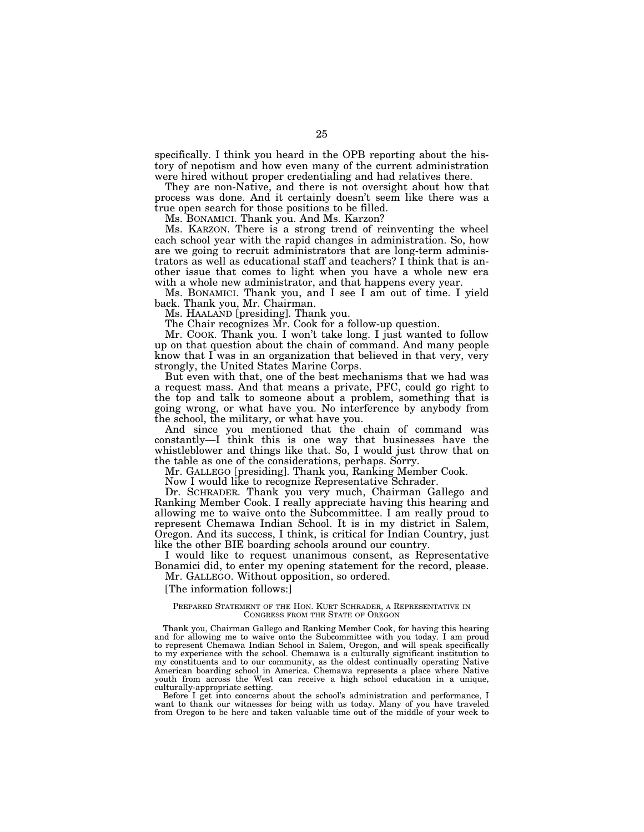specifically. I think you heard in the OPB reporting about the history of nepotism and how even many of the current administration were hired without proper credentialing and had relatives there.

They are non-Native, and there is not oversight about how that process was done. And it certainly doesn't seem like there was a true open search for those positions to be filled.

Ms. BONAMICI. Thank you. And Ms. Karzon?

Ms. KARZON. There is a strong trend of reinventing the wheel each school year with the rapid changes in administration. So, how are we going to recruit administrators that are long-term administrators as well as educational staff and teachers? I think that is another issue that comes to light when you have a whole new era with a whole new administrator, and that happens every year.

Ms. BONAMICI. Thank you, and I see I am out of time. I yield back. Thank you, Mr. Chairman.

Ms. HAALAND [presiding]. Thank you.

The Chair recognizes Mr. Cook for a follow-up question.

Mr. COOK. Thank you. I won't take long. I just wanted to follow up on that question about the chain of command. And many people know that I was in an organization that believed in that very, very strongly, the United States Marine Corps.

But even with that, one of the best mechanisms that we had was a request mass. And that means a private, PFC, could go right to the top and talk to someone about a problem, something that is going wrong, or what have you. No interference by anybody from the school, the military, or what have you.

And since you mentioned that the chain of command was constantly—I think this is one way that businesses have the whistleblower and things like that. So, I would just throw that on the table as one of the considerations, perhaps. Sorry.

Mr. GALLEGO [presiding]. Thank you, Ranking Member Cook.

Now I would like to recognize Representative Schrader.

Dr. SCHRADER. Thank you very much, Chairman Gallego and Ranking Member Cook. I really appreciate having this hearing and allowing me to waive onto the Subcommittee. I am really proud to represent Chemawa Indian School. It is in my district in Salem, Oregon. And its success, I think, is critical for Indian Country, just like the other BIE boarding schools around our country.

I would like to request unanimous consent, as Representative Bonamici did, to enter my opening statement for the record, please. Mr. GALLEGO. Without opposition, so ordered.

[The information follows:]

#### PREPARED STATEMENT OF THE HON. KURT SCHRADER, A REPRESENTATIVE IN CONGRESS FROM THE STATE OF OREGON

Thank you, Chairman Gallego and Ranking Member Cook, for having this hearing and for allowing me to waive onto the Subcommittee with you today. I am proud to represent Chemawa Indian School in Salem, Oregon, and will speak specifically to my experience with the school. Chemawa is a culturally significant institution to my constituents and to our community, as the oldest continually operating Native American boarding school in America. Chemawa represents a place where Native youth from across the West can receive a high school education in a unique, culturally-appropriate setting.

Before I get into concerns about the school's administration and performance, I want to thank our witnesses for being with us today. Many of you have traveled from Oregon to be here and taken valuable time out of the middle of your week to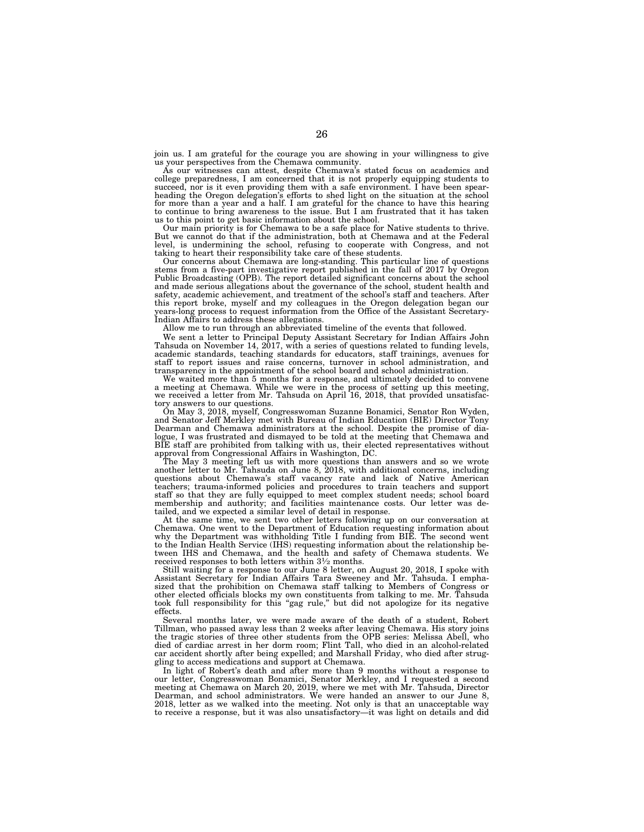join us. I am grateful for the courage you are showing in your willingness to give us your perspectives from the Chemawa community. As our witnesses can attest, despite Chemawa's stated focus on academics and

college preparedness, I am concerned that it is not properly equipping students to succeed, nor is it even providing them with a safe environment. I have been spearheading the Oregon delegation's efforts to shed light on the situation at the school for more than a year and a half. I am grateful for the chance to have this hearing to continue to bring awareness to the issue. But I am frustrated that it has taken us to this point to get basic information about the school.

Our main priority is for Chemawa to be a safe place for Native students to thrive.<br>But we cannot do that if the administration, both at Chemawa and at the Federal level, is undermining the school, refusing to cooperate with Congress, and not taking to heart their responsibility take care of these students.

Our concerns about Chemawa are long-standing. This particular line of questions stems from a five-part investigative report published in the fall of 2017 by Oregon Public Broadcasting (OPB). The report detailed significant concerns about the school and made serious allegations about the governance of the school, student health and safety, academic achievement, and treatment of the school's staff and teachers. After this report broke, myself and my colleagues in the Oregon delegation began our years-long process to request information from the Office of the Assistant Secretary-Indian Affairs to address these allegations.

Allow me to run through an abbreviated timeline of the events that followed.

We sent a letter to Principal Deputy Assistant Secretary for Indian Affairs John Tahsuda on November 14, 2017, with a series of questions related to funding levels, academic standards, teaching standards for educators, staff trainings, avenues for staff to report issues and raise concerns, turnover in school administration, and transparency in the appointment of the school board and school administration.

We waited more than 5 months for a response, and ultimately decided to convene a meeting at Chemawa. While we were in the process of setting up this meeting, we received a letter from Mr. Tahsuda on April 16, 2018, that provided unsatisfactory answers to our questions.

On May 3, 2018, myself, Congresswoman Suzanne Bonamici, Senator Ron Wyden, and Senator Jeff Merkley met with Bureau of Indian Education (BIE) Director Tony Dearman and Chemawa administrators at the school. Despite the promise of dialogue, I was frustrated and dismayed to be told at the meeting that Chemawa and BIE staff are prohibited from talking with us, their elected representatives without approval from Congressional Affairs in Washington, DC.

The May 3 meeting left us with more questions than answers and so we wrote another letter to Mr. Tahsuda on June 8, 2018, with additional concerns, including questions about Chemawa's staff vacancy rate and lack of Native American teachers; trauma-informed policies and procedures to train teachers and support staff so that they are fully equipped to meet complex student needs; school board membership and authority; and facilities maintenance costs. Our letter was detailed, and we expected a similar level of detail in response.

At the same time, we sent two other letters following up on our conversation at Chemawa. One went to the Department of Education requesting information about why the Department was withholding Title I funding from BIE. The second went to the Indian Health Service (IHS) requesting information about the relationship between IHS and Chemawa, and the health and safety of Chemawa students. We received responses to both letters within 31⁄2 months.

Still waiting for a response to our June 8 letter, on August 20, 2018, I spoke with Assistant Secretary for Indian Affairs Tara Sweeney and Mr. Tahsuda. I emphasized that the prohibition on Chemawa staff talking to Members of Congress or other elected officials blocks my own constituents from talking to me. Mr. Tahsuda took full responsibility for this "gag rule," but did not apologize for its negative effects.

Several months later, we were made aware of the death of a student, Robert Tillman, who passed away less than 2 weeks after leaving Chemawa. His story joins the tragic stories of three other students from the OPB series: Melissa Abell, who died of cardiac arrest in her dorm room; Flint Tall, who died in an alcohol-related car accident shortly after being expelled; and Marshall Friday, who died after struggling to access medications and support at Chemawa.

In light of Robert's death and after more than 9 months without a response to our letter, Congresswoman Bonamici, Senator Merkley, and I requested a second meeting at Chemawa on March 20, 2019, where we met with Mr. Tahsuda, Director Dearman, and school administrators. We were handed an answer to our June 8, 2018, letter as we walked into the meeting. Not only is that an unacceptable way to receive a response, but it was also unsatisfactory—it was light on details and did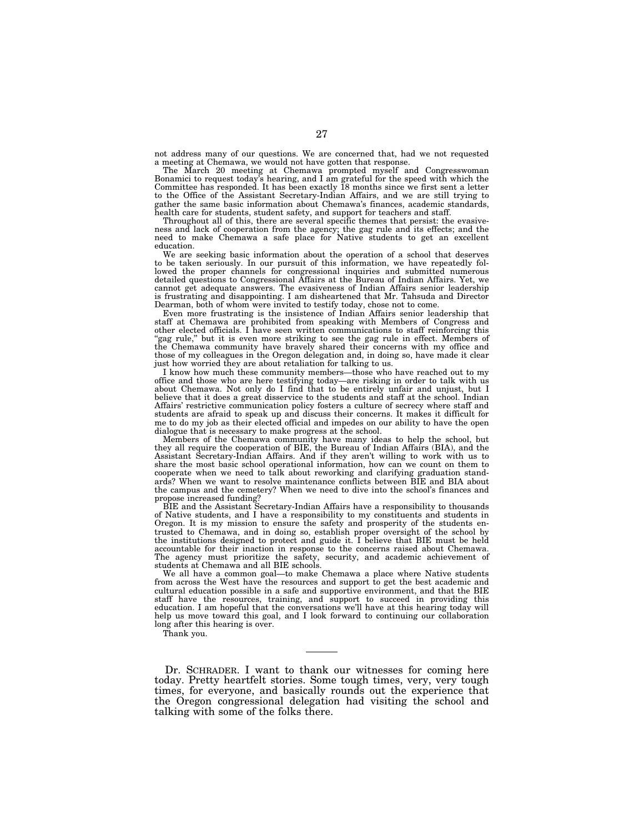not address many of our questions. We are concerned that, had we not requested a meeting at Chemawa, we would not have gotten that response.

The March 20 meeting at Chemawa prompted myself and Congresswoman Bonamici to request today's hearing, and I am grateful for the speed with which the Committee has responded. It has been exactly 18 months since we first sent a letter to the Office of the Assistant Secretary-Indian Affairs, and we are still trying to gather the same basic information about Chemawa's finances, academic standards, health care for students, student safety, and support for teachers and staff.

Throughout all of this, there are several specific themes that persist: the evasiveness and lack of cooperation from the agency; the gag rule and its effects; and the need to make Chemawa a safe place for Native students to get an excellent education.

We are seeking basic information about the operation of a school that deserves to be taken seriously. In our pursuit of this information, we have repeatedly followed the proper channels for congressional inquiries and submitted numerous detailed questions to Congressional Affairs at the Bureau of Indian Affairs. Yet, we cannot get adequate answers. The evasiveness of Indian Affairs senior leadership is frustrating and disappointing. I am disheartened that Mr. Tahsuda and Director Dearman, both of whom were invited to testify today, chose not to come.

Even more frustrating is the insistence of Indian Affairs senior leadership that staff at Chemawa are prohibited from speaking with Members of Congress and other elected officials. I have seen written communications to staff reinforcing this "gag rule," but it is even more striking to see the gag rule in effect. Members of the Chemawa community have bravely shared their concerns with my office and those of my colleagues in the Oregon delegation and, in doing so, have made it clear just how worried they are about retaliation for talking to us.

I know how much these community members—those who have reached out to my office and those who are here testifying today—are risking in order to talk with us about Chemawa. Not only do I find that to be entirely unfair and unjust, but I believe that it does a great disservice to the students and staff at the school. Indian Affairs' restrictive communication policy fosters a culture of secrecy where staff and students are afraid to speak up and discuss their concerns. It makes it difficult for me to do my job as their elected official and impedes on our ability to have the open dialogue that is necessary to make progress at the school.

Members of the Chemawa community have many ideas to help the school, but they all require the cooperation of BIE, the Bureau of Indian Affairs (BIA), and the Assistant Secretary-Indian Affairs. And if they aren't willing to work with us to share the most basic school operational information, how can we count on them to cooperate when we need to talk about reworking and clarifying graduation standards? When we want to resolve maintenance conflicts between BIE and BIA about the campus and the cemetery? When we need to dive into the school's finances and propose increased funding?

BIE and the Assistant Secretary-Indian Affairs have a responsibility to thousands of Native students, and I have a responsibility to my constituents and students in Oregon. It is my mission to ensure the safety and prosperity of the students entrusted to Chemawa, and in doing so, establish proper oversight of the school by the institutions designed to protect and guide it. I believe that BIE must be held accountable for their inaction in response to the concerns raised about Chemawa. The agency must prioritize the safety, security, and academic achievement of students at Chemawa and all BIE schools.

We all have a common goal—to make Chemawa a place where Native students from across the West have the resources and support to get the best academic and cultural education possible in a safe and supportive environment, and that the BIE staff have the resources, training, and support to succeed in providing this education. I am hopeful that the conversations we'll have at this hearing today will help us move toward this goal, and I look forward to continuing our collaboration long after this hearing is over.

Thank you.

Dr. SCHRADER. I want to thank our witnesses for coming here today. Pretty heartfelt stories. Some tough times, very, very tough times, for everyone, and basically rounds out the experience that the Oregon congressional delegation had visiting the school and talking with some of the folks there.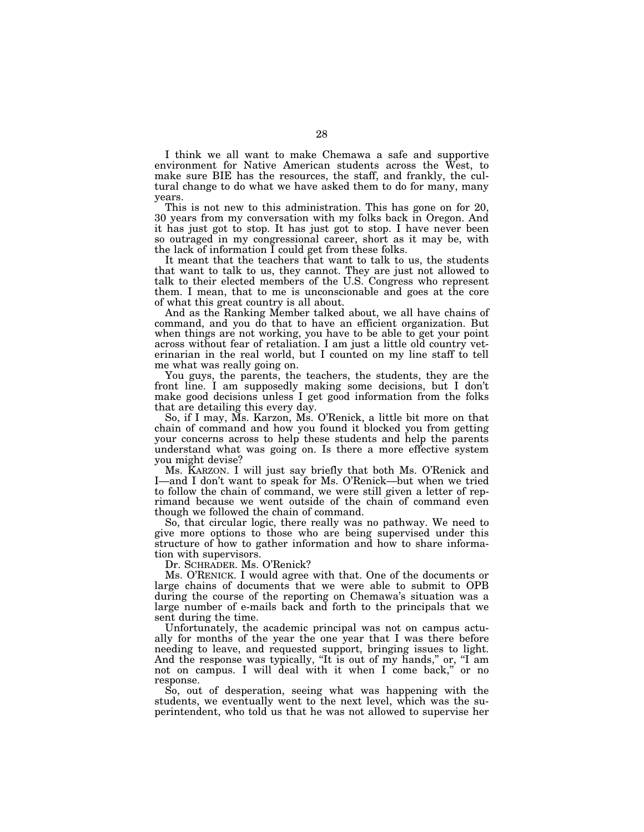I think we all want to make Chemawa a safe and supportive environment for Native American students across the West, to make sure BIE has the resources, the staff, and frankly, the cultural change to do what we have asked them to do for many, many years.

This is not new to this administration. This has gone on for 20, 30 years from my conversation with my folks back in Oregon. And it has just got to stop. It has just got to stop. I have never been so outraged in my congressional career, short as it may be, with the lack of information  $\overline{I}$  could get from these folks.

It meant that the teachers that want to talk to us, the students that want to talk to us, they cannot. They are just not allowed to talk to their elected members of the U.S. Congress who represent them. I mean, that to me is unconscionable and goes at the core of what this great country is all about.

And as the Ranking Member talked about, we all have chains of command, and you do that to have an efficient organization. But when things are not working, you have to be able to get your point across without fear of retaliation. I am just a little old country veterinarian in the real world, but I counted on my line staff to tell me what was really going on.

You guys, the parents, the teachers, the students, they are the front line. I am supposedly making some decisions, but I don't make good decisions unless I get good information from the folks that are detailing this every day.

So, if I may, Ms. Karzon, Ms. O'Renick, a little bit more on that chain of command and how you found it blocked you from getting your concerns across to help these students and help the parents understand what was going on. Is there a more effective system you might devise?

Ms. KARZON. I will just say briefly that both Ms. O'Renick and I—and I don't want to speak for Ms. O'Renick—but when we tried to follow the chain of command, we were still given a letter of reprimand because we went outside of the chain of command even though we followed the chain of command.

So, that circular logic, there really was no pathway. We need to give more options to those who are being supervised under this structure of how to gather information and how to share information with supervisors.

Dr. SCHRADER. Ms. O'Renick?

Ms. O'RENICK. I would agree with that. One of the documents or large chains of documents that we were able to submit to OPB during the course of the reporting on Chemawa's situation was a large number of e-mails back and forth to the principals that we sent during the time.

Unfortunately, the academic principal was not on campus actually for months of the year the one year that I was there before needing to leave, and requested support, bringing issues to light. And the response was typically, "It is out of my hands," or, "I am not on campus. I will deal with it when I come back,'' or no response.

So, out of desperation, seeing what was happening with the students, we eventually went to the next level, which was the superintendent, who told us that he was not allowed to supervise her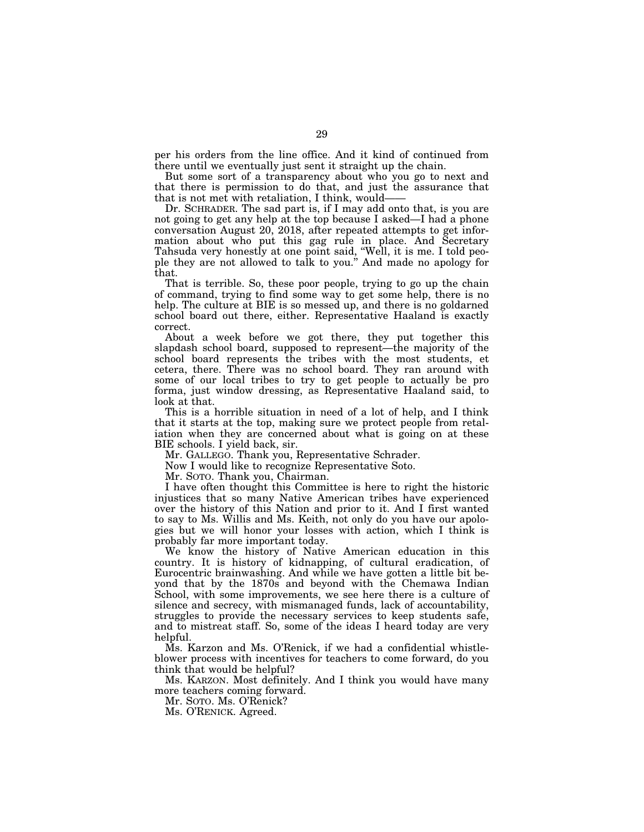per his orders from the line office. And it kind of continued from there until we eventually just sent it straight up the chain.

But some sort of a transparency about who you go to next and that there is permission to do that, and just the assurance that that is not met with retaliation, I think, would——

Dr. SCHRADER. The sad part is, if I may add onto that, is you are not going to get any help at the top because I asked—I had a phone conversation August 20, 2018, after repeated attempts to get information about who put this gag rule in place. And Secretary Tahsuda very honestly at one point said, ''Well, it is me. I told people they are not allowed to talk to you.'' And made no apology for that.

That is terrible. So, these poor people, trying to go up the chain of command, trying to find some way to get some help, there is no help. The culture at BIE is so messed up, and there is no goldarned school board out there, either. Representative Haaland is exactly correct.

About a week before we got there, they put together this slapdash school board, supposed to represent—the majority of the school board represents the tribes with the most students, et cetera, there. There was no school board. They ran around with some of our local tribes to try to get people to actually be pro forma, just window dressing, as Representative Haaland said, to look at that.

This is a horrible situation in need of a lot of help, and I think that it starts at the top, making sure we protect people from retaliation when they are concerned about what is going on at these BIE schools. I yield back, sir.

Mr. GALLEGO. Thank you, Representative Schrader.

Now I would like to recognize Representative Soto.

Mr. SOTO. Thank you, Chairman.

I have often thought this Committee is here to right the historic injustices that so many Native American tribes have experienced over the history of this Nation and prior to it. And I first wanted to say to Ms. Willis and Ms. Keith, not only do you have our apologies but we will honor your losses with action, which I think is probably far more important today.

We know the history of Native American education in this country. It is history of kidnapping, of cultural eradication, of Eurocentric brainwashing. And while we have gotten a little bit beyond that by the 1870s and beyond with the Chemawa Indian School, with some improvements, we see here there is a culture of silence and secrecy, with mismanaged funds, lack of accountability, struggles to provide the necessary services to keep students safe, and to mistreat staff. So, some of the ideas I heard today are very helpful.

Ms. Karzon and Ms. O'Renick, if we had a confidential whistleblower process with incentives for teachers to come forward, do you think that would be helpful?

Ms. KARZON. Most definitely. And I think you would have many more teachers coming forward.

Mr. SOTO. Ms. O'Renick?

Ms. O'RENICK. Agreed.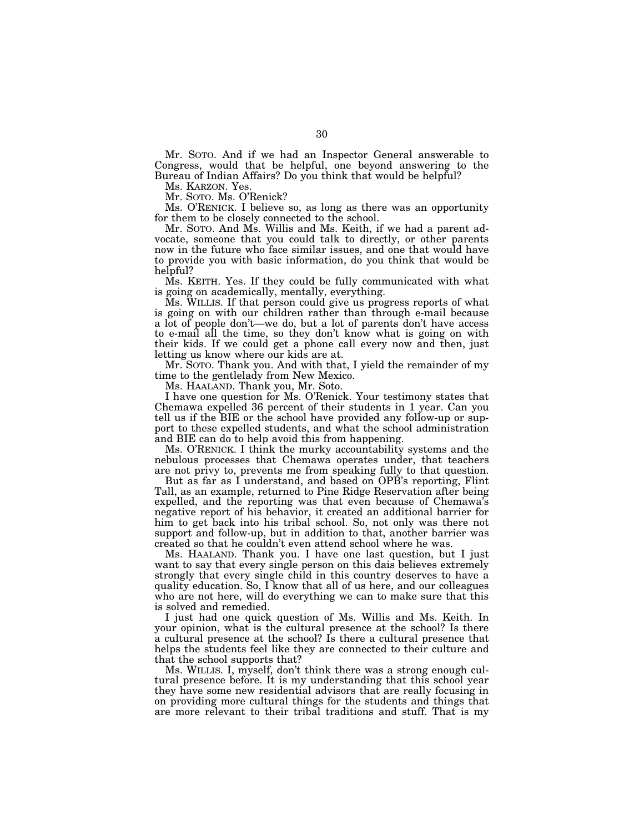Mr. SOTO. And if we had an Inspector General answerable to Congress, would that be helpful, one beyond answering to the Bureau of Indian Affairs? Do you think that would be helpful?

Ms. KARZON. Yes.

Mr. SOTO. Ms. O'Renick?

Ms. O'RENICK. I believe so, as long as there was an opportunity for them to be closely connected to the school.

Mr. SOTO. And Ms. Willis and Ms. Keith, if we had a parent advocate, someone that you could talk to directly, or other parents now in the future who face similar issues, and one that would have to provide you with basic information, do you think that would be helpful?

Ms. KEITH. Yes. If they could be fully communicated with what is going on academically, mentally, everything.

Ms. WILLIS. If that person could give us progress reports of what is going on with our children rather than through e-mail because a lot of people don't—we do, but a lot of parents don't have access to e-mail all the time, so they don't know what is going on with their kids. If we could get a phone call every now and then, just letting us know where our kids are at.

Mr. SOTO. Thank you. And with that, I yield the remainder of my time to the gentlelady from New Mexico.

Ms. HAALAND. Thank you, Mr. Soto.

I have one question for Ms. O'Renick. Your testimony states that Chemawa expelled 36 percent of their students in 1 year. Can you tell us if the BIE or the school have provided any follow-up or support to these expelled students, and what the school administration and BIE can do to help avoid this from happening.

Ms. O'RENICK. I think the murky accountability systems and the nebulous processes that Chemawa operates under, that teachers are not privy to, prevents me from speaking fully to that question.

But as far as I understand, and based on OPB's reporting, Flint Tall, as an example, returned to Pine Ridge Reservation after being expelled, and the reporting was that even because of Chemawa's negative report of his behavior, it created an additional barrier for him to get back into his tribal school. So, not only was there not support and follow-up, but in addition to that, another barrier was created so that he couldn't even attend school where he was.

Ms. HAALAND. Thank you. I have one last question, but I just want to say that every single person on this dais believes extremely strongly that every single child in this country deserves to have a quality education. So, I know that all of us here, and our colleagues who are not here, will do everything we can to make sure that this is solved and remedied.

I just had one quick question of Ms. Willis and Ms. Keith. In your opinion, what is the cultural presence at the school? Is there a cultural presence at the school? Is there a cultural presence that helps the students feel like they are connected to their culture and that the school supports that?

Ms. WILLIS. I, myself, don't think there was a strong enough cultural presence before. It is my understanding that this school year they have some new residential advisors that are really focusing in on providing more cultural things for the students and things that are more relevant to their tribal traditions and stuff. That is my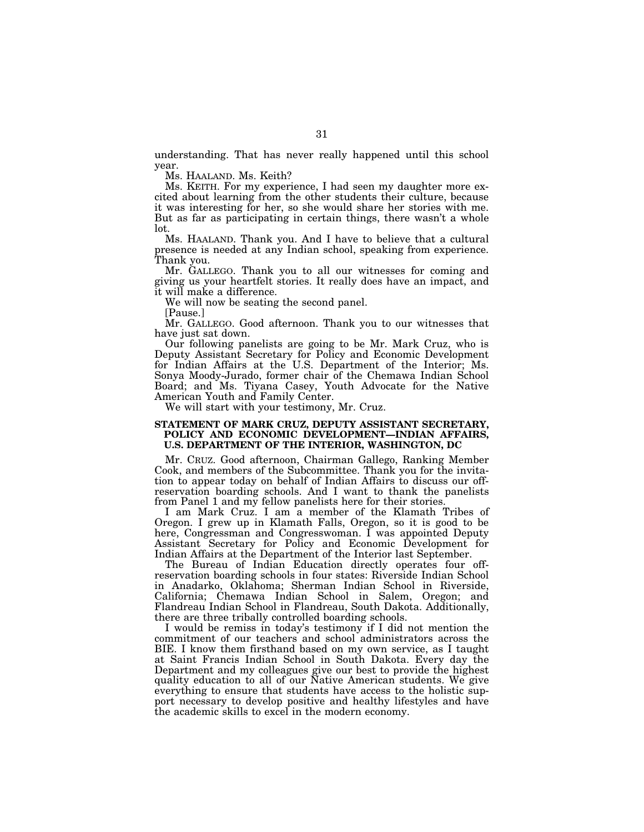understanding. That has never really happened until this school year.

Ms. HAALAND. Ms. Keith?

Ms. KEITH. For my experience, I had seen my daughter more excited about learning from the other students their culture, because it was interesting for her, so she would share her stories with me. But as far as participating in certain things, there wasn't a whole lot.

Ms. HAALAND. Thank you. And I have to believe that a cultural presence is needed at any Indian school, speaking from experience. Thank you.

Mr. GALLEGO. Thank you to all our witnesses for coming and giving us your heartfelt stories. It really does have an impact, and it will make a difference.

We will now be seating the second panel.

[Pause.]

Mr. GALLEGO. Good afternoon. Thank you to our witnesses that have just sat down.

Our following panelists are going to be Mr. Mark Cruz, who is Deputy Assistant Secretary for Policy and Economic Development for Indian Affairs at the U.S. Department of the Interior; Ms. Sonya Moody-Jurado, former chair of the Chemawa Indian School Board; and Ms. Tiyana Casey, Youth Advocate for the Native American Youth and Family Center.

We will start with your testimony, Mr. Cruz.

# **STATEMENT OF MARK CRUZ, DEPUTY ASSISTANT SECRETARY, POLICY AND ECONOMIC DEVELOPMENT—INDIAN AFFAIRS, U.S. DEPARTMENT OF THE INTERIOR, WASHINGTON, DC**

Mr. CRUZ. Good afternoon, Chairman Gallego, Ranking Member Cook, and members of the Subcommittee. Thank you for the invitation to appear today on behalf of Indian Affairs to discuss our offreservation boarding schools. And I want to thank the panelists from Panel 1 and my fellow panelists here for their stories.

I am Mark Cruz. I am a member of the Klamath Tribes of Oregon. I grew up in Klamath Falls, Oregon, so it is good to be here, Congressman and Congresswoman. I was appointed Deputy Assistant Secretary for Policy and Economic Development for Indian Affairs at the Department of the Interior last September.

The Bureau of Indian Education directly operates four offreservation boarding schools in four states: Riverside Indian School in Anadarko, Oklahoma; Sherman Indian School in Riverside, California; Chemawa Indian School in Salem, Oregon; and Flandreau Indian School in Flandreau, South Dakota. Additionally, there are three tribally controlled boarding schools.

I would be remiss in today's testimony if I did not mention the commitment of our teachers and school administrators across the BIE. I know them firsthand based on my own service, as I taught at Saint Francis Indian School in South Dakota. Every day the Department and my colleagues give our best to provide the highest quality education to all of our Native American students. We give everything to ensure that students have access to the holistic support necessary to develop positive and healthy lifestyles and have the academic skills to excel in the modern economy.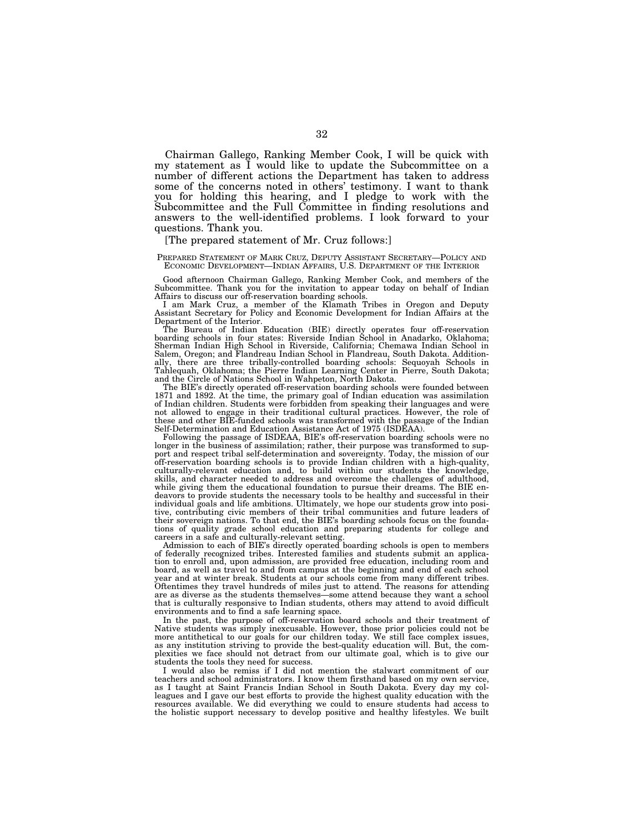Chairman Gallego, Ranking Member Cook, I will be quick with my statement as I would like to update the Subcommittee on a number of different actions the Department has taken to address some of the concerns noted in others' testimony. I want to thank you for holding this hearing, and I pledge to work with the Subcommittee and the Full Committee in finding resolutions and answers to the well-identified problems. I look forward to your questions. Thank you.

### [The prepared statement of Mr. Cruz follows:]

#### PREPARED STATEMENT OF MARK CRUZ, DEPUTY ASSISTANT SECRETARY—POLICY AND ECONOMIC DEVELOPMENT—INDIAN AFFAIRS, U.S. DEPARTMENT OF THE INTERIOR

Good afternoon Chairman Gallego, Ranking Member Cook, and members of the Subcommittee. Thank you for the invitation to appear today on behalf of Indian Affairs to discuss our off-reservation boarding schools.

I am Mark Cruz, a member of the Klamath Tribes in Oregon and Deputy Assistant Secretary for Policy and Economic Development for Indian Affairs at the Department of the Interior.

The Bureau of Indian Education (BIE) directly operates four off-reservation boarding schools in four states: Riverside Indian School in Anadarko, Oklahoma; Sherman Indian High School in Riverside, California; Chemawa Indian School in Salem, Oregon; and Flandreau Indian School in Flandreau, South Dakota. Additionally, there are three tribally-controlled boarding schools: Sequoyah Schools in Tahlequah, Oklahoma; the Pierre Indian Learning Center in Pierre, South Dakota; and the Circle of Nations School in Wahpeton, North Dakota.

The BIE's directly operated off-reservation boarding schools were founded between 1871 and 1892. At the time, the primary goal of Indian education was assimilation of Indian children. Students were forbidden from speaking their languages and were not allowed to engage in their traditional cultural practices. However, the role of these and other BIE-funded schools was transformed with the passage of the Indian Self-Determination and Education Assistance Act of 1975 (ISDEAA).

Following the passage of ISDEAA, BIE's off-reservation boarding schools were no longer in the business of assimilation; rather, their purpose was transformed to support and respect tribal self-determination and sovereignty. Today, the mission of our off-reservation boarding schools is to provide Indian children with a high-quality, culturally-relevant education and, to build within our students the knowledge, skills, and character needed to address and overcome the challenges of adulthood, while giving them the educational foundation to pursue their dreams. The BIE endeavors to provide students the necessary tools to be healthy and successful in their individual goals and life ambitions. Ultimately, we hope our students grow into positive, contributing civic members of their tribal communities and future leaders of their sovereign nations. To that end, the BIE's boarding schools focus on the foundations of quality grade school education and preparing students for college and careers in a safe and culturally-relevant setting.

Admission to each of BIE's directly operated boarding schools is open to members of federally recognized tribes. Interested families and students submit an application to enroll and, upon admission, are provided free education, including room and board, as well as travel to and from campus at the beginning and end of each school year and at winter break. Students at our schools come from many different tribes. Oftentimes they travel hundreds of miles just to attend. The reasons for attending are as diverse as the students themselves—some attend because they want a school that is culturally responsive to Indian students, others may attend to avoid difficult environments and to find a safe learning space.

In the past, the purpose of off-reservation board schools and their treatment of Native students was simply inexcusable. However, those prior policies could not be more antithetical to our goals for our children today. We still face complex issues, as any institution striving to provide the best-quality education will. But, the complexities we face should not detract from our ultimate goal, which is to give our students the tools they need for success.

I would also be remiss if I did not mention the stalwart commitment of our teachers and school administrators. I know them firsthand based on my own service, as I taught at Saint Francis Indian School in South Dakota. Every day my colleagues and I gave our best efforts to provide the highest quality education with the resources available. We did everything we could to ensure students had access to the holistic support necessary to develop positive and healthy lifestyles. We built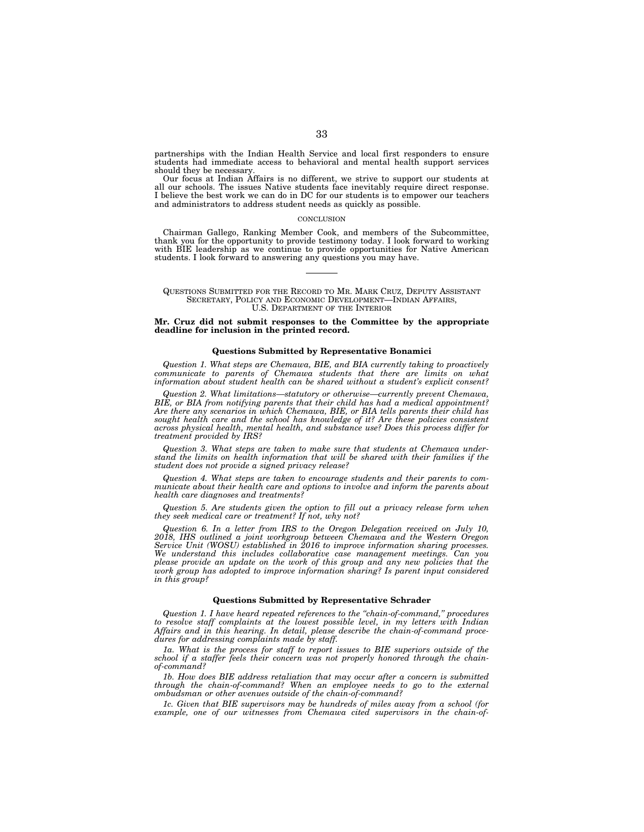partnerships with the Indian Health Service and local first responders to ensure students had immediate access to behavioral and mental health support services should they be necessary.

Our focus at Indian Affairs is no different, we strive to support our students at all our schools. The issues Native students face inevitably require direct response. I believe the best work we can do in DC for our students is to empower our teachers and administrators to address student needs as quickly as possible.

#### **CONCLUSION**

Chairman Gallego, Ranking Member Cook, and members of the Subcommittee, thank you for the opportunity to provide testimony today. I look forward to working with BIE leadership as we continue to provide opportunities for Native American students. I look forward to answering any questions you may have.

QUESTIONS SUBMITTED FOR THE RECORD TO MR. MARK CRUZ, DEPUTY ASSISTANT SECRETARY, POLICY AND ECONOMIC DEVELOPMENT—INDIAN AFFAIRS, U.S. DEPARTMENT OF THE INTERIOR

## **Mr. Cruz did not submit responses to the Committee by the appropriate deadline for inclusion in the printed record.**

### **Questions Submitted by Representative Bonamici**

*Question 1. What steps are Chemawa, BIE, and BIA currently taking to proactively communicate to parents of Chemawa students that there are limits on what information about student health can be shared without a student's explicit consent?* 

*Question 2. What limitations—statutory or otherwise—currently prevent Chemawa, BIE, or BIA from notifying parents that their child has had a medical appointment? Are there any scenarios in which Chemawa, BIE, or BIA tells parents their child has sought health care and the school has knowledge of it? Are these policies consistent across physical health, mental health, and substance use? Does this process differ for treatment provided by IRS?* 

*Question 3. What steps are taken to make sure that students at Chemawa understand the limits on health information that will be shared with their families if the student does not provide a signed privacy release?* 

*Question 4. What steps are taken to encourage students and their parents to communicate about their health care and options to involve and inform the parents about health care diagnoses and treatments?* 

*Question 5. Are students given the option to fill out a privacy release form when they seek medical care or treatment? If not, why not?* 

*Question 6. In a letter from IRS to the Oregon Delegation received on July 10, 2018, IHS outlined a joint workgroup between Chemawa and the Western Oregon Service Unit (WOSU) established in 2016 to improve information sharing processes. We understand this includes collaborative case management meetings. Can you*  please provide an update on the work of this group and any new policies that the *work group has adopted to improve information sharing? Is parent input considered in this group?* 

### **Questions Submitted by Representative Schrader**

*Question 1. I have heard repeated references to the ''chain-of-command,'' procedures to resolve staff complaints at the lowest possible level, in my letters with Indian Affairs and in this hearing. In detail, please describe the chain-of-command procedures for addressing complaints made by staff.* 

*1a. What is the process for staff to report issues to BIE superiors outside of the school if a staffer feels their concern was not properly honored through the chainof-command?* 

*1b. How does BIE address retaliation that may occur after a concern is submitted through the chain-of-command?* When an employee needs to go to the external *ombudsman or other avenues outside of the chain-of-command?* 

*1c. Given that BIE supervisors may be hundreds of miles away from a school (for example, one of our witnesses from Chemawa cited supervisors in the chain-of-*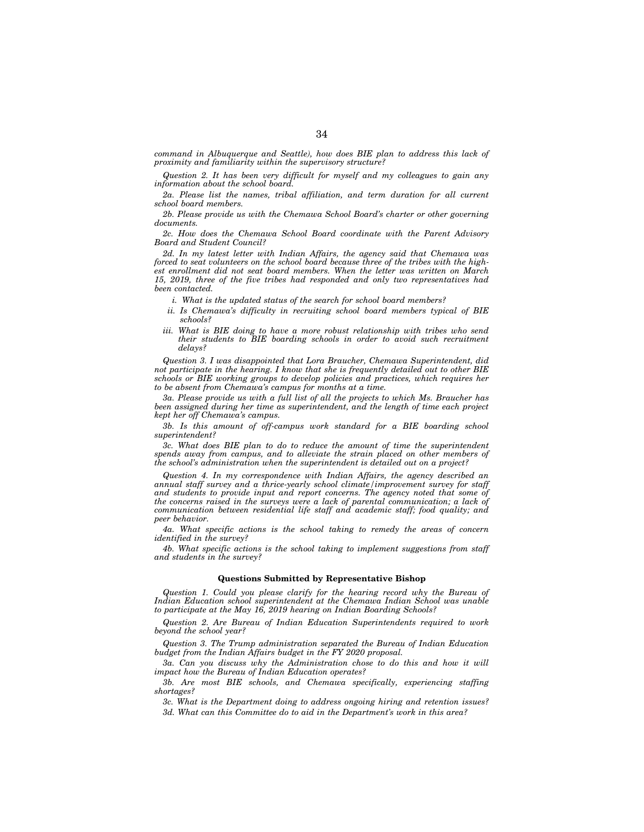command in Albuquerque and Seattle), how does BIE plan to address this lack of *proximity and familiarity within the supervisory structure?* 

*Question 2. It has been very difficult for myself and my colleagues to gain any information about the school board.* 

*2a. Please list the names, tribal affiliation, and term duration for all current school board members.* 

*2b. Please provide us with the Chemawa School Board's charter or other governing documents.* 

*2c. How does the Chemawa School Board coordinate with the Parent Advisory Board and Student Council?* 

*2d. In my latest letter with Indian Affairs, the agency said that Chemawa was forced to seat volunteers on the school board because three of the tribes with the highest enrollment did not seat board members. When the letter was written on March 15, 2019, three of the five tribes had responded and only two representatives had been contacted.* 

*i. What is the updated status of the search for school board members?* 

- *ii. Is Chemawa's difficulty in recruiting school board members typical of BIE schools?*
- *iii.* What is BIE doing to have a more robust relationship with tribes who send *their students to BIE boarding schools in order to avoid such recruitment delays?*

*Question 3. I was disappointed that Lora Braucher, Chemawa Superintendent, did not participate in the hearing. I know that she is frequently detailed out to other BIE schools or BIE working groups to develop policies and practices, which requires her to be absent from Chemawa's campus for months at a time.* 

*3a. Please provide us with a full list of all the projects to which Ms. Braucher has been assigned during her time as superintendent, and the length of time each project kept her off Chemawa's campus.* 

*3b. Is this amount of off-campus work standard for a BIE boarding school superintendent?* 

*3c. What does BIE plan to do to reduce the amount of time the superintendent*  spends away from campus, and to alleviate the strain placed on other members of *the school's administration when the superintendent is detailed out on a project?* 

*Question 4. In my correspondence with Indian Affairs, the agency described an*  annual staff survey and a thrice-yearly school climate/improvement survey for staff and students to provide input and report concerns. The agency noted that some of the concerns raised in the surveys were a lack of parental communication; a lack of *communication between residential life staff and academic staff; food quality; and peer behavior.* 

*4a. What specific actions is the school taking to remedy the areas of concern identified in the survey?* 

*4b. What specific actions is the school taking to implement suggestions from staff and students in the survey?* 

### **Questions Submitted by Representative Bishop**

*Question 1. Could you please clarify for the hearing record why the Bureau of Indian Education school superintendent at the Chemawa Indian School was unable to participate at the May 16, 2019 hearing on Indian Boarding Schools?* 

*Question 2. Are Bureau of Indian Education Superintendents required to work beyond the school year?* 

*Question 3. The Trump administration separated the Bureau of Indian Education budget from the Indian Affairs budget in the FY 2020 proposal.* 

*3a. Can you discuss why the Administration chose to do this and how it will impact how the Bureau of Indian Education operates?* 

*3b. Are most BIE schools, and Chemawa specifically, experiencing staffing shortages?* 

*3c. What is the Department doing to address ongoing hiring and retention issues? 3d. What can this Committee do to aid in the Department's work in this area?*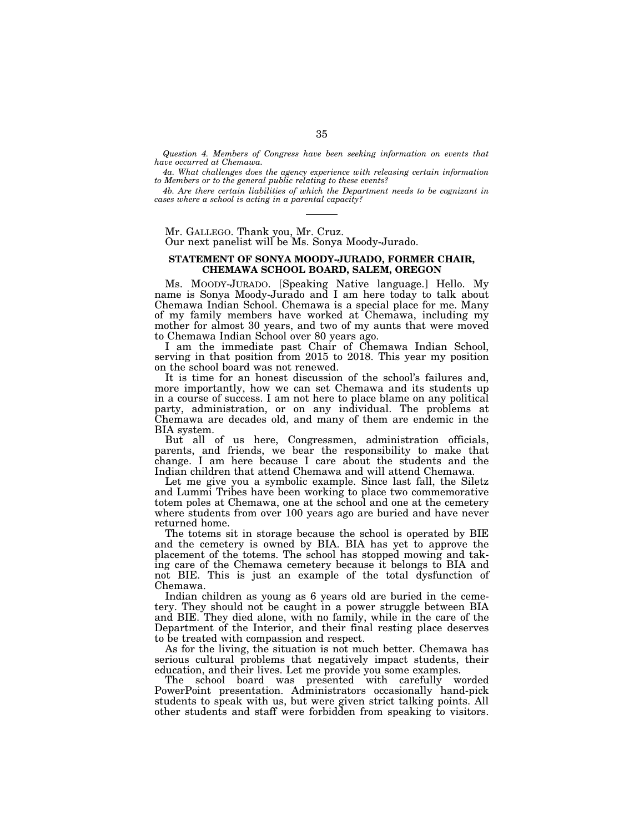*Question 4. Members of Congress have been seeking information on events that have occurred at Chemawa.* 

*4a. What challenges does the agency experience with releasing certain information to Members or to the general public relating to these events?* 

*4b. Are there certain liabilities of which the Department needs to be cognizant in cases where a school is acting in a parental capacity?* 

## Mr. GALLEGO. Thank you, Mr. Cruz.

Our next panelist will be Ms. Sonya Moody-Jurado.

# **STATEMENT OF SONYA MOODY-JURADO, FORMER CHAIR, CHEMAWA SCHOOL BOARD, SALEM, OREGON**

Ms. MOODY-JURADO. [Speaking Native language.] Hello. My name is Sonya Moody-Jurado and I am here today to talk about Chemawa Indian School. Chemawa is a special place for me. Many of my family members have worked at Chemawa, including my mother for almost 30 years, and two of my aunts that were moved to Chemawa Indian School over 80 years ago.

I am the immediate past Chair of Chemawa Indian School, serving in that position from 2015 to 2018. This year my position on the school board was not renewed.

It is time for an honest discussion of the school's failures and, more importantly, how we can set Chemawa and its students up in a course of success. I am not here to place blame on any political party, administration, or on any individual. The problems at Chemawa are decades old, and many of them are endemic in the BIA system.

But all of us here, Congressmen, administration officials, parents, and friends, we bear the responsibility to make that change. I am here because I care about the students and the Indian children that attend Chemawa and will attend Chemawa.

Let me give you a symbolic example. Since last fall, the Siletz and Lummi Tribes have been working to place two commemorative totem poles at Chemawa, one at the school and one at the cemetery where students from over 100 years ago are buried and have never returned home.

The totems sit in storage because the school is operated by BIE and the cemetery is owned by BIA. BIA has yet to approve the placement of the totems. The school has stopped mowing and taking care of the Chemawa cemetery because it belongs to BIA and not BIE. This is just an example of the total dysfunction of Chemawa.

Indian children as young as 6 years old are buried in the cemetery. They should not be caught in a power struggle between BIA and BIE. They died alone, with no family, while in the care of the Department of the Interior, and their final resting place deserves to be treated with compassion and respect.

As for the living, the situation is not much better. Chemawa has serious cultural problems that negatively impact students, their education, and their lives. Let me provide you some examples.

The school board was presented with carefully worded PowerPoint presentation. Administrators occasionally hand-pick students to speak with us, but were given strict talking points. All other students and staff were forbidden from speaking to visitors.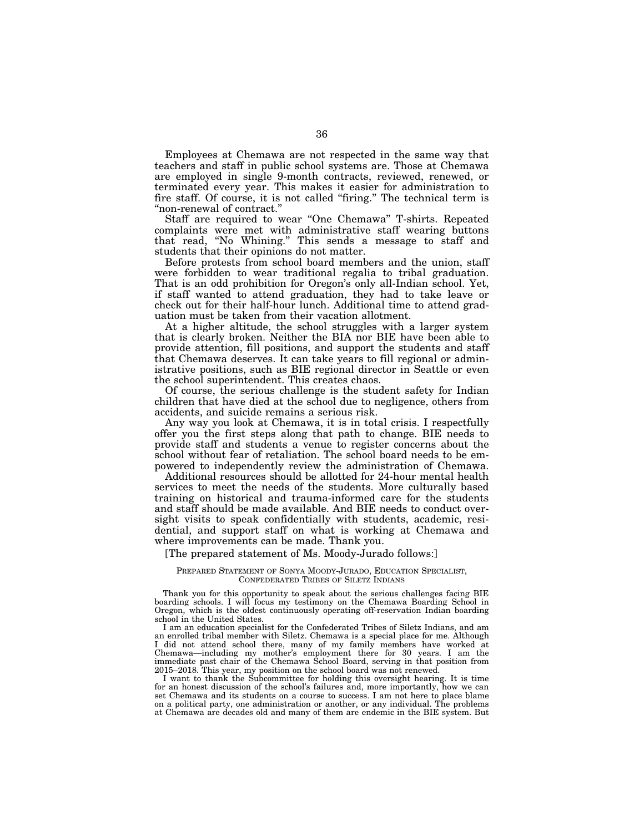Employees at Chemawa are not respected in the same way that teachers and staff in public school systems are. Those at Chemawa are employed in single 9-month contracts, reviewed, renewed, or terminated every year. This makes it easier for administration to fire staff. Of course, it is not called ''firing.'' The technical term is ''non-renewal of contract.''

Staff are required to wear ''One Chemawa'' T-shirts. Repeated complaints were met with administrative staff wearing buttons that read, ''No Whining.'' This sends a message to staff and students that their opinions do not matter.

Before protests from school board members and the union, staff were forbidden to wear traditional regalia to tribal graduation. That is an odd prohibition for Oregon's only all-Indian school. Yet, if staff wanted to attend graduation, they had to take leave or check out for their half-hour lunch. Additional time to attend graduation must be taken from their vacation allotment.

At a higher altitude, the school struggles with a larger system that is clearly broken. Neither the BIA nor BIE have been able to provide attention, fill positions, and support the students and staff that Chemawa deserves. It can take years to fill regional or administrative positions, such as BIE regional director in Seattle or even the school superintendent. This creates chaos.

Of course, the serious challenge is the student safety for Indian children that have died at the school due to negligence, others from accidents, and suicide remains a serious risk.

Any way you look at Chemawa, it is in total crisis. I respectfully offer you the first steps along that path to change. BIE needs to provide staff and students a venue to register concerns about the school without fear of retaliation. The school board needs to be empowered to independently review the administration of Chemawa.

Additional resources should be allotted for 24-hour mental health services to meet the needs of the students. More culturally based training on historical and trauma-informed care for the students and staff should be made available. And BIE needs to conduct oversight visits to speak confidentially with students, academic, residential, and support staff on what is working at Chemawa and where improvements can be made. Thank you.

[The prepared statement of Ms. Moody-Jurado follows:]

### PREPARED STATEMENT OF SONYA MOODY-JURADO, EDUCATION SPECIALIST, CONFEDERATED TRIBES OF SILETZ INDIANS

Thank you for this opportunity to speak about the serious challenges facing BIE boarding schools. I will focus my testimony on the Chemawa Boarding School in Oregon, which is the oldest continuously operating off-reservation Indian boarding school in the United States.

I am an education specialist for the Confederated Tribes of Siletz Indians, and am an enrolled tribal member with Siletz. Chemawa is a special place for me. Although I did not attend school there, many of my family members have worked at Chemawa—including my mother's employment there for 30 years. I am the immediate past chair of the Chemawa School Board, serving in that position from 2015–2018. This year, my position on the school board was not renewed.

I want to thank the Subcommittee for holding this oversight hearing. It is time for an honest discussion of the school's failures and, more importantly, how we can set Chemawa and its students on a course to success. I am not here to place blame on a political party, one administration or another, or any individual. The problems at Chemawa are decades old and many of them are endemic in the BIE system. But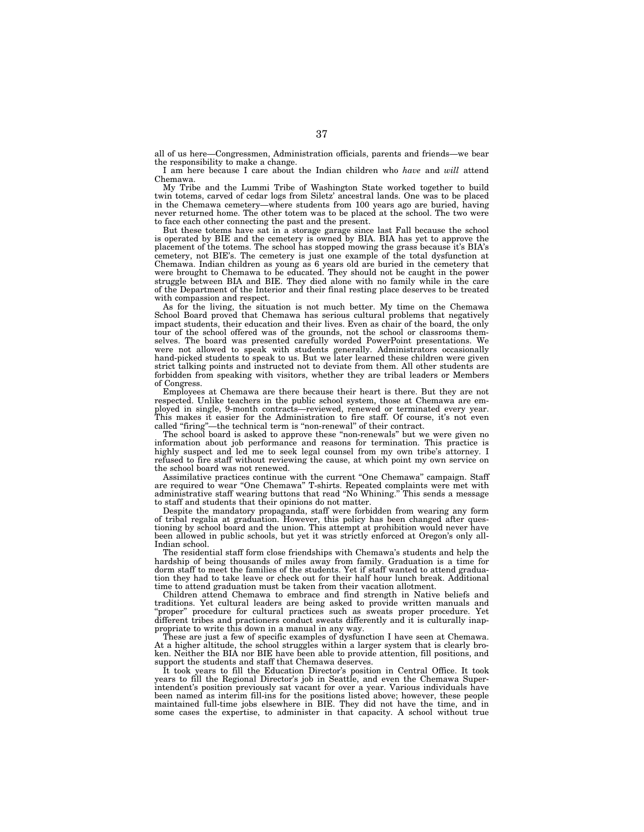all of us here—Congressmen, Administration officials, parents and friends—we bear the responsibility to make a change.

I am here because I care about the Indian children who *have* and *will* attend Chemawa.

My Tribe and the Lummi Tribe of Washington State worked together to build twin totems, carved of cedar logs from Siletz' ancestral lands. One was to be placed in the Chemawa cemetery—where students from 100 years ago are buried, having never returned home. The other totem was to be placed at the school. The two were to face each other connecting the past and the present.

But these totems have sat in a storage garage since last Fall because the school is operated by BIE and the cemetery is owned by BIA. BIA has yet to approve the placement of the totems. The school has stopped mowing the grass because it's BIA's cemetery, not BIE's. The cemetery is just one example of the total dysfunction at Chemawa. Indian children as young as 6 years old are buried in the cemetery that were brought to Chemawa to be educated. They should not be caught in the power struggle between BIA and BIE. They died alone with no family while in the care of the Department of the Interior and their final resting place deserves to be treated with compassion and respect.

As for the living, the situation is not much better. My time on the Chemawa School Board proved that Chemawa has serious cultural problems that negatively impact students, their education and their lives. Even as chair of the board, the only tour of the school offered was of the grounds, not the school or classrooms themselves. The board was presented carefully worded PowerPoint presentations. We were not allowed to speak with students generally. Administrators occasionally hand-picked students to speak to us. But we later learned these children were given strict talking points and instructed not to deviate from them. All other students are forbidden from speaking with visitors, whether they are tribal leaders or Members of Congress.

Employees at Chemawa are there because their heart is there. But they are not respected. Unlike teachers in the public school system, those at Chemawa are employed in single, 9-month contracts—reviewed, renewed or terminated every year. This makes it easier for the Administration to fire staff. Of course, it's not even called ''firing''—the technical term is ''non-renewal'' of their contract.

The school board is asked to approve these ''non-renewals'' but we were given no information about job performance and reasons for termination. This practice is highly suspect and led me to seek legal counsel from my own tribe's attorney. I refused to fire staff without reviewing the cause, at which point my own service on the school board was not renewed.

Assimilative practices continue with the current ''One Chemawa'' campaign. Staff are required to wear ''One Chemawa'' T-shirts. Repeated complaints were met with administrative staff wearing buttons that read ''No Whining.'' This sends a message to staff and students that their opinions do not matter.

Despite the mandatory propaganda, staff were forbidden from wearing any form of tribal regalia at graduation. However, this policy has been changed after questioning by school board and the union. This attempt at prohibition would never have been allowed in public schools, but yet it was strictly enforced at Oregon's only all-Indian school.

The residential staff form close friendships with Chemawa's students and help the hardship of being thousands of miles away from family. Graduation is a time for dorm staff to meet the families of the students. Yet if staff wanted to attend graduation they had to take leave or check out for their half hour lunch break. Additional time to attend graduation must be taken from their vacation allotment.

Children attend Chemawa to embrace and find strength in Native beliefs and traditions. Yet cultural leaders are being asked to provide written manuals and ''proper'' procedure for cultural practices such as sweats proper procedure. Yet different tribes and practioners conduct sweats differently and it is culturally inappropriate to write this down in a manual in any way.

These are just a few of specific examples of dysfunction I have seen at Chemawa. At a higher altitude, the school struggles within a larger system that is clearly broken. Neither the BIA nor BIE have been able to provide attention, fill positions, and support the students and staff that Chemawa deserves.

It took years to fill the Education Director's position in Central Office. It took years to fill the Regional Director's job in Seattle, and even the Chemawa Superintendent's position previously sat vacant for over a year. Various individuals have been named as interim fill-ins for the positions listed above; however, these people maintained full-time jobs elsewhere in BIE. They did not have the time, and in some cases the expertise, to administer in that capacity. A school without true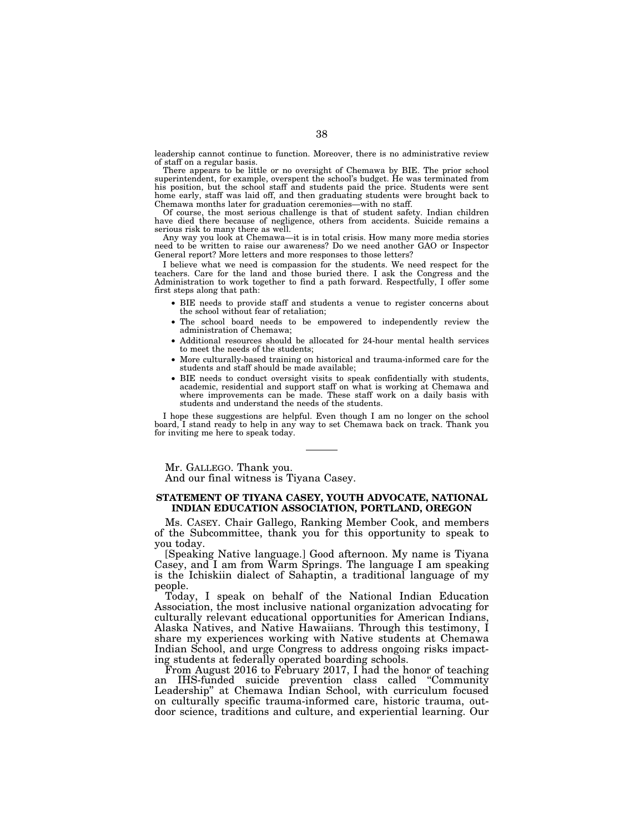leadership cannot continue to function. Moreover, there is no administrative review of staff on a regular basis.

There appears to be little or no oversight of Chemawa by BIE. The prior school superintendent, for example, overspent the school's budget. He was terminated from his position, but the school staff and students paid the price. Students were sent home early, staff was laid off, and then graduating students were brought back to Chemawa months later for graduation ceremonies—with no staff.

Of course, the most serious challenge is that of student safety. Indian children have died there because of negligence, others from accidents. Suicide remains a serious risk to many there as well.

Any way you look at Chemawa—it is in total crisis. How many more media stories need to be written to raise our awareness? Do we need another GAO or Inspector General report? More letters and more responses to those letters?

I believe what we need is compassion for the students. We need respect for the teachers. Care for the land and those buried there. I ask the Congress and the Administration to work together to find a path forward. Respectfully, I offer some first steps along that path:

- BIE needs to provide staff and students a venue to register concerns about the school without fear of retaliation;
- The school board needs to be empowered to independently review the administration of Chemawa;
- Additional resources should be allocated for 24-hour mental health services to meet the needs of the students;
- More culturally-based training on historical and trauma-informed care for the students and staff should be made available;
- BIE needs to conduct oversight visits to speak confidentially with students, academic, residential and support staff on what is working at Chemawa and where improvements can be made. These staff work on a daily basis with students and understand the needs of the students.

I hope these suggestions are helpful. Even though I am no longer on the school board, I stand ready to help in any way to set Chemawa back on track. Thank you for inviting me here to speak today.

Mr. GALLEGO. Thank you. And our final witness is Tiyana Casey.

## **STATEMENT OF TIYANA CASEY, YOUTH ADVOCATE, NATIONAL INDIAN EDUCATION ASSOCIATION, PORTLAND, OREGON**

Ms. CASEY. Chair Gallego, Ranking Member Cook, and members of the Subcommittee, thank you for this opportunity to speak to you today.

[Speaking Native language.] Good afternoon. My name is Tiyana Casey, and I am from Warm Springs. The language I am speaking is the Ichiskiin dialect of Sahaptin, a traditional language of my people.

Today, I speak on behalf of the National Indian Education Association, the most inclusive national organization advocating for culturally relevant educational opportunities for American Indians, Alaska Natives, and Native Hawaiians. Through this testimony, I share my experiences working with Native students at Chemawa Indian School, and urge Congress to address ongoing risks impacting students at federally operated boarding schools.

From August 2016 to February 2017, I had the honor of teaching an IHS-funded suicide prevention class called ''Community Leadership'' at Chemawa Indian School, with curriculum focused on culturally specific trauma-informed care, historic trauma, outdoor science, traditions and culture, and experiential learning. Our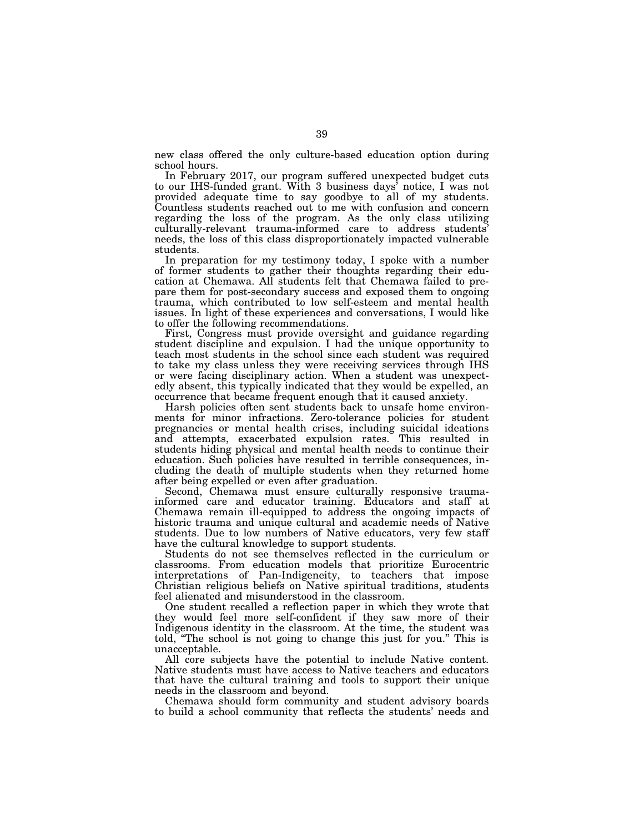new class offered the only culture-based education option during school hours.

In February 2017, our program suffered unexpected budget cuts to our IHS-funded grant. With 3 business days' notice, I was not provided adequate time to say goodbye to all of my students. Countless students reached out to me with confusion and concern regarding the loss of the program. As the only class utilizing culturally-relevant trauma-informed care to address students' needs, the loss of this class disproportionately impacted vulnerable students.

In preparation for my testimony today, I spoke with a number of former students to gather their thoughts regarding their education at Chemawa. All students felt that Chemawa failed to prepare them for post-secondary success and exposed them to ongoing trauma, which contributed to low self-esteem and mental health issues. In light of these experiences and conversations, I would like to offer the following recommendations.

First, Congress must provide oversight and guidance regarding student discipline and expulsion. I had the unique opportunity to teach most students in the school since each student was required to take my class unless they were receiving services through IHS or were facing disciplinary action. When a student was unexpectedly absent, this typically indicated that they would be expelled, an occurrence that became frequent enough that it caused anxiety.

Harsh policies often sent students back to unsafe home environments for minor infractions. Zero-tolerance policies for student pregnancies or mental health crises, including suicidal ideations and attempts, exacerbated expulsion rates. This resulted in students hiding physical and mental health needs to continue their education. Such policies have resulted in terrible consequences, including the death of multiple students when they returned home after being expelled or even after graduation.

Second, Chemawa must ensure culturally responsive traumainformed care and educator training. Educators and staff at Chemawa remain ill-equipped to address the ongoing impacts of historic trauma and unique cultural and academic needs of Native students. Due to low numbers of Native educators, very few staff have the cultural knowledge to support students.

Students do not see themselves reflected in the curriculum or classrooms. From education models that prioritize Eurocentric interpretations of Pan-Indigeneity, to teachers that impose Christian religious beliefs on Native spiritual traditions, students feel alienated and misunderstood in the classroom.

One student recalled a reflection paper in which they wrote that they would feel more self-confident if they saw more of their Indigenous identity in the classroom. At the time, the student was told, ''The school is not going to change this just for you.'' This is unacceptable.

All core subjects have the potential to include Native content. Native students must have access to Native teachers and educators that have the cultural training and tools to support their unique needs in the classroom and beyond.

Chemawa should form community and student advisory boards to build a school community that reflects the students' needs and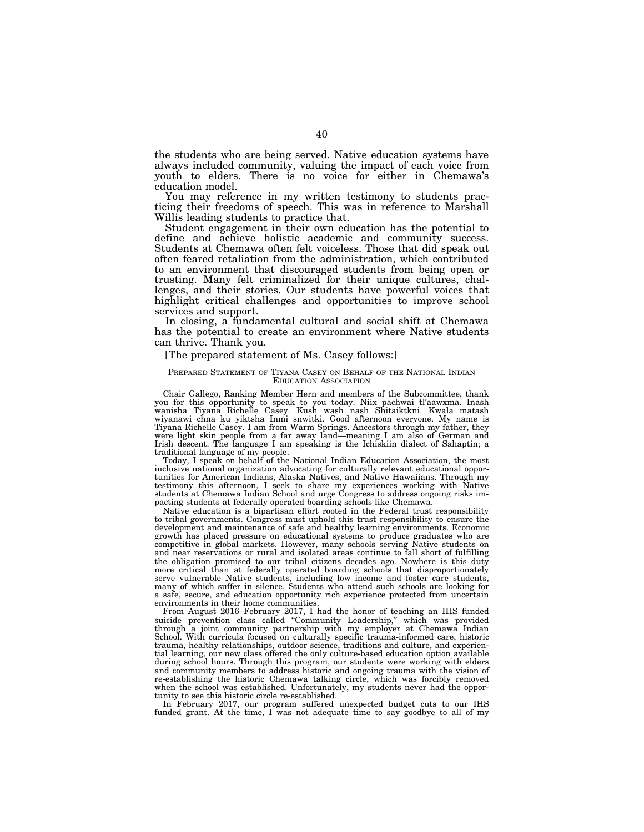the students who are being served. Native education systems have always included community, valuing the impact of each voice from youth to elders. There is no voice for either in Chemawa's education model.

You may reference in my written testimony to students practicing their freedoms of speech. This was in reference to Marshall Willis leading students to practice that.

Student engagement in their own education has the potential to define and achieve holistic academic and community success. Students at Chemawa often felt voiceless. Those that did speak out often feared retaliation from the administration, which contributed to an environment that discouraged students from being open or trusting. Many felt criminalized for their unique cultures, challenges, and their stories. Our students have powerful voices that highlight critical challenges and opportunities to improve school services and support.

In closing, a fundamental cultural and social shift at Chemawa has the potential to create an environment where Native students can thrive. Thank you.

### [The prepared statement of Ms. Casey follows:]

### PREPARED STATEMENT OF TIYANA CASEY ON BEHALF OF THE NATIONAL INDIAN EDUCATION ASSOCIATION

Chair Gallego, Ranking Member Hern and members of the Subcommittee, thank you for this opportunity to speak to you today. Niix pachwai tl'aawxma. Inash wanisha Tiyana Richelle Casey. Kush wash nash Shitaiktkni. Kwala matash wiyanawi chna ku yiktsha Inmi snwitki. Good afternoon everyone. My name is Tiyana Richelle Casey. I am from Warm Springs. Ancestors through my father, they were light skin people from a far away land—meaning I am also of German and Irish descent. The language I am speaking is the Ichiskiin dialect of Sahaptin; a

traditional language of my people. Today, I speak on behalf of the National Indian Education Association, the most inclusive national organization advocating for culturally relevant educational opportunities for American Indians, Alaska Natives, and Native Hawaiians. Through my testimony this afternoon, I seek to share my experiences working with Native students at Chemawa Indian School and urge Congress to address ongoing risks impacting students at federally operated boarding schools like Chemawa.

Native education is a bipartisan effort rooted in the Federal trust responsibility to tribal governments. Congress must uphold this trust responsibility to ensure the development and maintenance of safe and healthy learning environments. Economic growth has placed pressure on educational systems to produce graduates who are competitive in global markets. However, many schools serving Native students on and near reservations or rural and isolated areas continue to fall short of fulfilling the obligation promised to our tribal citizens decades ago. Nowhere is this duty more critical than at federally operated boarding schools that disproportionately serve vulnerable Native students, including low income and foster care students, many of which suffer in silence. Students who attend such schools are looking for a safe, secure, and education opportunity rich experience protected from uncertain environments in their home communities.

From August 2016–February 2017, I had the honor of teaching an IHS funded suicide prevention class called ''Community Leadership,'' which was provided through a joint community partnership with my employer at Chemawa Indian School. With curricula focused on culturally specific trauma-informed care, historic trauma, healthy relationships, outdoor science, traditions and culture, and experiential learning, our new class offered the only culture-based education option available during school hours. Through this program, our students were working with elders and community members to address historic and ongoing trauma with the vision of re-establishing the historic Chemawa talking circle, which was forcibly removed when the school was established. Unfortunately, my students never had the opportunity to see this historic circle re-established.

In February 2017, our program suffered unexpected budget cuts to our IHS funded grant. At the time, I was not adequate time to say goodbye to all of my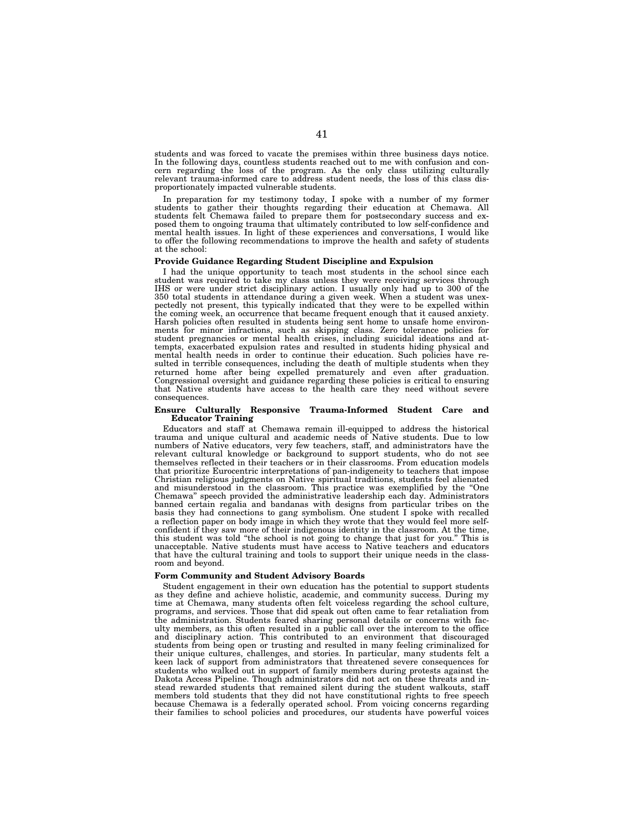students and was forced to vacate the premises within three business days notice. In the following days, countless students reached out to me with confusion and concern regarding the loss of the program. As the only class utilizing culturally relevant trauma-informed care to address student needs, the loss of this class disproportionately impacted vulnerable students.

In preparation for my testimony today, I spoke with a number of my former students to gather their thoughts regarding their education at Chemawa. All students felt Chemawa failed to prepare them for postsecondary success and ex-posed them to ongoing trauma that ultimately contributed to low self-confidence and mental health issues. In light of these experiences and conversations, I would like to offer the following recommendations to improve the health and safety of students at the school:

### **Provide Guidance Regarding Student Discipline and Expulsion**

I had the unique opportunity to teach most students in the school since each student was required to take my class unless they were receiving services through IHS or were under strict disciplinary action. I usually only had up to 300 of the 350 total students in attendance during a given week. When a student was unex-pectedly not present, this typically indicated that they were to be expelled within the coming week, an occurrence that became frequent enough that it caused anxiety. Harsh policies often resulted in students being sent home to unsafe home environments for minor infractions, such as skipping class. Zero tolerance policies for student pregnancies or mental health crises, including suicidal ideations and attempts, exacerbated expulsion rates and resulted in students hiding physical and mental health needs in order to continue their education. Such policies have resulted in terrible consequences, including the death of multiple students when they returned home after being expelled prematurely and even after graduation. Congressional oversight and guidance regarding these policies is critical to ensuring that Native students have access to the health care they need without severe consequences.

### **Ensure Culturally Responsive Trauma-Informed Student Care and Educator Training**

Educators and staff at Chemawa remain ill-equipped to address the historical trauma and unique cultural and academic needs of Native students. Due to low numbers of Native educators, very few teachers, staff, and administrators have the relevant cultural knowledge or background to support students, who do not see themselves reflected in their teachers or in their classrooms. From education models that prioritize Eurocentric interpretations of pan-indigeneity to teachers that impose Christian religious judgments on Native spiritual traditions, students feel alienated and misunderstood in the classroom. This practice was exemplified by the ''One Chemawa'' speech provided the administrative leadership each day. Administrators banned certain regalia and bandanas with designs from particular tribes on the basis they had connections to gang symbolism. One student I spoke with recalled a reflection paper on body image in which they wrote that they would feel more selfconfident if they saw more of their indigenous identity in the classroom. At the time, this student was told "the school is not going to change that just for you." This is this student was told "the school is not going to change that just for you." unacceptable. Native students must have access to Native teachers and educators that have the cultural training and tools to support their unique needs in the classroom and beyond.

## **Form Community and Student Advisory Boards**

Student engagement in their own education has the potential to support students as they define and achieve holistic, academic, and community success. During my time at Chemawa, many students often felt voiceless regarding the school culture, programs, and services. Those that did speak out often came to fear retaliation from the administration. Students feared sharing personal details or concerns with faculty members, as this often resulted in a public call over the intercom to the office and disciplinary action. This contributed to an environment that discouraged students from being open or trusting and resulted in many feeling criminalized for their unique cultures, challenges, and stories. In particular, many students felt a keen lack of support from administrators that threatened severe consequences for students who walked out in support of family members during protests against the Dakota Access Pipeline. Though administrators did not act on these threats and instead rewarded students that remained silent during the student walkouts, staff members told students that they did not have constitutional rights to free speech because Chemawa is a federally operated school. From voicing concerns regarding their families to school policies and procedures, our students have powerful voices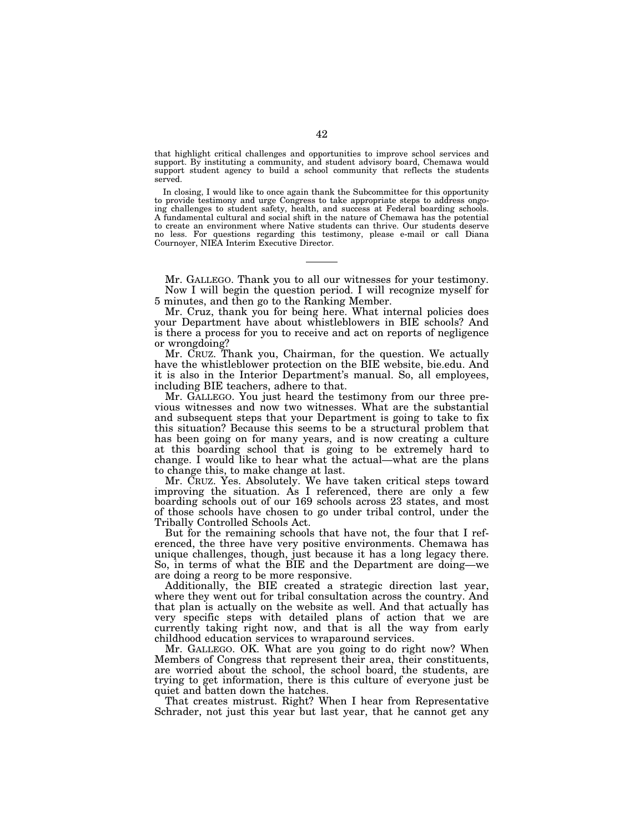that highlight critical challenges and opportunities to improve school services and support. By instituting a community, and student advisory board, Chemawa would support student agency to build a school community that reflects the students served.

In closing, I would like to once again thank the Subcommittee for this opportunity to provide testimony and urge Congress to take appropriate steps to address ongoing challenges to student safety, health, and success at Federal boarding schools. A fundamental cultural and social shift in the nature of Chemawa has the potential to create an environment where Native students can thrive. Our students deserve no less. For questions regarding this testimony, please e-mail or call Diana Cournoyer, NIEA Interim Executive Director.

Mr. GALLEGO. Thank you to all our witnesses for your testimony. Now I will begin the question period. I will recognize myself for 5 minutes, and then go to the Ranking Member.

Mr. Cruz, thank you for being here. What internal policies does your Department have about whistleblowers in BIE schools? And is there a process for you to receive and act on reports of negligence or wrongdoing?

Mr. CRUZ. Thank you, Chairman, for the question. We actually have the whistleblower protection on the BIE website, bie.edu. And it is also in the Interior Department's manual. So, all employees, including BIE teachers, adhere to that.

Mr. GALLEGO. You just heard the testimony from our three previous witnesses and now two witnesses. What are the substantial and subsequent steps that your Department is going to take to fix this situation? Because this seems to be a structural problem that has been going on for many years, and is now creating a culture at this boarding school that is going to be extremely hard to change. I would like to hear what the actual—what are the plans to change this, to make change at last.

Mr. CRUZ. Yes. Absolutely. We have taken critical steps toward improving the situation. As I referenced, there are only a few boarding schools out of our 169 schools across 23 states, and most of those schools have chosen to go under tribal control, under the Tribally Controlled Schools Act.

But for the remaining schools that have not, the four that I referenced, the three have very positive environments. Chemawa has unique challenges, though, just because it has a long legacy there. So, in terms of what the BIE and the Department are doing—we are doing a reorg to be more responsive.

Additionally, the BIE created a strategic direction last year, where they went out for tribal consultation across the country. And that plan is actually on the website as well. And that actually has very specific steps with detailed plans of action that we are currently taking right now, and that is all the way from early childhood education services to wraparound services.

Mr. GALLEGO. OK. What are you going to do right now? When Members of Congress that represent their area, their constituents, are worried about the school, the school board, the students, are trying to get information, there is this culture of everyone just be quiet and batten down the hatches.

That creates mistrust. Right? When I hear from Representative Schrader, not just this year but last year, that he cannot get any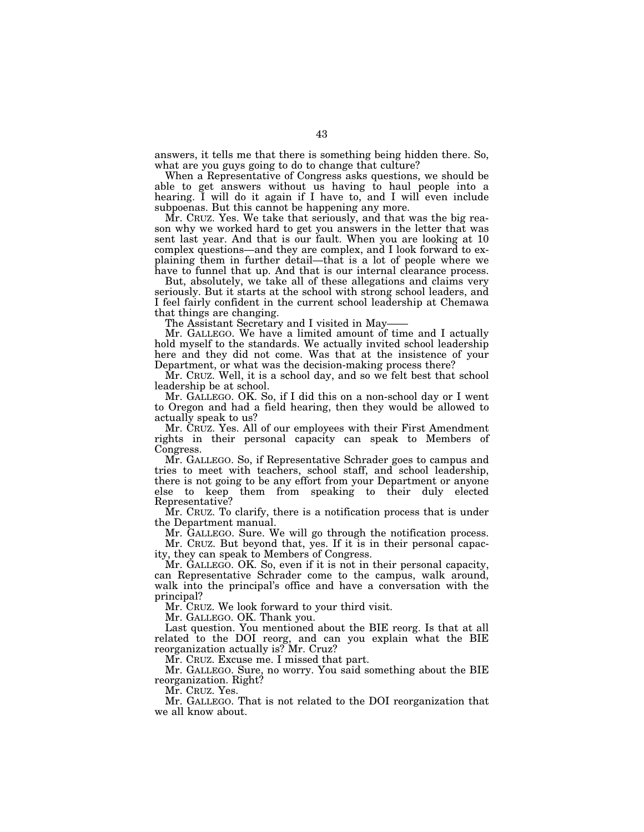answers, it tells me that there is something being hidden there. So, what are you guys going to do to change that culture?

When a Representative of Congress asks questions, we should be able to get answers without us having to haul people into a hearing. I will do it again if I have to, and I will even include subpoenas. But this cannot be happening any more.

Mr. CRUZ. Yes. We take that seriously, and that was the big reason why we worked hard to get you answers in the letter that was sent last year. And that is our fault. When you are looking at 10 complex questions—and they are complex, and I look forward to explaining them in further detail—that is a lot of people where we have to funnel that up. And that is our internal clearance process.

But, absolutely, we take all of these allegations and claims very seriously. But it starts at the school with strong school leaders, and I feel fairly confident in the current school leadership at Chemawa that things are changing.

The Assistant Secretary and I visited in May-

Mr. GALLEGO. We have a limited amount of time and I actually hold myself to the standards. We actually invited school leadership here and they did not come. Was that at the insistence of your Department, or what was the decision-making process there?

Mr. CRUZ. Well, it is a school day, and so we felt best that school leadership be at school.

Mr. GALLEGO. OK. So, if I did this on a non-school day or I went to Oregon and had a field hearing, then they would be allowed to actually speak to us?

Mr. CRUZ. Yes. All of our employees with their First Amendment rights in their personal capacity can speak to Members of Congress.

Mr. GALLEGO. So, if Representative Schrader goes to campus and tries to meet with teachers, school staff, and school leadership, there is not going to be any effort from your Department or anyone else to keep them from speaking to their duly elected Representative?

Mr. CRUZ. To clarify, there is a notification process that is under the Department manual.

Mr. GALLEGO. Sure. We will go through the notification process. Mr. CRUZ. But beyond that, yes. If it is in their personal capacity, they can speak to Members of Congress.

Mr. GALLEGO. OK. So, even if it is not in their personal capacity, can Representative Schrader come to the campus, walk around, walk into the principal's office and have a conversation with the principal?

Mr. CRUZ. We look forward to your third visit.

Mr. GALLEGO. OK. Thank you.

Last question. You mentioned about the BIE reorg. Is that at all related to the DOI reorg, and can you explain what the BIE reorganization actually is? Mr. Cruz?

Mr. CRUZ. Excuse me. I missed that part.

Mr. GALLEGO. Sure, no worry. You said something about the BIE reorganization. Right?

Mr. CRUZ. Yes.

Mr. GALLEGO. That is not related to the DOI reorganization that we all know about.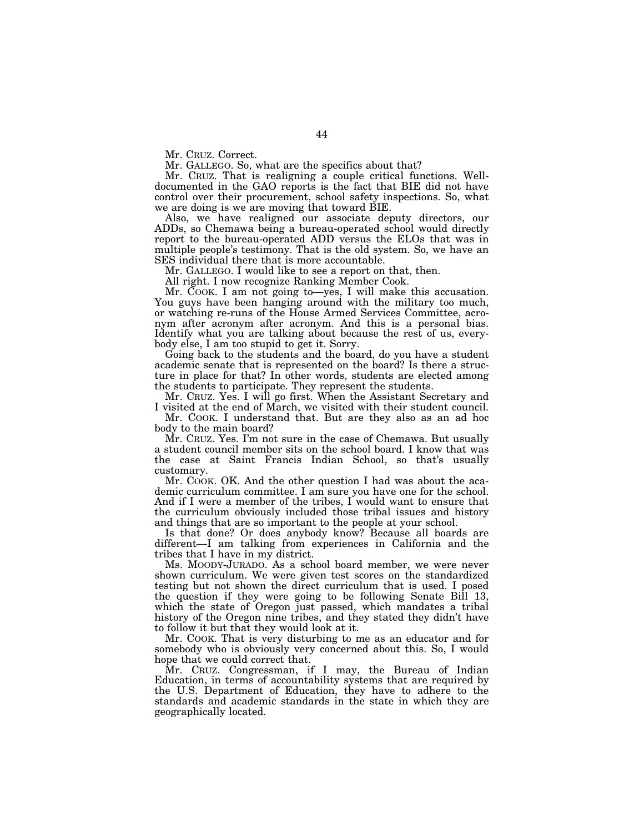Mr. CRUZ. Correct.

Mr. GALLEGO. So, what are the specifics about that?

Mr. CRUZ. That is realigning a couple critical functions. Welldocumented in the GAO reports is the fact that BIE did not have control over their procurement, school safety inspections. So, what we are doing is we are moving that toward BIE.

Also, we have realigned our associate deputy directors, our ADDs, so Chemawa being a bureau-operated school would directly report to the bureau-operated ADD versus the ELOs that was in multiple people's testimony. That is the old system. So, we have an SES individual there that is more accountable.

Mr. GALLEGO. I would like to see a report on that, then.

All right. I now recognize Ranking Member Cook.

Mr. COOK. I am not going to—yes, I will make this accusation. You guys have been hanging around with the military too much, or watching re-runs of the House Armed Services Committee, acronym after acronym after acronym. And this is a personal bias. Identify what you are talking about because the rest of us, everybody else, I am too stupid to get it. Sorry.

Going back to the students and the board, do you have a student academic senate that is represented on the board? Is there a structure in place for that? In other words, students are elected among the students to participate. They represent the students.

Mr. CRUZ. Yes. I will go first. When the Assistant Secretary and I visited at the end of March, we visited with their student council.

Mr. COOK. I understand that. But are they also as an ad hoc body to the main board?

Mr. CRUZ. Yes. I'm not sure in the case of Chemawa. But usually a student council member sits on the school board. I know that was the case at Saint Francis Indian School, so that's usually customary.

Mr. COOK. OK. And the other question I had was about the academic curriculum committee. I am sure you have one for the school. And if I were a member of the tribes, I would want to ensure that the curriculum obviously included those tribal issues and history and things that are so important to the people at your school.

Is that done? Or does anybody know? Because all boards are different—I am talking from experiences in California and the tribes that I have in my district.

Ms. MOODY-JURADO. As a school board member, we were never shown curriculum. We were given test scores on the standardized testing but not shown the direct curriculum that is used. I posed the question if they were going to be following Senate Bill 13, which the state of Oregon just passed, which mandates a tribal history of the Oregon nine tribes, and they stated they didn't have to follow it but that they would look at it.

Mr. COOK. That is very disturbing to me as an educator and for somebody who is obviously very concerned about this. So, I would hope that we could correct that.

Mr. CRUZ. Congressman, if I may, the Bureau of Indian Education, in terms of accountability systems that are required by the U.S. Department of Education, they have to adhere to the standards and academic standards in the state in which they are geographically located.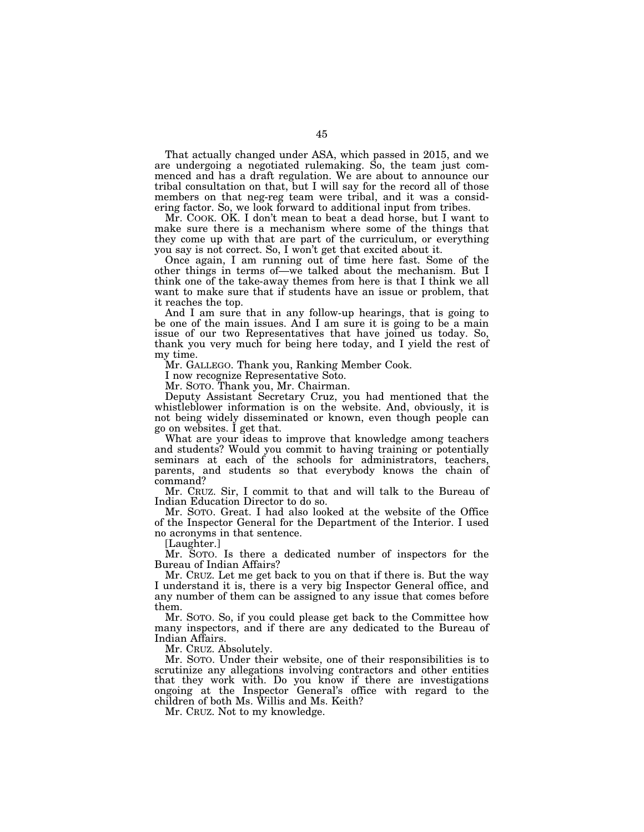That actually changed under ASA, which passed in 2015, and we are undergoing a negotiated rulemaking. So, the team just commenced and has a draft regulation. We are about to announce our tribal consultation on that, but I will say for the record all of those members on that neg-reg team were tribal, and it was a considering factor. So, we look forward to additional input from tribes.

Mr. COOK. OK. I don't mean to beat a dead horse, but I want to make sure there is a mechanism where some of the things that they come up with that are part of the curriculum, or everything you say is not correct. So, I won't get that excited about it.

Once again, I am running out of time here fast. Some of the other things in terms of—we talked about the mechanism. But I think one of the take-away themes from here is that I think we all want to make sure that if students have an issue or problem, that it reaches the top.

And I am sure that in any follow-up hearings, that is going to be one of the main issues. And I am sure it is going to be a main issue of our two Representatives that have joined us today. So, thank you very much for being here today, and I yield the rest of my time.

Mr. GALLEGO. Thank you, Ranking Member Cook.

I now recognize Representative Soto.

Mr. SOTO. Thank you, Mr. Chairman.

Deputy Assistant Secretary Cruz, you had mentioned that the whistleblower information is on the website. And, obviously, it is not being widely disseminated or known, even though people can go on websites. I get that.

What are your ideas to improve that knowledge among teachers and students? Would you commit to having training or potentially seminars at each of the schools for administrators, teachers, parents, and students so that everybody knows the chain of command?

Mr. CRUZ. Sir, I commit to that and will talk to the Bureau of Indian Education Director to do so.

Mr. SOTO. Great. I had also looked at the website of the Office of the Inspector General for the Department of the Interior. I used no acronyms in that sentence.

[Laughter.]

Mr. SOTO. Is there a dedicated number of inspectors for the Bureau of Indian Affairs?

Mr. CRUZ. Let me get back to you on that if there is. But the way I understand it is, there is a very big Inspector General office, and any number of them can be assigned to any issue that comes before them.

Mr. SOTO. So, if you could please get back to the Committee how many inspectors, and if there are any dedicated to the Bureau of Indian Affairs.

Mr. CRUZ. Absolutely.

Mr. SOTO. Under their website, one of their responsibilities is to scrutinize any allegations involving contractors and other entities that they work with. Do you know if there are investigations ongoing at the Inspector General's office with regard to the children of both Ms. Willis and Ms. Keith?

Mr. CRUZ. Not to my knowledge.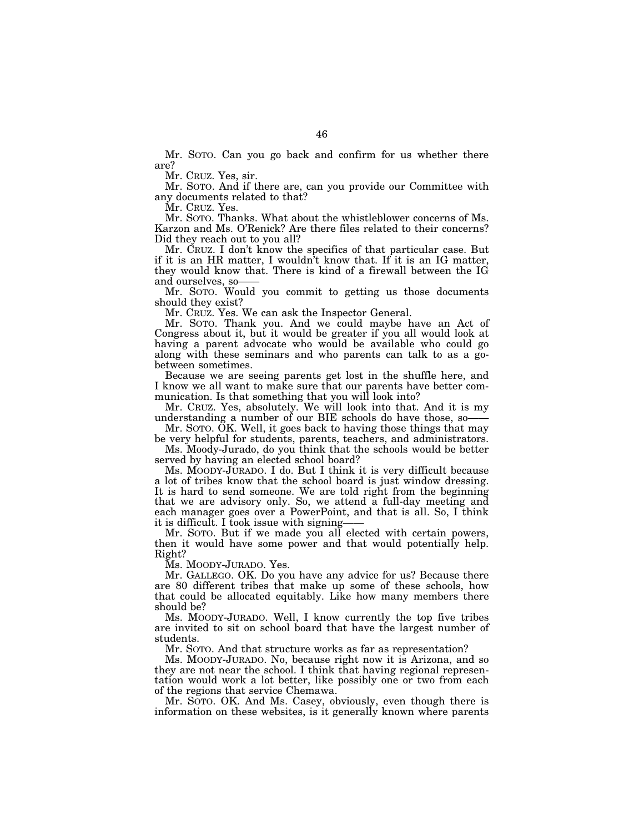Mr. SOTO. Can you go back and confirm for us whether there are?

Mr. CRUZ. Yes, sir.

Mr. SOTO. And if there are, can you provide our Committee with any documents related to that?

Mr. CRUZ. Yes.

Mr. SOTO. Thanks. What about the whistleblower concerns of Ms. Karzon and Ms. O'Renick? Are there files related to their concerns? Did they reach out to you all?

Mr. CRUZ. I don't know the specifics of that particular case. But if it is an HR matter, I wouldn't know that. If it is an IG matter, they would know that. There is kind of a firewall between the IG and ourselves, so-

Mr. SOTO. Would you commit to getting us those documents should they exist?

Mr. CRUZ. Yes. We can ask the Inspector General.

Mr. SOTO. Thank you. And we could maybe have an Act of Congress about it, but it would be greater if you all would look at having a parent advocate who would be available who could go along with these seminars and who parents can talk to as a gobetween sometimes.

Because we are seeing parents get lost in the shuffle here, and I know we all want to make sure that our parents have better communication. Is that something that you will look into?

Mr. CRUZ. Yes, absolutely. We will look into that. And it is my understanding a number of our BIE schools do have those, so——

Mr. SOTO. OK. Well, it goes back to having those things that may be very helpful for students, parents, teachers, and administrators.

Ms. Moody-Jurado, do you think that the schools would be better served by having an elected school board?

Ms. MOODY-JURADO. I do. But I think it is very difficult because a lot of tribes know that the school board is just window dressing. It is hard to send someone. We are told right from the beginning that we are advisory only. So, we attend a full-day meeting and each manager goes over a PowerPoint, and that is all. So, I think it is difficult. I took issue with signing-

Mr. SOTO. But if we made you all elected with certain powers, then it would have some power and that would potentially help. Right?

Ms. MOODY-JURADO. Yes.

Mr. GALLEGO. OK. Do you have any advice for us? Because there are 80 different tribes that make up some of these schools, how that could be allocated equitably. Like how many members there should be?

Ms. MOODY-JURADO. Well, I know currently the top five tribes are invited to sit on school board that have the largest number of students.

Mr. SOTO. And that structure works as far as representation?

Ms. MOODY-JURADO. No, because right now it is Arizona, and so they are not near the school. I think that having regional representation would work a lot better, like possibly one or two from each of the regions that service Chemawa.

Mr. SOTO. OK. And Ms. Casey, obviously, even though there is information on these websites, is it generally known where parents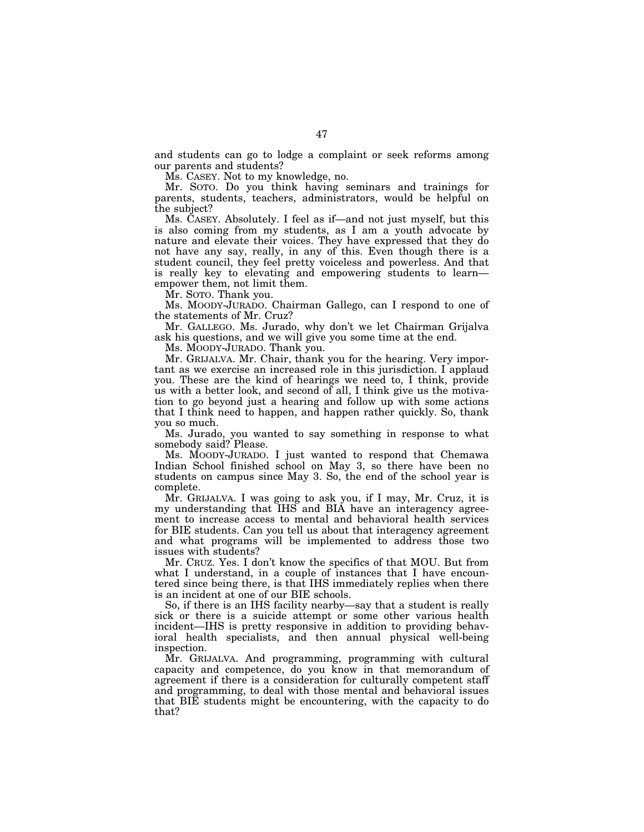and students can go to lodge a complaint or seek reforms among our parents and students?

Ms. CASEY. Not to my knowledge, no.

Mr. SOTO. Do you think having seminars and trainings for parents, students, teachers, administrators, would be helpful on the subject?

Ms. CASEY. Absolutely. I feel as if—and not just myself, but this is also coming from my students, as I am a youth advocate by nature and elevate their voices. They have expressed that they do not have any say, really, in any of this. Even though there is a student council, they feel pretty voiceless and powerless. And that is really key to elevating and empowering students to learn empower them, not limit them.

Mr. SOTO. Thank you.

Ms. MOODY-JURADO. Chairman Gallego, can I respond to one of the statements of Mr. Cruz?

Mr. GALLEGO. Ms. Jurado, why don't we let Chairman Grijalva ask his questions, and we will give you some time at the end.

Ms. MOODY-JURADO. Thank you.

Mr. GRIJALVA. Mr. Chair, thank you for the hearing. Very important as we exercise an increased role in this jurisdiction. I applaud you. These are the kind of hearings we need to, I think, provide us with a better look, and second of all, I think give us the motivation to go beyond just a hearing and follow up with some actions that I think need to happen, and happen rather quickly. So, thank you so much.

Ms. Jurado, you wanted to say something in response to what somebody said? Please.

Ms. MOODY-JURADO. I just wanted to respond that Chemawa Indian School finished school on May 3, so there have been no students on campus since May 3. So, the end of the school year is complete.

Mr. GRIJALVA. I was going to ask you, if I may, Mr. Cruz, it is my understanding that IHS and BIA have an interagency agreement to increase access to mental and behavioral health services for BIE students. Can you tell us about that interagency agreement and what programs will be implemented to address those two issues with students?

Mr. CRUZ. Yes. I don't know the specifics of that MOU. But from what I understand, in a couple of instances that I have encountered since being there, is that IHS immediately replies when there is an incident at one of our BIE schools.

So, if there is an IHS facility nearby—say that a student is really sick or there is a suicide attempt or some other various health incident—IHS is pretty responsive in addition to providing behavioral health specialists, and then annual physical well-being inspection.

Mr. GRIJALVA. And programming, programming with cultural capacity and competence, do you know in that memorandum of agreement if there is a consideration for culturally competent staff and programming, to deal with those mental and behavioral issues that BIE students might be encountering, with the capacity to do that?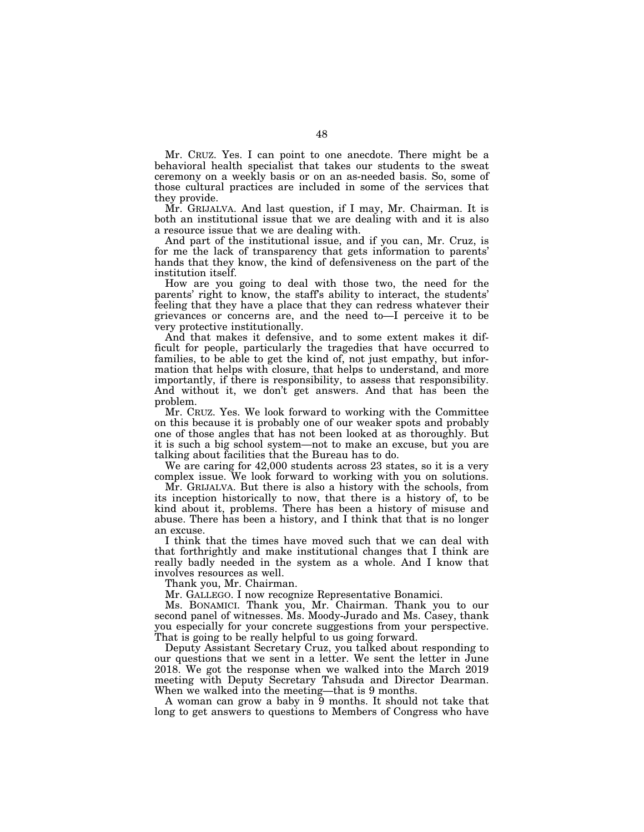Mr. CRUZ. Yes. I can point to one anecdote. There might be a behavioral health specialist that takes our students to the sweat ceremony on a weekly basis or on an as-needed basis. So, some of those cultural practices are included in some of the services that they provide.

Mr. GRIJALVA. And last question, if I may, Mr. Chairman. It is both an institutional issue that we are dealing with and it is also a resource issue that we are dealing with.

And part of the institutional issue, and if you can, Mr. Cruz, is for me the lack of transparency that gets information to parents' hands that they know, the kind of defensiveness on the part of the institution itself.

How are you going to deal with those two, the need for the parents' right to know, the staff's ability to interact, the students' feeling that they have a place that they can redress whatever their grievances or concerns are, and the need to—I perceive it to be very protective institutionally.

And that makes it defensive, and to some extent makes it difficult for people, particularly the tragedies that have occurred to families, to be able to get the kind of, not just empathy, but information that helps with closure, that helps to understand, and more importantly, if there is responsibility, to assess that responsibility. And without it, we don't get answers. And that has been the problem.

Mr. CRUZ. Yes. We look forward to working with the Committee on this because it is probably one of our weaker spots and probably one of those angles that has not been looked at as thoroughly. But it is such a big school system—not to make an excuse, but you are talking about facilities that the Bureau has to do.

We are caring for 42,000 students across 23 states, so it is a very complex issue. We look forward to working with you on solutions.

Mr. GRIJALVA. But there is also a history with the schools, from its inception historically to now, that there is a history of, to be kind about it, problems. There has been a history of misuse and abuse. There has been a history, and I think that that is no longer an excuse.

I think that the times have moved such that we can deal with that forthrightly and make institutional changes that I think are really badly needed in the system as a whole. And I know that involves resources as well.

Thank you, Mr. Chairman.

Mr. GALLEGO. I now recognize Representative Bonamici.

Ms. BONAMICI. Thank you, Mr. Chairman. Thank you to our second panel of witnesses. Ms. Moody-Jurado and Ms. Casey, thank you especially for your concrete suggestions from your perspective. That is going to be really helpful to us going forward.

Deputy Assistant Secretary Cruz, you talked about responding to our questions that we sent in a letter. We sent the letter in June 2018. We got the response when we walked into the March 2019 meeting with Deputy Secretary Tahsuda and Director Dearman. When we walked into the meeting—that is 9 months.

A woman can grow a baby in 9 months. It should not take that long to get answers to questions to Members of Congress who have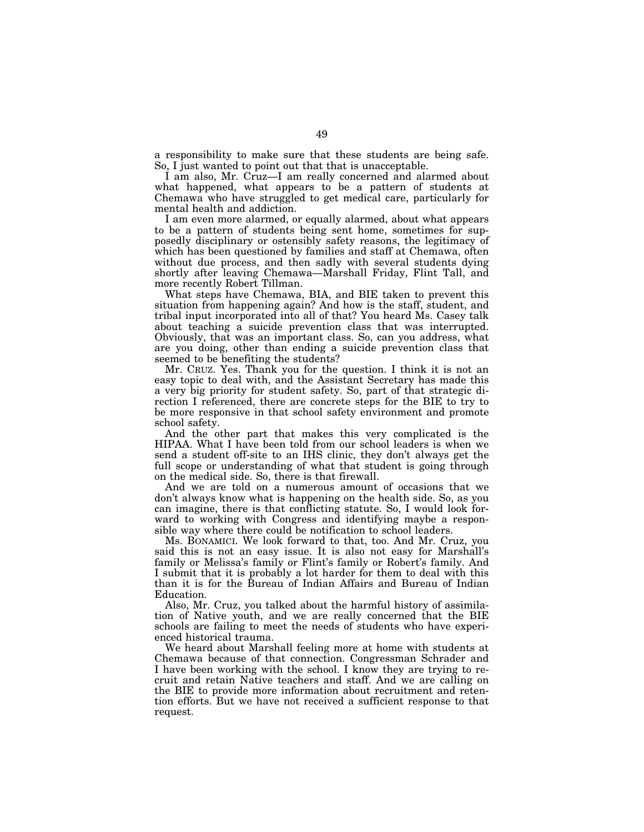a responsibility to make sure that these students are being safe. So, I just wanted to point out that that is unacceptable.

I am also, Mr. Cruz—I am really concerned and alarmed about what happened, what appears to be a pattern of students at Chemawa who have struggled to get medical care, particularly for mental health and addiction.

I am even more alarmed, or equally alarmed, about what appears to be a pattern of students being sent home, sometimes for supposedly disciplinary or ostensibly safety reasons, the legitimacy of which has been questioned by families and staff at Chemawa, often without due process, and then sadly with several students dying shortly after leaving Chemawa—Marshall Friday, Flint Tall, and more recently Robert Tillman.

What steps have Chemawa, BIA, and BIE taken to prevent this situation from happening again? And how is the staff, student, and tribal input incorporated into all of that? You heard Ms. Casey talk about teaching a suicide prevention class that was interrupted. Obviously, that was an important class. So, can you address, what are you doing, other than ending a suicide prevention class that seemed to be benefiting the students?

Mr. CRUZ. Yes. Thank you for the question. I think it is not an easy topic to deal with, and the Assistant Secretary has made this a very big priority for student safety. So, part of that strategic direction I referenced, there are concrete steps for the BIE to try to be more responsive in that school safety environment and promote school safety.

And the other part that makes this very complicated is the HIPAA. What I have been told from our school leaders is when we send a student off-site to an IHS clinic, they don't always get the full scope or understanding of what that student is going through on the medical side. So, there is that firewall.

And we are told on a numerous amount of occasions that we don't always know what is happening on the health side. So, as you can imagine, there is that conflicting statute. So, I would look forward to working with Congress and identifying maybe a responsible way where there could be notification to school leaders.

Ms. BONAMICI. We look forward to that, too. And Mr. Cruz, you said this is not an easy issue. It is also not easy for Marshall's family or Melissa's family or Flint's family or Robert's family. And I submit that it is probably a lot harder for them to deal with this than it is for the Bureau of Indian Affairs and Bureau of Indian Education.

Also, Mr. Cruz, you talked about the harmful history of assimilation of Native youth, and we are really concerned that the BIE schools are failing to meet the needs of students who have experienced historical trauma.

We heard about Marshall feeling more at home with students at Chemawa because of that connection. Congressman Schrader and I have been working with the school. I know they are trying to recruit and retain Native teachers and staff. And we are calling on the BIE to provide more information about recruitment and retention efforts. But we have not received a sufficient response to that request.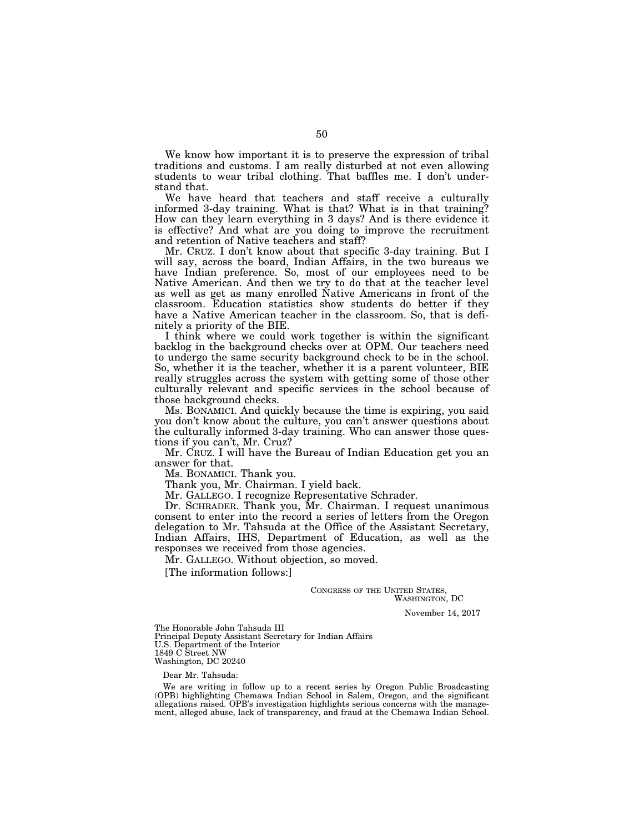We know how important it is to preserve the expression of tribal traditions and customs. I am really disturbed at not even allowing students to wear tribal clothing. That baffles me. I don't understand that.

We have heard that teachers and staff receive a culturally informed 3-day training. What is that? What is in that training? How can they learn everything in 3 days? And is there evidence it is effective? And what are you doing to improve the recruitment and retention of Native teachers and staff?

Mr. CRUZ. I don't know about that specific 3-day training. But I will say, across the board, Indian Affairs, in the two bureaus we have Indian preference. So, most of our employees need to be Native American. And then we try to do that at the teacher level as well as get as many enrolled Native Americans in front of the classroom. Education statistics show students do better if they have a Native American teacher in the classroom. So, that is definitely a priority of the BIE.

I think where we could work together is within the significant backlog in the background checks over at OPM. Our teachers need to undergo the same security background check to be in the school. So, whether it is the teacher, whether it is a parent volunteer, BIE really struggles across the system with getting some of those other culturally relevant and specific services in the school because of those background checks.

Ms. BONAMICI. And quickly because the time is expiring, you said you don't know about the culture, you can't answer questions about the culturally informed 3-day training. Who can answer those questions if you can't, Mr. Cruz?

Mr. CRUZ. I will have the Bureau of Indian Education get you an answer for that.

Ms. BONAMICI. Thank you.

Thank you, Mr. Chairman. I yield back.

Mr. GALLEGO. I recognize Representative Schrader.

Dr. SCHRADER. Thank you, Mr. Chairman. I request unanimous consent to enter into the record a series of letters from the Oregon delegation to Mr. Tahsuda at the Office of the Assistant Secretary, Indian Affairs, IHS, Department of Education, as well as the responses we received from those agencies.

Mr. GALLEGO. Without objection, so moved.

[The information follows:]

CONGRESS OF THE UNITED STATES, WASHINGTON, DC

November 14, 2017

The Honorable John Tahsuda III Principal Deputy Assistant Secretary for Indian Affairs U.S. Department of the Interior 1849 C Street NW Washington, DC 20240

Dear Mr. Tahsuda:

We are writing in follow up to a recent series by Oregon Public Broadcasting (OPB) highlighting Chemawa Indian School in Salem, Oregon, and the significant allegations raised. OPB's investigation highlights serious concerns with the management, alleged abuse, lack of transparency, and fraud at the Chemawa Indian School.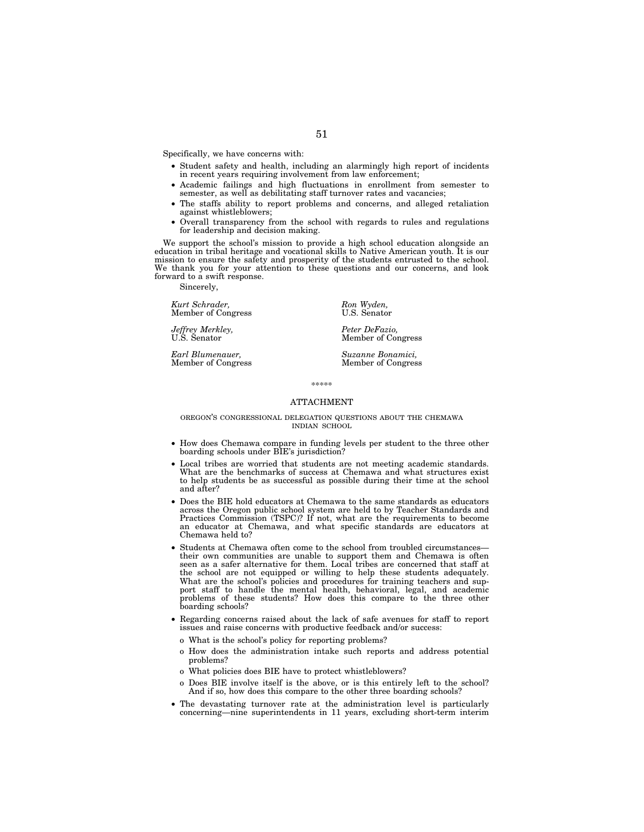Specifically, we have concerns with:

- Student safety and health, including an alarmingly high report of incidents in recent years requiring involvement from law enforcement;
- Academic failings and high fluctuations in enrollment from semester to semester, as well as debilitating staff turnover rates and vacancies;
- The staffs ability to report problems and concerns, and alleged retaliation against whistleblowers;
- Overall transparency from the school with regards to rules and regulations for leadership and decision making.

We support the school's mission to provide a high school education alongside an education in tribal heritage and vocational skills to Native American youth. It is our mission to ensure the safety and prosperity of the students entrusted to the school. We thank you for your attention to these questions and our concerns, and look forward to a swift response.

Sincerely,

*Kurt Schrader, Ron Wyden, Ron Wyden, Ron Wyden, U.S. Senator* Member of Congress

*Jeffrey Merkley,* Peter DeFazio, Peter DeFazio, Peter DeFazio, Peter DeFazio, Peter DeFazio, Peter DeFazio, Peter DeFazio, Peter DeFazio, Peter DeFazio, Peter DeFazio, Peter DeFazio, Peter DeFazio, Peter DeFazio, Peter De

*Earl Blumenauer, Suzanne Bonamici,* 

Member of Congress

Member of Congress

\*\*\*\*\*

## ATTACHMENT

## OREGON'S CONGRESSIONAL DELEGATION QUESTIONS ABOUT THE CHEMAWA INDIAN SCHOOL

- How does Chemawa compare in funding levels per student to the three other boarding schools under BIE's jurisdiction?
- Local tribes are worried that students are not meeting academic standards. What are the benchmarks of success at Chemawa and what structures exist to help students be as successful as possible during their time at the school and after?
- Does the BIE hold educators at Chemawa to the same standards as educators across the Oregon public school system are held to by Teacher Standards and Practices Commission (TSPC)? If not, what are the requirements to become an educator at Chemawa, and what specific standards are educators at Chemawa held to?
- Students at Chemawa often come to the school from troubled circumstances their own communities are unable to support them and Chemawa is often seen as a safer alternative for them. Local tribes are concerned that staff at the school are not equipped or willing to help these students adequately. What are the school's policies and procedures for training teachers and support staff to handle the mental health, behavioral, legal, and academic problems of these students? How does this compare to the three other boarding schools?
- Regarding concerns raised about the lack of safe avenues for staff to report issues and raise concerns with productive feedback and/or success:
	- o What is the school's policy for reporting problems?
	- o How does the administration intake such reports and address potential problems?
	- o What policies does BIE have to protect whistleblowers?
	- o Does BIE involve itself is the above, or is this entirely left to the school? And if so, how does this compare to the other three boarding schools?
- The devastating turnover rate at the administration level is particularly concerning—nine superintendents in 11 years, excluding short-term interim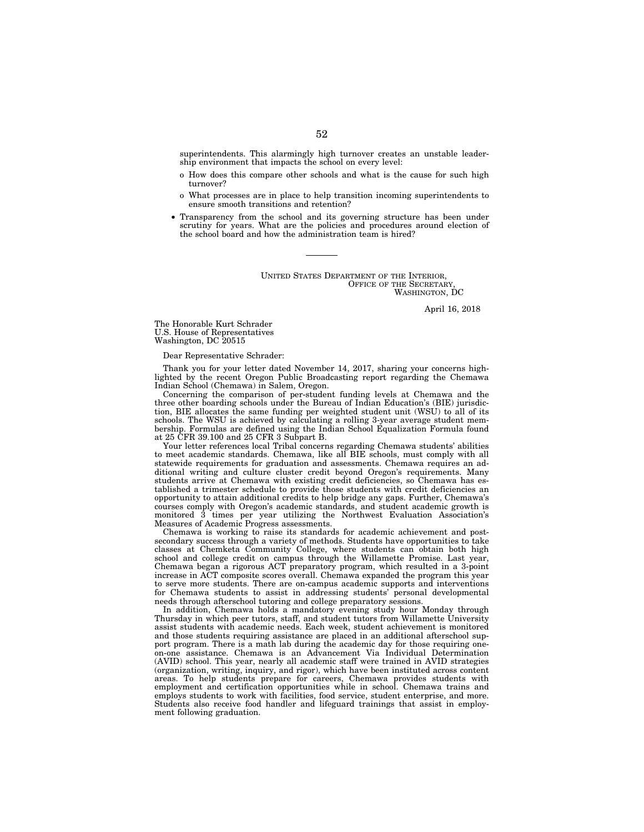superintendents. This alarmingly high turnover creates an unstable leadership environment that impacts the school on every level:

- o How does this compare other schools and what is the cause for such high turnover?
- o What processes are in place to help transition incoming superintendents to ensure smooth transitions and retention?
- Transparency from the school and its governing structure has been under scrutiny for years. What are the policies and procedures around election of the school board and how the administration team is hired?

UNITED STATES DEPARTMENT OF THE INTERIOR, OFFICE OF THE SECRETARY WASHINGTON, DC

April 16, 2018

The Honorable Kurt Schrader U.S. House of Representatives Washington, DC 20515

## Dear Representative Schrader:

Thank you for your letter dated November 14, 2017, sharing your concerns highlighted by the recent Oregon Public Broadcasting report regarding the Chemawa Indian School (Chemawa) in Salem, Oregon.

Concerning the comparison of per-student funding levels at Chemawa and the three other boarding schools under the Bureau of Indian Education's (BIE) jurisdiction, BIE allocates the same funding per weighted student unit (WSU) to all of its schools. The WSU is achieved by calculating a rolling 3-year average student membership. Formulas are defined using the Indian School Equalization Formula found at 25 CFR 39.100 and 25 CFR 3 Subpart B.

Your letter references local Tribal concerns regarding Chemawa students' abilities to meet academic standards. Chemawa, like all BIE schools, must comply with all statewide requirements for graduation and assessments. Chemawa requires an additional writing and culture cluster credit beyond Oregon's requirements. Many students arrive at Chemawa with existing credit deficiencies, so Chemawa has established a trimester schedule to provide those students with credit deficiencies an opportunity to attain additional credits to help bridge any gaps. Further, Chemawa's courses comply with Oregon's academic standards, and student academic growth is monitored 3 times per year utilizing the Northwest Evaluation Association's Measures of Academic Progress assessments.

Chemawa is working to raise its standards for academic achievement and postsecondary success through a variety of methods. Students have opportunities to take classes at Chemketa Community College, where students can obtain both high school and college credit on campus through the Willamette Promise. Last year, Chemawa began a rigorous ACT preparatory program, which resulted in a 3-point increase in ACT composite scores overall. Chemawa expanded the program this year to serve more students. There are on-campus academic supports and interventions for Chemawa students to assist in addressing students' personal developmental needs through afterschool tutoring and college preparatory sessions.

In addition, Chemawa holds a mandatory evening study hour Monday through Thursday in which peer tutors, staff, and student tutors from Willamette University assist students with academic needs. Each week, student achievement is monitored and those students requiring assistance are placed in an additional afterschool support program. There is a math lab during the academic day for those requiring oneon-one assistance. Chemawa is an Advancement Via Individual Determination (AVID) school. This year, nearly all academic staff were trained in AVID strategies (organization, writing, inquiry, and rigor), which have been instituted across content areas. To help students prepare for careers, Chemawa provides students with employment and certification opportunities while in school. Chemawa trains and employs students to work with facilities, food service, student enterprise, and more. Students also receive food handler and lifeguard trainings that assist in employment following graduation.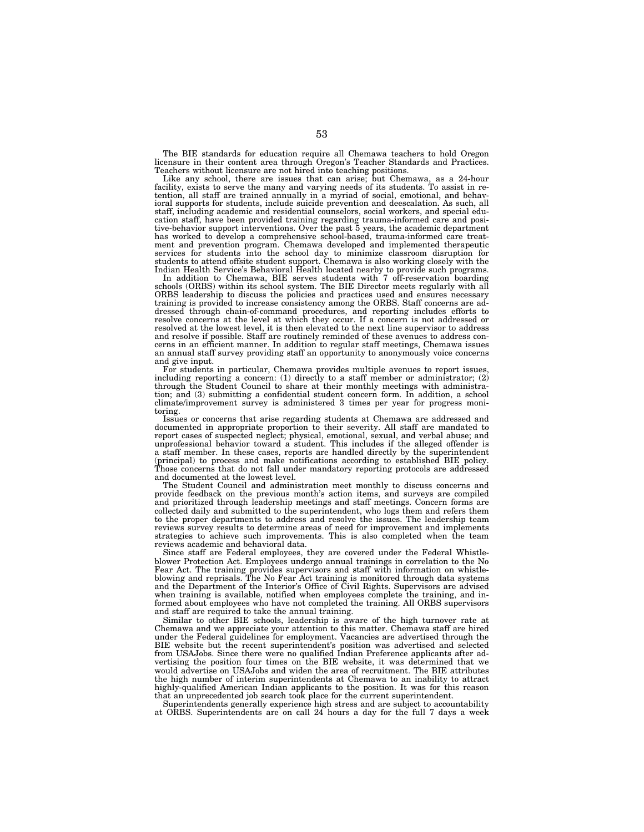The BIE standards for education require all Chemawa teachers to hold Oregon licensure in their content area through Oregon's Teacher Standards and Practices. Teachers without licensure are not hired into teaching positions.

Like any school, there are issues that can arise; but Chemawa, as a 24-hour facility, exists to serve the many and varying needs of its students. To assist in retention, all staff are trained annually in a myriad of social, emotional, and behavioral supports for students, include suicide prevention and deescalation. As such, all staff, including academic and residential counselors, social workers, and special education staff, have been provided training regarding trauma-informed care and positive-behavior support interventions. Over the past 5 years, the academic department has worked to develop a comprehensive school-based, trauma-informed care treatment and prevention program. Chemawa developed and implemented therapeutic services for students into the school day to minimize classroom disruption for students to attend offsite student support. Chemawa is also working closely with the Indian Health Service's Behavioral Health located nearby to provide such programs.

In addition to Chemawa, BIE serves students with 7 off-reservation boarding schools (ORBS) within its school system. The BIE Director meets regularly with all ORBS leadership to discuss the policies and practices used and ensures necessary training is provided to increase consistency among the ORBS. Staff concerns are addressed through chain-of-command procedures, and reporting includes efforts to resolve concerns at the level at which they occur. If a concern is not addressed or resolved at the lowest level, it is then elevated to the next line supervisor to address and resolve if possible. Staff are routinely reminded of these avenues to address concerns in an efficient manner. In addition to regular staff meetings, Chemawa issues an annual staff survey providing staff an opportunity to anonymously voice concerns and give input.

For students in particular, Chemawa provides multiple avenues to report issues, including reporting a concern: (1) directly to a staff member or administrator; (2) through the Student Council to share at their monthly meetings with administration; and (3) submitting a confidential student concern form. In addition, a school climate/improvement survey is administered 3 times per year for progress monitoring.

Issues or concerns that arise regarding students at Chemawa are addressed and documented in appropriate proportion to their severity. All staff are mandated to report cases of suspected neglect; physical, emotional, sexual, and verbal abuse; and unprofessional behavior toward a student. This includes if the alleged offender is a staff member. In these cases, reports are handled directly by the superintendent (principal) to process and make notifications according to established BIE policy. Those concerns that do not fall under mandatory reporting protocols are addressed and documented at the lowest level.

The Student Council and administration meet monthly to discuss concerns and provide feedback on the previous month's action items, and surveys are compiled and prioritized through leadership meetings and staff meetings. Concern forms are collected daily and submitted to the superintendent, who logs them and refers them to the proper departments to address and resolve the issues. The leadership team reviews survey results to determine areas of need for improvement and implements strategies to achieve such improvements. This is also completed when the team reviews academic and behavioral data.

Since staff are Federal employees, they are covered under the Federal Whistleblower Protection Act. Employees undergo annual trainings in correlation to the No Fear Act. The training provides supervisors and staff with information on whistleblowing and reprisals. The No Fear Act training is monitored through data systems and the Department of the Interior's Office of Civil Rights. Supervisors are advised when training is available, notified when employees complete the training, and informed about employees who have not completed the training. All ORBS supervisors and staff are required to take the annual training.

Similar to other BIE schools, leadership is aware of the high turnover rate at Chemawa and we appreciate your attention to this matter. Chemawa staff are hired under the Federal guidelines for employment. Vacancies are advertised through the BIE website but the recent superintendent's position was advertised and selected from USAJobs. Since there were no qualified Indian Preference applicants after advertising the position four times on the BIE website, it was determined that we would advertise on USAJobs and widen the area of recruitment. The BIE attributes the high number of interim superintendents at Chemawa to an inability to attract highly-qualified American Indian applicants to the position. It was for this reason that an unprecedented job search took place for the current superintendent.

Superintendents generally experience high stress and are subject to accountability at ORBS. Superintendents are on call  $24$  hours a day for the full 7 days a week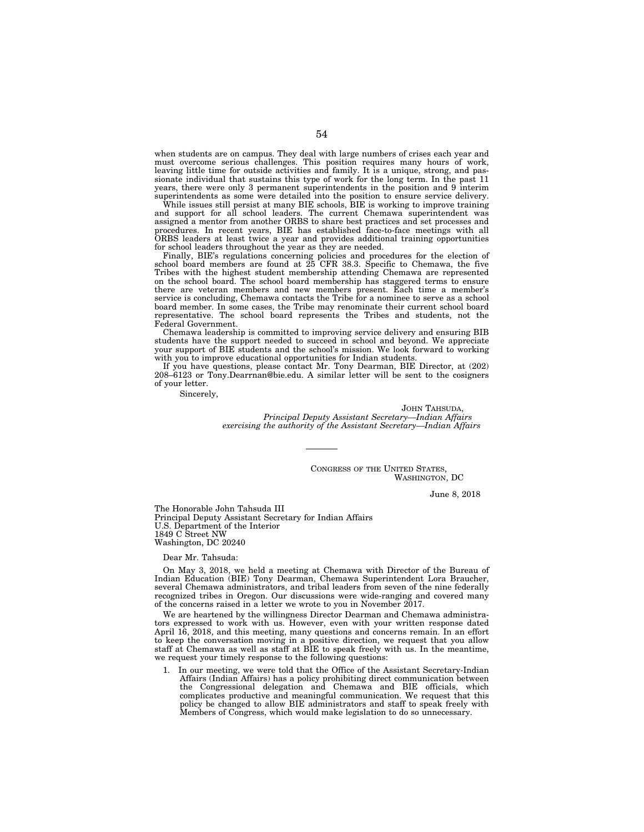when students are on campus. They deal with large numbers of crises each year and must overcome serious challenges. This position requires many hours of work, leaving little time for outside activities and family. It is a unique, strong, and passionate individual that sustains this type of work for the long term. In the past 11 years, there were only 3 permanent superintendents in the position and 9 interim superintendents as some were detailed into the position to ensure service delivery.

While issues still persist at many BIE schools, BIE is working to improve training and support for all school leaders. The current Chemawa superintendent was assigned a mentor from another ORBS to share best practices and set processes and procedures. In recent years, BIE has established face-to-face meetings with all ORBS leaders at least twice a year and provides additional training opportunities for school leaders throughout the year as they are needed.

Finally, BIE's regulations concerning policies and procedures for the election of school board members are found at 25 CFR 38.3. Specific to Chemawa, the five Tribes with the highest student membership attending Chemawa are represented on the school board. The school board membership has staggered terms to ensure there are veteran members and new members present. Each time a member's service is concluding, Chemawa contacts the Tribe for a nominee to serve as a school board member. In some cases, the Tribe may renominate their current school board representative. The school board represents the Tribes and students, not the Federal Government.

Chemawa leadership is committed to improving service delivery and ensuring BIB students have the support needed to succeed in school and beyond. We appreciate your support of BIE students and the school's mission. We look forward to working with you to improve educational opportunities for Indian students.

If you have questions, please contact Mr. Tony Dearman, BIE Director, at (202) 208–6123 or Tony.Dearrnan@bie.edu. A similar letter will be sent to the cosigners of your letter.

Sincerely,

JOHN TAHSUDA, *Principal Deputy Assistant Secretary—Indian Affairs exercising the authority of the Assistant Secretary—Indian Affairs* 

> CONGRESS OF THE UNITED STATES, WASHINGTON, DC

> > June 8, 2018

The Honorable John Tahsuda III Principal Deputy Assistant Secretary for Indian Affairs U.S. Department of the Interior 1849 C Street NW Washington, DC 20240

Dear Mr. Tahsuda:

On May 3, 2018, we held a meeting at Chemawa with Director of the Bureau of Indian Education (BIE) Tony Dearman, Chemawa Superintendent Lora Braucher, several Chemawa administrators, and tribal leaders from seven of the nine federally recognized tribes in Oregon. Our discussions were wide-ranging and covered many of the concerns raised in a letter we wrote to you in November 2017.

We are heartened by the willingness Director Dearman and Chemawa administrators expressed to work with us. However, even with your written response dated April 16, 2018, and this meeting, many questions and concerns remain. In an effort to keep the conversation moving in a positive direction, we request that you allow staff at Chemawa as well as staff at BIE to speak freely with us. In the meantime, we request your timely response to the following questions:

In our meeting, we were told that the Office of the Assistant Secretary-Indian Affairs (Indian Affairs) has a policy prohibiting direct communication between the Congressional delegation and Chemawa and BIE officials, which complicates productive and meaningful communication. We request that this policy be changed to allow BIE administrators and staff to speak freely with Members of Congress, which would make legislation to do so unnecessary.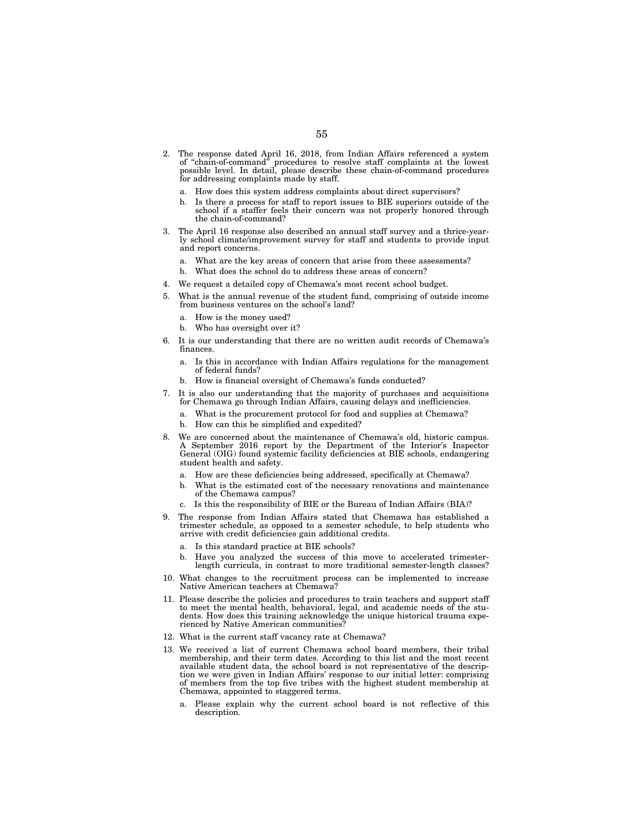- 2. The response dated April 16, 2018, from Indian Affairs referenced a system of ''chain-of-command'' procedures to resolve staff complaints at the lowest possible level. In detail, please describe these chain-of-command procedures for addressing complaints made by staff.
	- a. How does this system address complaints about direct supervisors?
	- b. Is there a process for staff to report issues to BIE superiors outside of the school if a staffer feels their concern was not properly honored through the chain-of-command?
- The April 16 response also described an annual staff survey and a thrice-yearly school climate/improvement survey for staff and students to provide input and report concerns.
	- a. What are the key areas of concern that arise from these assessments?
	- b. What does the school do to address these areas of concern?
- 4. We request a detailed copy of Chemawa's most recent school budget.
- 5. What is the annual revenue of the student fund, comprising of outside income from business ventures on the school's land?
	- a. How is the money used?
	- b. Who has oversight over it?
- 6. It is our understanding that there are no written audit records of Chemawa's finances.
	- a. Is this in accordance with Indian Affairs regulations for the management of federal funds?
	- b. How is financial oversight of Chemawa's funds conducted?
- 7. It is also our understanding that the majority of purchases and acquisitions for Chemawa go through Indian Affairs, causing delays and inefficiencies.
	- a. What is the procurement protocol for food and supplies at Chemawa?
	- b. How can this be simplified and expedited?
- 8. We are concerned about the maintenance of Chemawa's old, historic campus. A September 2016 report by the Department of the Interior's Inspector General (OIG) found systemic facility deficiencies at BIE schools, endangering student health and safety.
	- a. How are these deficiencies being addressed, specifically at Chemawa?
	- b. What is the estimated cost of the necessary renovations and maintenance of the Chemawa campus?
	- c. Is this the responsibility of BIE or the Bureau of Indian Affairs (BIA)?
- 9. The response from Indian Affairs stated that Chemawa has established a trimester schedule, as opposed to a semester schedule, to help students who arrive with credit deficiencies gain additional credits.
	- a. Is this standard practice at BIE schools?
	- b. Have you analyzed the success of this move to accelerated trimesterlength curricula, in contrast to more traditional semester-length classes?
- 10. What changes to the recruitment process can be implemented to increase Native American teachers at Chemawa?
- 11. Please describe the policies and procedures to train teachers and support staff to meet the mental health, behavioral, legal, and academic needs of the students. How does this training acknowledge the unique historical trauma experienced by Native American communities?
- 12. What is the current staff vacancy rate at Chemawa?
- 13. We received a list of current Chemawa school board members, their tribal membership, and their term dates. According to this list and the most recent available student data, the school board is not representative of the description we were given in Indian Affairs' response to our initial letter: comprising of members from the top five tribes with the highest student membership at Chemawa, appointed to staggered terms.
	- a. Please explain why the current school board is not reflective of this description.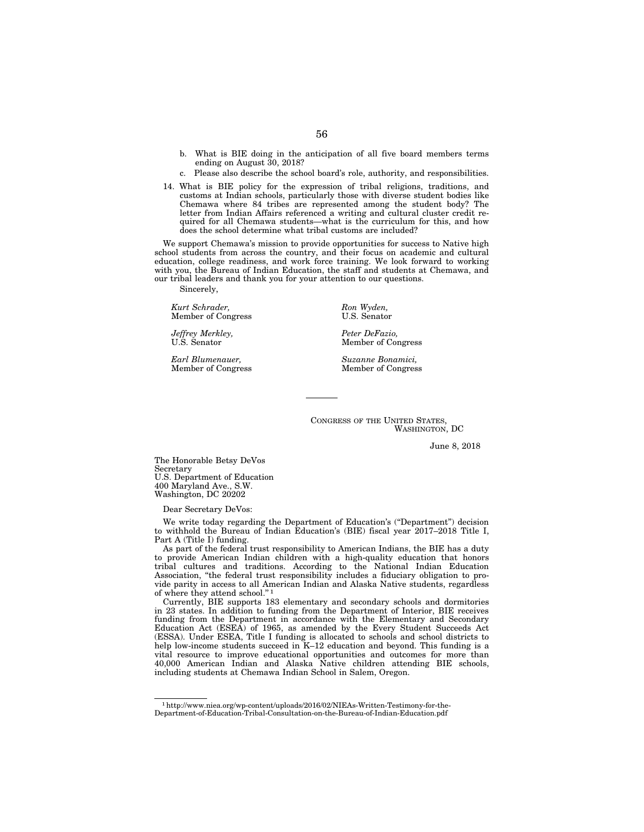- b. What is BIE doing in the anticipation of all five board members terms ending on August 30, 2018?
- c. Please also describe the school board's role, authority, and responsibilities.
- 14. What is BIE policy for the expression of tribal religions, traditions, and customs at Indian schools, particularly those with diverse student bodies like Chemawa where 84 tribes are represented among the student body? The letter from Indian Affairs referenced a writing and cultural cluster credit required for all Chemawa students—what is the curriculum for this, and how does the school determine what tribal customs are included?

We support Chemawa's mission to provide opportunities for success to Native high school students from across the country, and their focus on academic and cultural education, college readiness, and work force training. We look forward to working with you, the Bureau of Indian Education, the staff and students at Chemawa, and our tribal leaders and thank you for your attention to our questions.

Sincerely,

*Kurt Schrader, Ron Wyden, Ron Wyden, Ron Wyden, Ron Wyden, Ron Wyden, Ron Wyden, Ron Wyden, Ron Wyden, Ron Wyden, Ron Wyden, Ron Wyden, Ron Wyden, Ron Wyden, Ron Wyden, Ron Wyden, <i>Ron Wyden,* Member of Congress

*Jeffrey Merkley, Peter DeFazio, Peter DeFazio, Peter DeFazio, Peter DeFazio, Peter DeFazio, Peter DeFazio, Peter DeFazio, Peter DeFazio, <i>Peter DeFazio, Peter DeFazio, Peter DeFazio, <i>Peter* DeFazio,

*Earl Blumenauer, Suzanne Bonamici,* 

Member of Congress

Member of Congress

CONGRESS OF THE UNITED STATES, WASHINGTON, DC

June 8, 2018

The Honorable Betsy DeVos Secretary U.S. Department of Education 400 Maryland Ave., S.W. Washington, DC 20202

Dear Secretary DeVos:

We write today regarding the Department of Education's (''Department'') decision to withhold the Bureau of Indian Education's (BIE) fiscal year 2017–2018 Title I, Part A (Title I) funding.

As part of the federal trust responsibility to American Indians, the BIE has a duty to provide American Indian children with a high-quality education that honors tribal cultures and traditions. According to the National Indian Education Association, ''the federal trust responsibility includes a fiduciary obligation to provide parity in access to all American Indian and Alaska Native students, regardless of where they attend school.'' 1

Currently, BIE supports 183 elementary and secondary schools and dormitories in 23 states. In addition to funding from the Department of Interior, BIE receives funding from the Department in accordance with the Elementary and Secondary Education Act (ESEA) of 1965, as amended by the Every Student Succeeds Act (ESSA). Under ESEA, Title I funding is allocated to schools and school districts to help low-income students succeed in K–12 education and beyond. This funding is a vital resource to improve educational opportunities and outcomes for more than 40,000 American Indian and Alaska Native children attending BIE schools, including students at Chemawa Indian School in Salem, Oregon.

<sup>1</sup>http://www.niea.org/wp-content/uploads/2016/02/NIEAs-Written-Testimony-for-the-Department-of-Education-Tribal-Consultation-on-the-Bureau-of-Indian-Education.pdf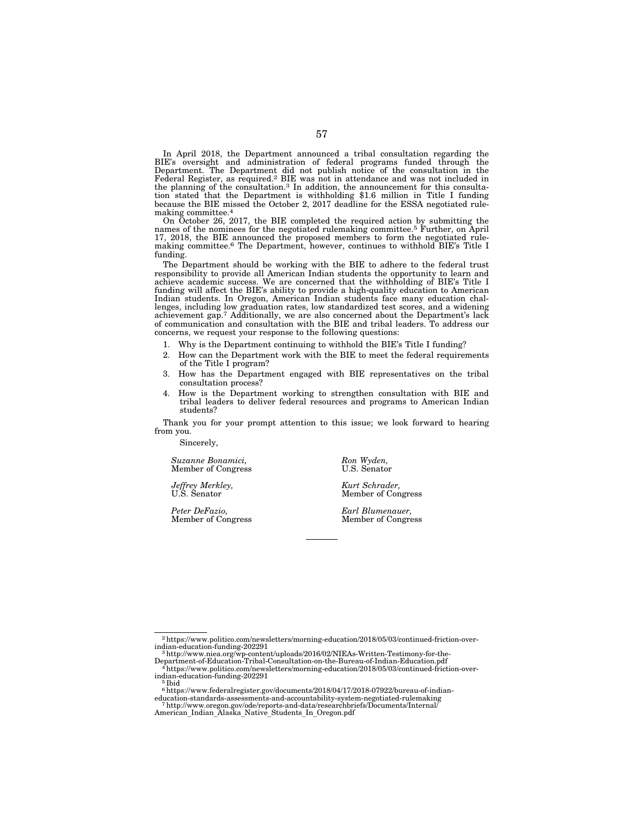In April 2018, the Department announced a tribal consultation regarding the BIE's oversight and administration of federal programs funded through the Department. The Department did not publish notice of the consultation in the Federal Register, as required.<sup>2</sup> BIE was not in attendance and was not included in the planning of the consultation.<sup>3</sup> In addition, the announcement for this consultation stated that the Department is withholding \$1.6 million in Title I funding because the BIE missed the October 2, 2017 deadline for the ESSA negotiated rulemaking committee.4

On October 26, 2017, the BIE completed the required action by submitting the names of the nominees for the negotiated rulemaking committee.5 Further, on April 17, 2018, the BIE announced the proposed members to form the negotiated rulemaking committee.6 The Department, however, continues to withhold BIE's Title I funding.

The Department should be working with the BIE to adhere to the federal trust responsibility to provide all American Indian students the opportunity to learn and achieve academic success. We are concerned that the withholding of BIE's Title I funding will affect the BIE's ability to provide a high-quality education to American Indian students. In Oregon, American Indian students face many education challenges, including low graduation rates, low standardized test scores, and a widening achievement gap.7 Additionally, we are also concerned about the Department's lack of communication and consultation with the BIE and tribal leaders. To address our concerns, we request your response to the following questions:

- 1. Why is the Department continuing to withhold the BIE's Title I funding?
- 2. How can the Department work with the BIE to meet the federal requirements of the Title I program?
- 3. How has the Department engaged with BIE representatives on the tribal consultation process?
- 4. How is the Department working to strengthen consultation with BIE and tribal leaders to deliver federal resources and programs to American Indian students?

Thank you for your prompt attention to this issue; we look forward to hearing from you.

Sincerely,

*Suzanne Bonamici, Ron Wyden, Ron Wyden, Ron Wyden, U.S. Senator* Member of Congress

*Jeffrey Merkley, Kurt Schrader,* 

*Peter DeFazio, Earl Blumenauer,* 

Member of Congress

Member of Congress

 $^{2}$ https://www.politico.com/newsletters/morning-education/2018/05/03/continued-friction-over-indian-education-funding-202291

 $3$ http://www.niea.org/wp-content/uploads/2016/02/NIEAs-Written-Testimony-for-the-

Department-of-Education-Tribal-Consultation-on-the-Bureau-of-Indian-Education.pdf 4https://www.politico.com/newsletters/morning-education/2018/05/03/continued-friction-overindian-education-funding-202291 5 Ibid

 $^6$ https://www.federalregister.gov/documents/2018/04/17/2018-07922/bureau-of-indian-education-standards-assessments-and-accountability-system-negotiated-rulemaking

education-standards-assessments-and-accountability-system-negotiated-rulemaking<br>7 http://www.oregon.gov/ode/reports-and-data/researchbriefs/Documents/Internal/<br>American\_Indian\_Alaska\_Native\_Students\_In\_Oregon.pdf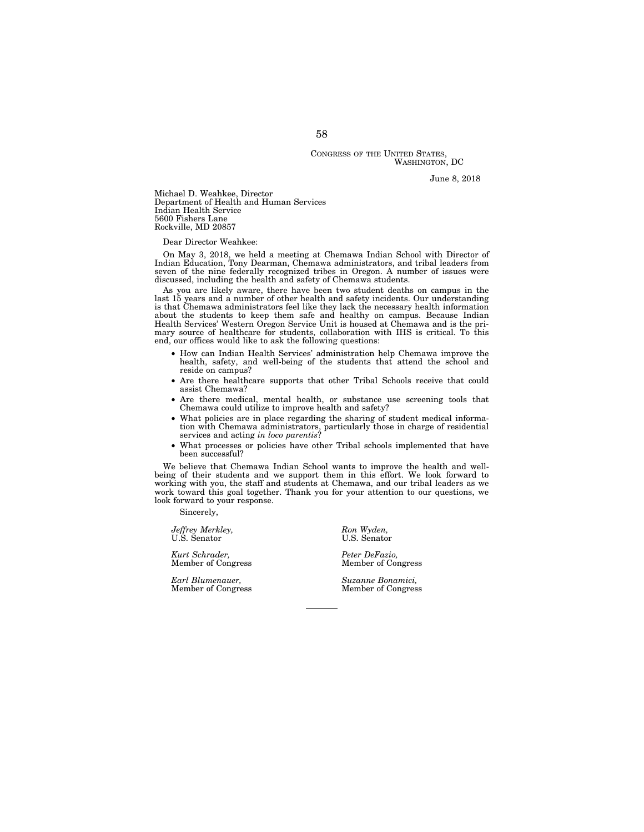### CONGRESS OF THE UNITED STATES, WASHINGTON, DC

June 8, 2018

Michael D. Weahkee, Director Department of Health and Human Services Indian Health Service 5600 Fishers Lane Rockville, MD 20857

Dear Director Weahkee:

On May 3, 2018, we held a meeting at Chemawa Indian School with Director of Indian Education, Tony Dearman, Chemawa administrators, and tribal leaders from seven of the nine federally recognized tribes in Oregon. A number of issues were discussed, including the health and safety of Chemawa students.

As you are likely aware, there have been two student deaths on campus in the last 15 years and a number of other health and safety incidents. Our understanding is that Chemawa administrators feel like they lack the necessary health information about the students to keep them safe and healthy on campus. Because Indian Health Services' Western Oregon Service Unit is housed at Chemawa and is the primary source of healthcare for students, collaboration with IHS is critical. To this end, our offices would like to ask the following questions:

- How can Indian Health Services' administration help Chemawa improve the health, safety, and well-being of the students that attend the school and reside on campus?
- Are there healthcare supports that other Tribal Schools receive that could assist Chemawa?
- Are there medical, mental health, or substance use screening tools that Chemawa could utilize to improve health and safety?
- What policies are in place regarding the sharing of student medical informa-tion with Chemawa administrators, particularly those in charge of residential services and acting *in loco parentis*?
- What processes or policies have other Tribal schools implemented that have been successful?

We believe that Chemawa Indian School wants to improve the health and wellbeing of their students and we support them in this effort. We look forward to working with you, the staff and students at Chemawa, and our tribal leaders as we work toward this goal together. Thank you for your attention to our questions, we look forward to your response.

Sincerely,

*Jeffrey Merkley,* Ron Wyden, Ron Wyden, U.S. Senator Company Ron Wyden, Ron Wyden, Ron Wyden, Ron Wyden, Ron Wyden, Ron Wyden, Ron Wyden, Ron Wyden, Ron Wyden, Ron Wyden, Ron Wyden, Ron Wyden, Ron Wyden, Ron Wyden, Ron Wy U.S. Senator U.S. Senator

*Kurt Schrader, Peter DeFazio,*  Member of Congress

*Earl Blumenauer, Suzanne Bonamici,* 

Member of Congress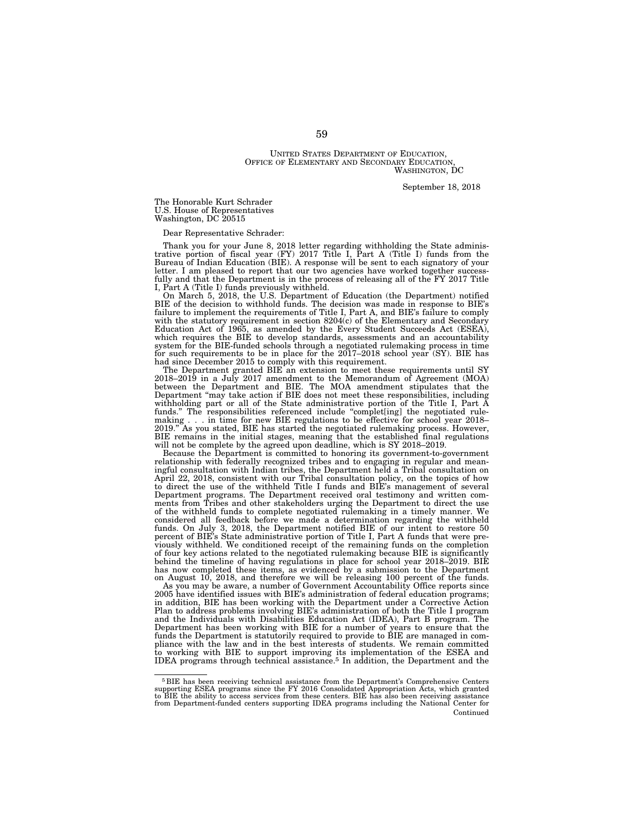UNITED STATES DEPARTMENT OF EDUCATION, OFFICE OF ELEMENTARY AND SECONDARY EDUCATION, WASHINGTON, DC

September 18, 2018

The Honorable Kurt Schrader U.S. House of Representatives Washington, DC 20515

Dear Representative Schrader:

Thank you for your June 8, 2018 letter regarding withholding the State adminis-trative portion of fiscal year (FY) 2017 Title I, Part A (Title I) funds from the Bureau of Indian Education (BIE). A response will be sent to each signatory of your letter. I am pleased to report that our two agencies have worked together successfully and that the Department is in the process of releasing all of the FY 2017 Title I, Part A (Title I) funds previously withheld.

On March 5, 2018, the U.S. Department of Education (the Department) notified BIE of the decision to withhold funds. The decision was made in response to BIE's failure to implement the requirements of Title I, Part A, and BIE's failure to comply with the statutory requirement in section 8204(c) of the Elementary and Secondary Education Act of 1965, as amended by the Every Student Succeeds Act (ESEA), which requires the BIE to develop standards, assessments and an accountability system for the BIE-funded schools through a negotiated rulemaking process in time for such requirements to be in place for the 2017–2018 school year (SY). BIE has had since December 2015 to comply with this requirement.

The Department granted BIE an extension to meet these requirements until SY 2018–2019 in a July 2017 amendment to the Memorandum of Agreement (MOA) between the Department and BIE. The MOA amendment stipulates that the Department ''may take action if BIE does not meet these responsibilities, including withholding part or all of the State administrative portion of the Title I, Part A funds.'' The responsibilities referenced include ''complet[ing] the negotiated rulemaking . . . in time for new BIE regulations to be effective for school year 2018–2019." As you stated, BIE has started the negotiated rulemaking process. However, BIE remains in the initial stages, meaning that the established final regulations will not be complete by the agreed upon deadline, which is SY 2018–2019. Because the Department is committed to honoring its government-to-government

relationship with federally recognized tribes and to engaging in regular and mean-ingful consultation with Indian tribes, the Department held a Tribal consultation on April 22, 2018, consistent with our Tribal consultation policy, on the topics of how to direct the use of the withheld Title I funds and BIE's management of several Department programs. The Department received oral testimony and written com-ments from Tribes and other stakeholders urging the Department to direct the use of the withheld funds to complete negotiated rulemaking in a timely manner. We considered all feedback before we made a determination regarding the withheld funds. On July 3, 2018, the Department notified BIE of our intent to restore 50 percent of BIE's State administrative portion of Title I, Part A funds that were previously withheld. We conditioned receipt of the remaining funds on the completion of four key actions related to the negotiated rulemaking because BIE is significantly behind the timeline of having regulations in place for school year 2018–2019. BIE has now completed these items, as evidenced by a submission to the Department on August 10, 2018, and therefore we will be releasing 100 percent of the funds.

As you may be aware, a number of Government Accountability Office reports since 2005 have identified issues with BIE's administration of federal education programs; in addition, BIE has been working with the Department under a Corrective Action Plan to address problems involving BIE's administration of both the Title I program and the Individuals with Disabilities Education Act (IDEA), Part B program. The Department has been working with BIE for a number of years to ensure that the funds the Department is statutorily required to provide to BIE are managed in compliance with the law and in the best interests of students. We remain committed to working with BIE to support improving its implementation of the ESEA and IDEA programs through technical assistance.5 In addition, the Department and the

 $5$  BIE has been receiving technical assistance from the Department's Comprehensive Centers supporting ESEA programs since the FY 2016 Consolidated Appropriation Acts, which granted to BIE the ability to access services f from Department-funded centers supporting IDEA programs including the National Center for Continued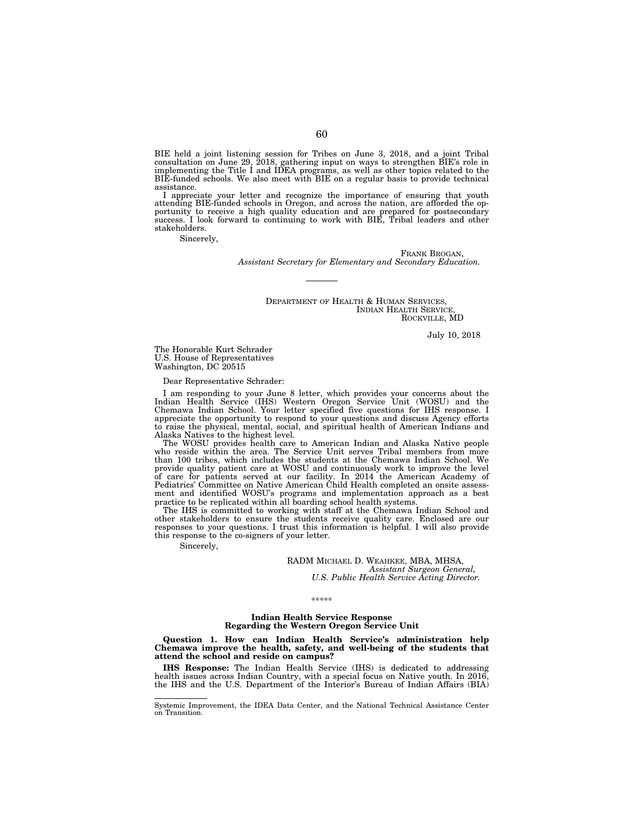BIE held a joint listening session for Tribes on June 3, 2018, and a joint Tribal consultation on June 29, 2018, gathering input on ways to strengthen BIE's role in implementing the Title I and IDEA programs, as well as ot assistance.

I appreciate your letter and recognize the importance of ensuring that youth attending BIE-funded schools in Oregon, and across the nation, are afforded the opportunity to receive a high quality education and are prepared for postsecondary success. I look forward to continuing to work with BIE, Tribal leaders and other stakeholders.

Sincerely,

FRANK BROGAN *Assistant Secretary for Elementary and Secondary Education.* 

> DEPARTMENT OF HEALTH & HUMAN SERVICES, INDIAN HEALTH SERVICE, ROCKVILLE, MD

> > July 10, 2018

The Honorable Kurt Schrader U.S. House of Representatives Washington, DC 20515

Dear Representative Schrader:

I am responding to your June 8 letter, which provides your concerns about the Indian Health Service (IHS) Western Oregon Service Unit (WOSU) and the Chemawa Indian School. Your letter specified five questions for IHS response. I appreciate the opportunity to respond to your questions and discuss Agency efforts to raise the physical, mental, social, and spiritual health of American Indians and Alaska Natives to the highest level.

The WOSU provides health care to American Indian and Alaska Native people who reside within the area. The Service Unit serves Tribal members from more than 100 tribes, which includes the students at the Chemawa Indian School. We provide quality patient care at WOSU and continuously work to improve the level of care for patients served at our facility. In 2014 the American Academy of Pediatrics' Committee on Native American Child Health completed an onsite assessment and identified WOSU's programs and implementation approach as a best practice to be replicated within all boarding school health systems.

The IHS is committed to working with staff at the Chemawa Indian School and other stakeholders to ensure the students receive quality care. Enclosed are our responses to your questions. I trust this information is helpful. I will also provide this response to the co-signers of your letter.

Sincerely,

RADM MICHAEL D. WEAHKEE, MBA, MHSA, *Assistant Surgeon General, U.S. Public Health Service Acting Director.* 

\*\*\*\*\*

## **Indian Health Service Response Regarding the Western Oregon Service Unit**

**Question 1. How can Indian Health Service's administration help Chemawa improve the health, safety, and well-being of the students that attend the school and reside on campus?** 

**IHS Response:** The Indian Health Service (IHS) is dedicated to addressing health issues across Indian Country, with a special focus on Native youth. In 2016, the IHS and the U.S. Department of the Interior's Bureau of Indian Affairs (BIA)

Systemic Improvement, the IDEA Data Center, and the National Technical Assistance Center on Transition.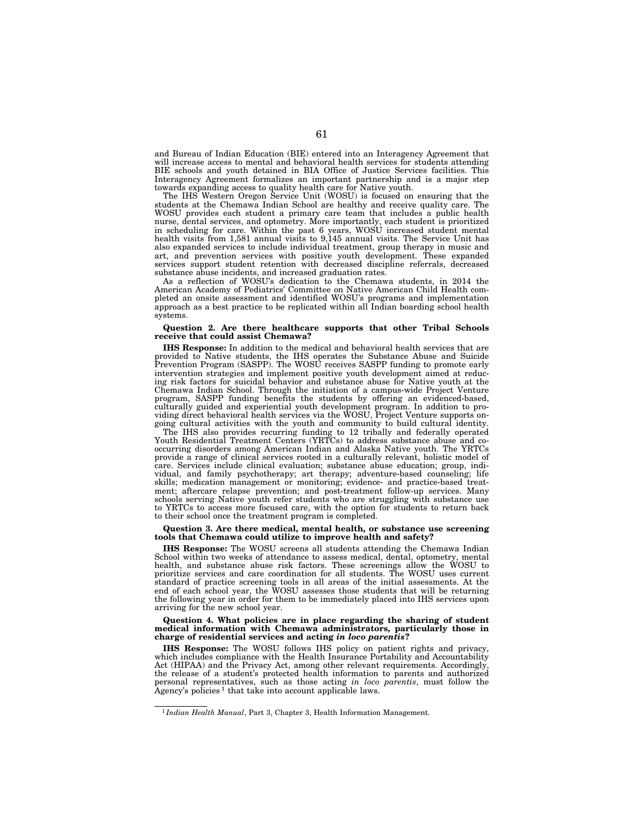and Bureau of Indian Education (BIE) entered into an Interagency Agreement that will increase access to mental and behavioral health services for students attending BIE schools and youth detained in BIA Office of Justice Services facilities. This Interagency Agreement formalizes an important partnership and is a major step towards expanding access to quality health care for Native youth.

The IHS Western Oregon Service Unit (WOSU) is focused on ensuring that the students at the Chemawa Indian School are healthy and receive quality care. The WOSU provides each student a primary care team that includes a public health nurse, dental services, and optometry. More importantly, each student is prioritized in scheduling for care. Within the past 6 years, WOSU increased student mental health visits from 1,581 annual visits to 9,145 annual visits. The Service Unit has also expanded services to include individual treatment, group therapy in music and art, and prevention services with positive youth development. These expanded services support student retention with decreased discipline referrals, decreased substance abuse incidents, and increased graduation rates.

As a reflection of WOSU's dedication to the Chemawa students, in 2014 the American Academy of Pediatrics' Committee on Native American Child Health completed an onsite assessment and identified WOSU's programs and implementation approach as a best practice to be replicated within all Indian boarding school health systems.

## **Question 2. Are there healthcare supports that other Tribal Schools receive that could assist Chemawa?**

**IHS Response:** In addition to the medical and behavioral health services that are provided to Native students, the IHS operates the Substance Abuse and Suicide Prevention Program (SASPP). The WOSU receives SASPP funding to promote early intervention strategies and implement positive youth development aimed at reducing risk factors for suicidal behavior and substance abuse for Native youth at the Chemawa Indian School. Through the initiation of a campus-wide Project Venture program, SASPP funding benefits the students by offering an evidenced-based, culturally guided and experiential youth development program. In addition to providing direct behavioral health services via the WOSU, Project Venture supports ongoing cultural activities with the youth and community to build cultural identity.

The IHS also provides recurring funding to 12 tribally and federally operated Youth Residential Treatment Centers (YRTCs) to address substance abuse and cooccurring disorders among American Indian and Alaska Native youth. The YRTCs provide a range of clinical services rooted in a culturally relevant, holistic model of care. Services include clinical evaluation; substance abuse education; group, individual, and family psychotherapy; art therapy; adventure-based counseling; life skills; medication management or monitoring; evidence- and practice-based treatment; aftercare relapse prevention; and post-treatment follow-up services. Many schools serving Native youth refer students who are struggling with substance use to YRTCs to access more focused care, with the option for students to return back to their school once the treatment program is completed.

### **Question 3. Are there medical, mental health, or substance use screening tools that Chemawa could utilize to improve health and safety?**

**IHS Response:** The WOSU screens all students attending the Chemawa Indian School within two weeks of attendance to assess medical, dental, optometry, mental health, and substance abuse risk factors. These screenings allow the WOSU to prioritize services and care coordination for all students. The WOSU uses current standard of practice screening tools in all areas of the initial assessments. At the end of each school year, the WOSU assesses those students that will be returning the following year in order for them to be immediately placed into IHS services upon arriving for the new school year.

#### **Question 4. What policies are in place regarding the sharing of student medical information with Chemawa administrators, particularly those in charge of residential services and acting** *in loco parentis***?**

**IHS Response:** The WOSU follows IHS policy on patient rights and privacy, which includes compliance with the Health Insurance Portability and Accountability Act (HIPAA) and the Privacy Act, among other relevant requirements. Accordingly, the release of a student's protected health information to parents and authorized personal representatives, such as those acting *in loco parentis*, must follow the Agency's policies<sup>1</sup> that take into account applicable laws.

<sup>1</sup> *Indian Health Manual*, Part 3, Chapter 3, Health Information Management.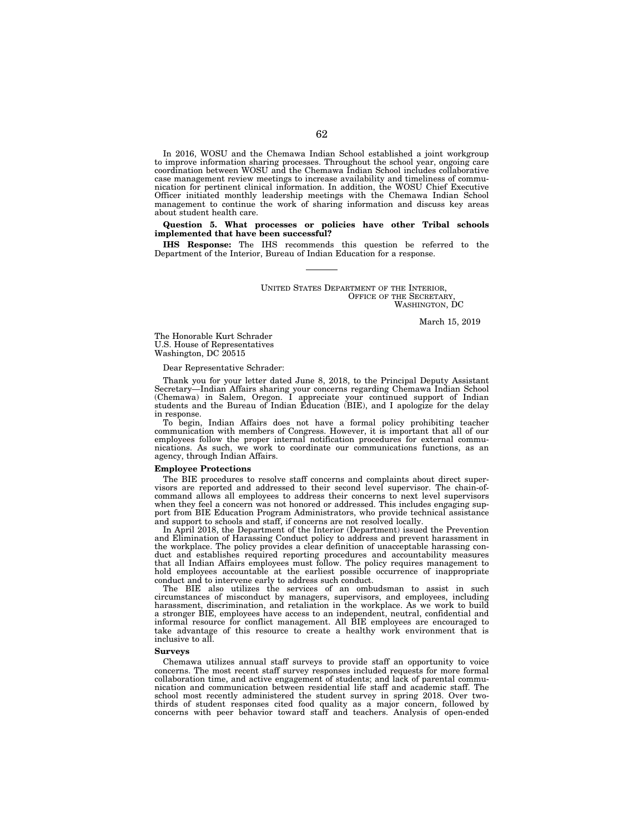In 2016, WOSU and the Chemawa Indian School established a joint workgroup to improve information sharing processes. Throughout the school year, ongoing care coordination between WOSU and the Chemawa Indian School includes collaborative case management review meetings to increase availability and timeliness of communication for pertinent clinical information. In addition, the WOSU Chief Executive Officer initiated monthly leadership meetings with the Chemawa Indian School management to continue the work of sharing information and discuss key areas about student health care.

## **Question 5. What processes or policies have other Tribal schools implemented that have been successful?**

**IHS Response:** The IHS recommends this question be referred to the Department of the Interior, Bureau of Indian Education for a response.

> UNITED STATES DEPARTMENT OF THE INTERIOR, OFFICE OF THE SECRETARY, WASHINGTON, DC

> > March 15, 2019

The Honorable Kurt Schrader U.S. House of Representatives Washington, DC 20515

Dear Representative Schrader:

Thank you for your letter dated June 8, 2018, to the Principal Deputy Assistant Secretary—Indian Affairs sharing your concerns regarding Chemawa Indian School (Chemawa) in Salem, Oregon. I appreciate your continued support of Indian students and the Bureau of Indian Education (BIE), and I apologize for the delay in response.

To begin, Indian Affairs does not have a formal policy prohibiting teacher communication with members of Congress. However, it is important that all of our employees follow the proper internal notification procedures for external communications. As such, we work to coordinate our communications functions, as an agency, through Indian Affairs.

### **Employee Protections**

The BIE procedures to resolve staff concerns and complaints about direct supervisors are reported and addressed to their second level supervisor. The chain-ofcommand allows all employees to address their concerns to next level supervisors when they feel a concern was not honored or addressed. This includes engaging support from BIE Education Program Administrators, who provide technical assistance and support to schools and staff, if concerns are not resolved locally.

In April 2018, the Department of the Interior (Department) issued the Prevention and Elimination of Harassing Conduct policy to address and prevent harassment in the workplace. The policy provides a clear definition of unacceptable harassing conduct and establishes required reporting procedures and accountability measures that all Indian Affairs employees must follow. The policy requires management to hold employees accountable at the earliest possible occurrence of inappropriate conduct and to intervene early to address such conduct.

The BIE also utilizes the services of an ombudsman to assist in such circumstances of misconduct by managers, supervisors, and employees, including harassment, discrimination, and retaliation in the workplace. As we work to build a stronger BIE, employees have access to an independent, neutral, confidential and informal resource for conflict management. All BIE employees are encouraged to take advantage of this resource to create a healthy work environment that is inclusive to all.

## **Surveys**

Chemawa utilizes annual staff surveys to provide staff an opportunity to voice concerns. The most recent staff survey responses included requests for more formal collaboration time, and active engagement of students; and lack of parental communication and communication between residential life staff and academic staff. The school most recently administered the student survey in spring 2018. Over twothirds of student responses cited food quality as a major concern, followed by concerns with peer behavior toward staff and teachers. Analysis of open-ended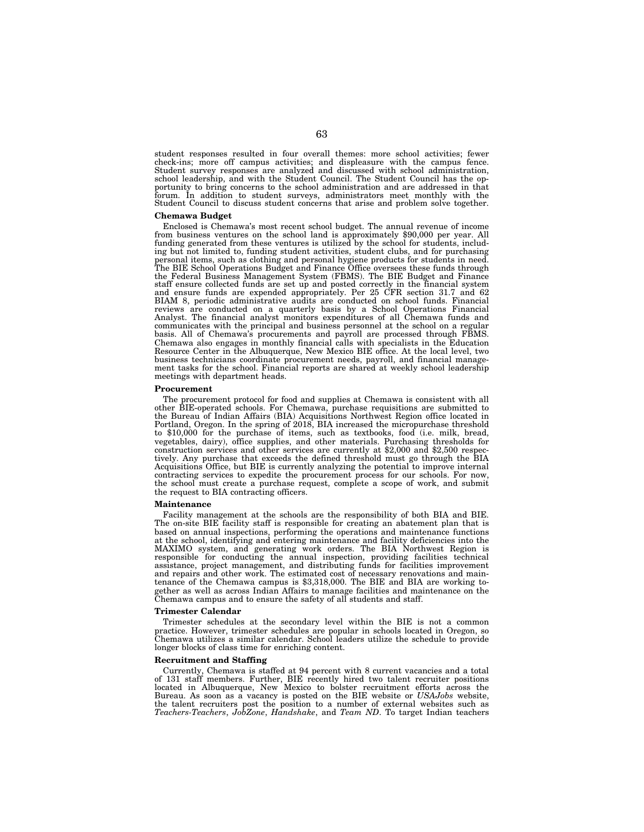student responses resulted in four overall themes: more school activities; fewer check-ins; more off campus activities; and displeasure with the campus fence. Student survey responses are analyzed and discussed with school administration, school leadership, and with the Student Council. The Student Council has the opportunity to bring concerns to the school administration and are addressed in that forum. In addition to student surveys, administrators meet monthly with the Student Council to discuss student concerns that arise and problem solve together.

### **Chemawa Budget**

Enclosed is Chemawa's most recent school budget. The annual revenue of income from business ventures on the school land is approximately \$90,000 per year. All funding generated from these ventures is utilized by the school for students, including but not limited to, funding student activities, student clubs, and for purchasing personal items, such as clothing and personal hygiene products for students in need. The BIE School Operations Budget and Finance Office oversees these funds through the Federal Business Management System (FBMS). The BIE Budget and Finance staff ensure collected funds are set up and posted correctly in the financial system and ensure funds are expended appropriately. Per 25 CFR section 31.7 and 62 BIAM 8, periodic administrative audits are conducted on school funds. Financial reviews are conducted on a quarterly basis by a School Operations Financial Analyst. The financial analyst monitors expenditures of all Chemawa funds and communicates with the principal and business personnel at the school on a regular basis. All of Chemawa's procurements and payroll are processed through FBMS. Chemawa also engages in monthly financial calls with specialists in the Education Resource Center in the Albuquerque, New Mexico BIE office. At the local level, two business technicians coordinate procurement needs, payroll, and financial management tasks for the school. Financial reports are shared at weekly school leadership meetings with department heads.

## **Procurement**

The procurement protocol for food and supplies at Chemawa is consistent with all other BIE-operated schools. For Chemawa, purchase requisitions are submitted to the Bureau of Indian Affairs (BIA) Acquisitions Northwest Region office located in Portland, Oregon. In the spring of 2018, BIA increased the micropurchase threshold to \$10,000 for the purchase of items, such as textbooks, food (i.e. milk, bread, vegetables, dairy), office supplies, and other materials. Purchasing thresholds for construction services and other services are currently at \$2,000 and \$2,500 respectively. Any purchase that exceeds the defined threshold must go through the BIA Acquisitions Office, but BIE is currently analyzing the potential to improve internal contracting services to expedite the procurement process for our schools. For now, the school must create a purchase request, complete a scope of work, and submit the request to BIA contracting officers.

#### **Maintenance**

Facility management at the schools are the responsibility of both BIA and BIE. The on-site BIE facility staff is responsible for creating an abatement plan that is based on annual inspections, performing the operations and maintenance functions at the school, identifying and entering maintenance and facility deficiencies into the MAXIMO system, and generating work orders. The BIA Northwest Region is responsible for conducting the annual inspection, providing facilities technical assistance, project management, and distributing funds for facilities improvement and repairs and other work. The estimated cost of necessary renovations and maintenance of the Chemawa campus is \$3,318,000. The BIE and BIA are working together as well as across Indian Affairs to manage facilities and maintenance on the Chemawa campus and to ensure the safety of all students and staff.

### **Trimester Calendar**

Trimester schedules at the secondary level within the BIE is not a common practice. However, trimester schedules are popular in schools located in Oregon, so Chemawa utilizes a similar calendar. School leaders utilize the schedule to provide longer blocks of class time for enriching content.

#### **Recruitment and Staffing**

Currently, Chemawa is staffed at 94 percent with 8 current vacancies and a total of 131 staff members. Further, BIE recently hired two talent recruiter positions located in Albuquerque, New Mexico to bolster recruitment efforts across the Bureau. As soon as a vacancy is posted on the BIE website or *USAJobs* website, the talent recruiters post the position to a number of external websites such as *Teachers-Teachers*, *JobZone*, *Handshake*, and *Team ND*. To target Indian teachers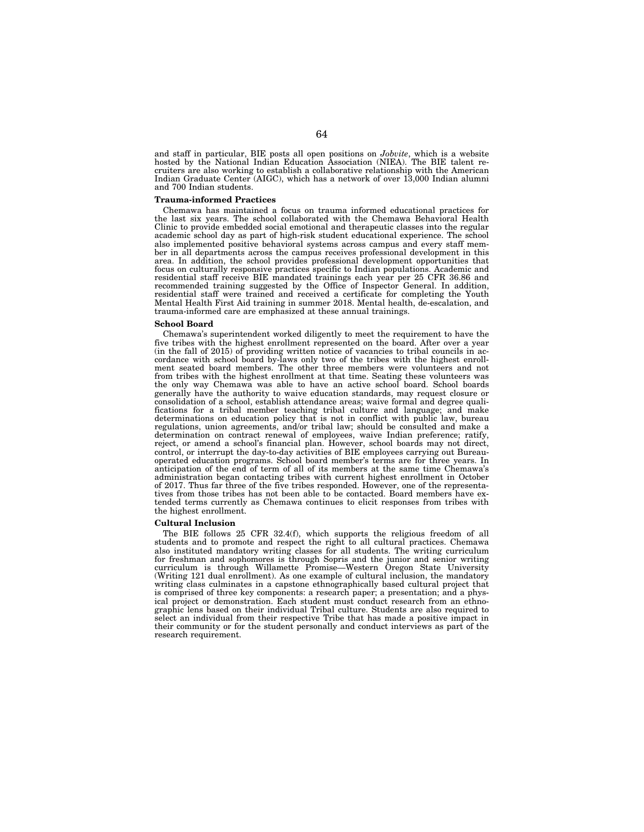and staff in particular, BIE posts all open positions on *Jobvite*, which is a website hosted by the National Indian Education Association (NIEA). The BIE talent recruiters are also working to establish a collaborative relationship with the American Indian Graduate Center (AIGC), which has a network of over 13,000 Indian alumni and 700 Indian students.

### **Trauma-informed Practices**

Chemawa has maintained a focus on trauma informed educational practices for the last six years. The school collaborated with the Chemawa Behavioral Health Clinic to provide embedded social emotional and therapeutic classes into the regular academic school day as part of high-risk student educational experience. The school also implemented positive behavioral systems across campus and every staff member in all departments across the campus receives professional development in this area. In addition, the school provides professional development opportunities that focus on culturally responsive practices specific to Indian populations. Academic and residential staff receive BIE mandated trainings each year per 25 CFR 36.86 and recommended training suggested by the Office of Inspector General. In addition, residential staff were trained and received a certificate for completing the Youth Mental Health First Aid training in summer 2018. Mental health, de-escalation, and trauma-informed care are emphasized at these annual trainings.

### **School Board**

Chemawa's superintendent worked diligently to meet the requirement to have the five tribes with the highest enrollment represented on the board. After over a year (in the fall of 2015) of providing written notice of vacancies to tribal councils in accordance with school board by-laws only two of the tribes with the highest enrollment seated board members. The other three members were volunteers and not from tribes with the highest enrollment at that time. Seating these volunteers was the only way Chemawa was able to have an active school board. School boards generally have the authority to waive education standards, may request closure or consolidation of a school, establish attendance areas; waive formal and degree qualifications for a tribal member teaching tribal culture and language; and make determinations on education policy that is not in conflict with public law, bureau regulations, union agreements, and/or tribal law; should be consulted and make a determination on contract renewal of employees, waive Indian preference; ratify, reject, or amend a school's financial plan. However, school boards may not direct, control, or interrupt the day-to-day activities of BIE employees carrying out Bureauoperated education programs. School board member's terms are for three years. In anticipation of the end of term of all of its members at the same time Chemawa's administration began contacting tribes with current highest enrollment in October of 2017. Thus far three of the five tribes responded. However, one of the representatives from those tribes has not been able to be contacted. Board members have extended terms currently as Chemawa continues to elicit responses from tribes with the highest enrollment.

## **Cultural Inclusion**

The BIE follows 25 CFR 32.4(f), which supports the religious freedom of all students and to promote and respect the right to all cultural practices. Chemawa also instituted mandatory writing classes for all students. The writing curriculum for freshman and sophomores is through Sopris and the junior and senior writing curriculum is through Willamette Promise—Western Oregon State University (Writing 121 dual enrollment). As one example of cultural inclusion, the mandatory writing class culminates in a capstone ethnographically based cultural project that is comprised of three key components: a research paper; a presentation; and a physical project or demonstration. Each student must conduct research from an ethnographic lens based on their individual Tribal culture. Students are also required to select an individual from their respective Tribe that has made a positive impact in their community or for the student personally and conduct interviews as part of the research requirement.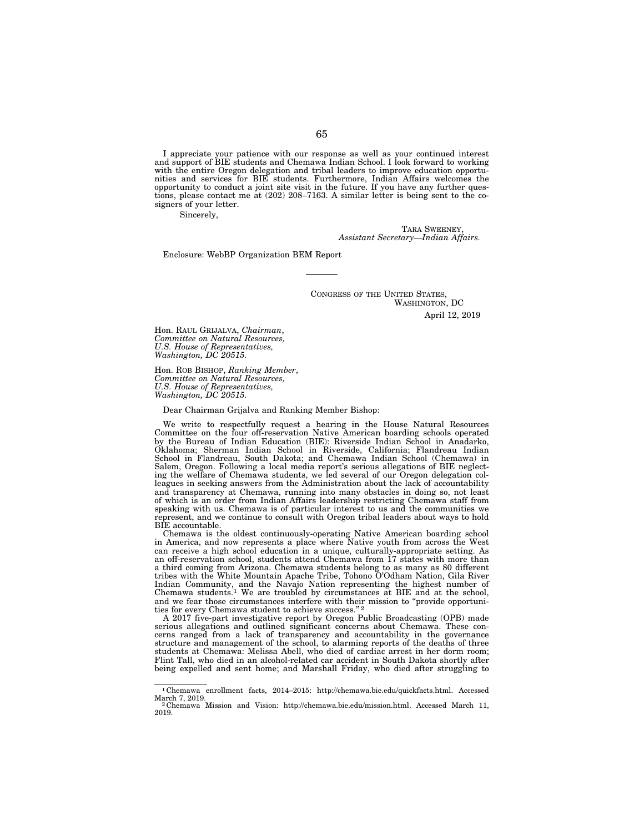I appreciate your patience with our response as well as your continued interest and support of BIE students and Chemawa Indian School. I look forward to working with the entire Oregon delegation and tribal leaders to improve education opportunities and services for BIE students. Furthermore, Indian Affairs welcomes the opportunity to conduct a joint site visit in the future. If you have any further questions, please contact me at (202) 208–7163. A similar letter is being sent to the cosigners of your letter.

Sincerely,

TARA SWEENEY, *Assistant Secretary—Indian Affairs.* 

Enclosure: WebBP Organization BEM Report

CONGRESS OF THE UNITED STATES, WASHINGTON, DC

April 12, 2019

Hon. RAUL GRIJALVA, *Chairman*, *Committee on Natural Resources, U.S. House of Representatives, Washington, DC 20515.* 

Hon. ROB BISHOP, *Ranking Member*, *Committee on Natural Resources, U.S. House of Representatives, Washington, DC 20515.* 

Dear Chairman Grijalva and Ranking Member Bishop:

We write to respectfully request a hearing in the House Natural Resources Committee on the four off-reservation Native American boarding schools operated by the Bureau of Indian Education (BIE): Riverside Indian School in Anadarko, Oklahoma; Sherman Indian School in Riverside, California; Flandreau Indian School in Flandreau, South Dakota; and Chemawa Indian School (Chemawa) in Salem, Oregon. Following a local media report's serious allegations of BIE neglecting the welfare of Chemawa students, we led several of our Oregon delegation colleagues in seeking answers from the Administration about the lack of accountability and transparency at Chemawa, running into many obstacles in doing so, not least of which is an order from Indian Affairs leadership restricting Chemawa staff from speaking with us. Chemawa is of particular interest to us and the communities we represent, and we continue to consult with Oregon tribal leaders about ways to hold BIE accountable.

Chemawa is the oldest continuously-operating Native American boarding school in America, and now represents a place where Native youth from across the West can receive a high school education in a unique, culturally-appropriate setting. As an off-reservation school, students attend Chemawa from 17 states with more than a third coming from Arizona. Chemawa students belong to as many as 80 different tribes with the White Mountain Apache Tribe, Tohono O'Odham Nation, Gila River Indian Community, and the Navajo Nation representing the highest number of Chemawa students.1 We are troubled by circumstances at BIE and at the school, and we fear those circumstances interfere with their mission to "provide opportunities for every Chemawa student to achieve success."<sup>2</sup>

A 2017 five-part investigative report by Oregon Public Broadcasting (OPB) made serious allegations and outlined significant concerns about Chemawa. These concerns ranged from a lack of transparency and accountability in the governance structure and management of the school, to alarming reports of the deaths of three students at Chemawa: Melissa Abell, who died of cardiac arrest in her dorm room; Flint Tall, who died in an alcohol-related car accident in South Dakota shortly after being expelled and sent home; and Marshall Friday, who died after struggling to

 $1$  Chemawa enrollment facts, 2014–2015: http://chemawa.bie.edu/quickfacts.html. Accessed March 7, 2019.

<sup>&</sup>lt;sup>2</sup> Chemawa Mission and Vision: http://chemawa.bie.edu/mission.html. Accessed March 11, 2019.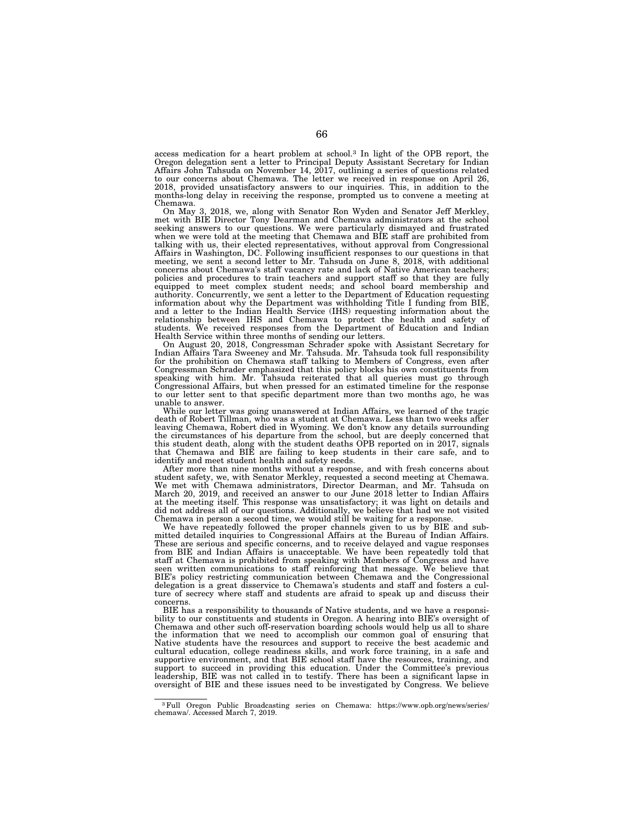access medication for a heart problem at school.3 In light of the OPB report, the Oregon delegation sent a letter to Principal Deputy Assistant Secretary for Indian Affairs John Tahsuda on November 14, 2017, outlining a series of questions related to our concerns about Chemawa. The letter we received in response on April 26, 2018, provided unsatisfactory answers to our inquiries. This, in addition to the months-long delay in receiving the response, prompted us to convene a meeting at Chemawa.

On May 3, 2018, we, along with Senator Ron Wyden and Senator Jeff Merkley, met with BIE Director Tony Dearman and Chemawa administrators at the school seeking answers to our questions. We were particularly dismayed and frustrated when we were told at the meeting that Chemawa and BIE staff are prohibited from talking with us, their elected representatives, without approval from Congressional Affairs in Washington, DC. Following insufficient responses to our questions in that meeting, we sent a second letter to Mr. Tahsuda on June 8, 2018, with additional concerns about Chemawa's staff vacancy rate and lack of Native American teachers; policies and procedures to train teachers and support staff so that they are fully equipped to meet complex student needs; and school board membership and authority. Concurrently, we sent a letter to the Department of Education requesting information about why the Department was withholding Title I funding from BIE, and a letter to the Indian Health Service (IHS) requesting information about the relationship between IHS and Chemawa to protect the health and safety of students. We received responses from the Department of Education and Indian Health Service within three months of sending our letters.

On August 20, 2018, Congressman Schrader spoke with Assistant Secretary for Indian Affairs Tara Sweeney and Mr. Tahsuda. Mr. Tahsuda took full responsibility for the prohibition on Chemawa staff talking to Members of Congress, even after Congressman Schrader emphasized that this policy blocks his own constituents from speaking with him. Mr. Tahsuda reiterated that all queries must go through Congressional Affairs, but when pressed for an estimated timeline for the response to our letter sent to that specific department more than two months ago, he was unable to answer.

While our letter was going unanswered at Indian Affairs, we learned of the tragic death of Robert Tillman, who was a student at Chemawa. Less than two weeks after leaving Chemawa, Robert died in Wyoming. We don't know any details surrounding the circumstances of his departure from the school, but are deeply concerned that this student death, along with the student deaths OPB reported on in 2017, signals that Chemawa and BIE are failing to keep students in their care safe, and to identify and meet student health and safety needs.

After more than nine months without a response, and with fresh concerns about student safety, we, with Senator Merkley, requested a second meeting at Chemawa. We met with Chemawa administrators, Director Dearman, and Mr. Tahsuda on March 20, 2019, and received an answer to our June 2018 letter to Indian Affairs at the meeting itself. This response was unsatisfactory; it was light on details and did not address all of our questions. Additionally, we believe that had we not visited Chemawa in person a second time, we would still be waiting for a response.

We have repeatedly followed the proper channels given to us by BIE and sub-mitted detailed inquiries to Congressional Affairs at the Bureau of Indian Affairs. These are serious and specific concerns, and to receive delayed and vague responses from BIE and Indian Affairs is unacceptable. We have been repeatedly told that staff at Chemawa is prohibited from speaking with Members of Congress and have seen written communications to staff reinforcing that message. We believe that BIE's policy restricting communication between Chemawa and the Congressional delegation is a great disservice to Chemawa's students and staff and fosters a culture of secrecy where staff and students are afraid to speak up and discuss their

BIE has a responsibility to thousands of Native students, and we have a responsibility to our constituents and students in Oregon. A hearing into BIE's oversight of Chemawa and other such off-reservation boarding schools would help us all to share the information that we need to accomplish our common goal of ensuring that Native students have the resources and support to receive the best academic and cultural education, college readiness skills, and work force training, in a safe and supportive environment, and that BIE school staff have the resources, training, and support to succeed in providing this education. Under the Committee's previous leadership, BIE was not called in to testify. There has been a significant lapse in oversight of BIE and these issues need to be investigated by Congress. We believe

<sup>3</sup>Full Oregon Public Broadcasting series on Chemawa: https://www.opb.org/news/series/ chemawa/. Accessed March 7, 2019.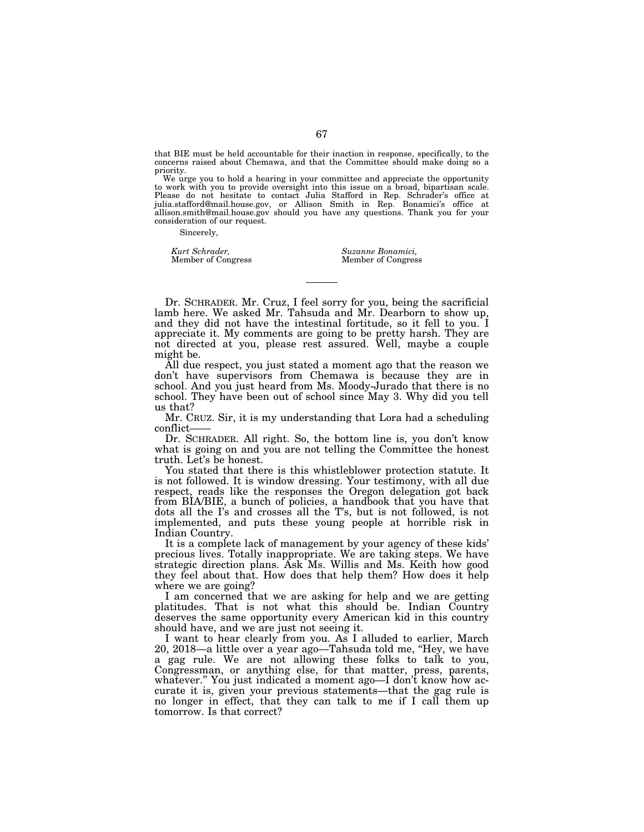that BIE must be held accountable for their inaction in response, specifically, to the concerns raised about Chemawa, and that the Committee should make doing so a priority.

We urge you to hold a hearing in your committee and appreciate the opportunity to work with you to provide oversight into this issue on a broad, bipartisan scale. Please do not hesitate to contact Julia Stafford in Rep. Schrader's office at julia.stafford@mail.house.gov, or Allison Smith in Rep. Bonamici's office at allison.smith@mail.house.gov should you have any questions. Thank you for your consideration of our request.

Sincerely,

*Kurt Schrader, Suzanne Bonamici,* 

Member of Congress

Dr. SCHRADER. Mr. Cruz, I feel sorry for you, being the sacrificial lamb here. We asked Mr. Tahsuda and Mr. Dearborn to show up, and they did not have the intestinal fortitude, so it fell to you. I appreciate it. My comments are going to be pretty harsh. They are not directed at you, please rest assured. Well, maybe a couple might be.

All due respect, you just stated a moment ago that the reason we don't have supervisors from Chemawa is because they are in school. And you just heard from Ms. Moody-Jurado that there is no school. They have been out of school since May 3. Why did you tell us that?

Mr. CRUZ. Sir, it is my understanding that Lora had a scheduling conflict——

Dr. SCHRADER. All right. So, the bottom line is, you don't know what is going on and you are not telling the Committee the honest truth. Let's be honest.

You stated that there is this whistleblower protection statute. It is not followed. It is window dressing. Your testimony, with all due respect, reads like the responses the Oregon delegation got back from BIA/BIE, a bunch of policies, a handbook that you have that dots all the I's and crosses all the T's, but is not followed, is not implemented, and puts these young people at horrible risk in Indian Country.

It is a complete lack of management by your agency of these kids' precious lives. Totally inappropriate. We are taking steps. We have strategic direction plans. Ask Ms. Willis and Ms. Keith how good they feel about that. How does that help them? How does it help where we are going?

I am concerned that we are asking for help and we are getting platitudes. That is not what this should be. Indian Country deserves the same opportunity every American kid in this country should have, and we are just not seeing it.

I want to hear clearly from you. As I alluded to earlier, March 20, 2018—a little over a year ago—Tahsuda told me, ''Hey, we have a gag rule. We are not allowing these folks to talk to you, Congressman, or anything else, for that matter, press, parents, whatever.'' You just indicated a moment ago—I don't know how accurate it is, given your previous statements—that the gag rule is no longer in effect, that they can talk to me if I call them up tomorrow. Is that correct?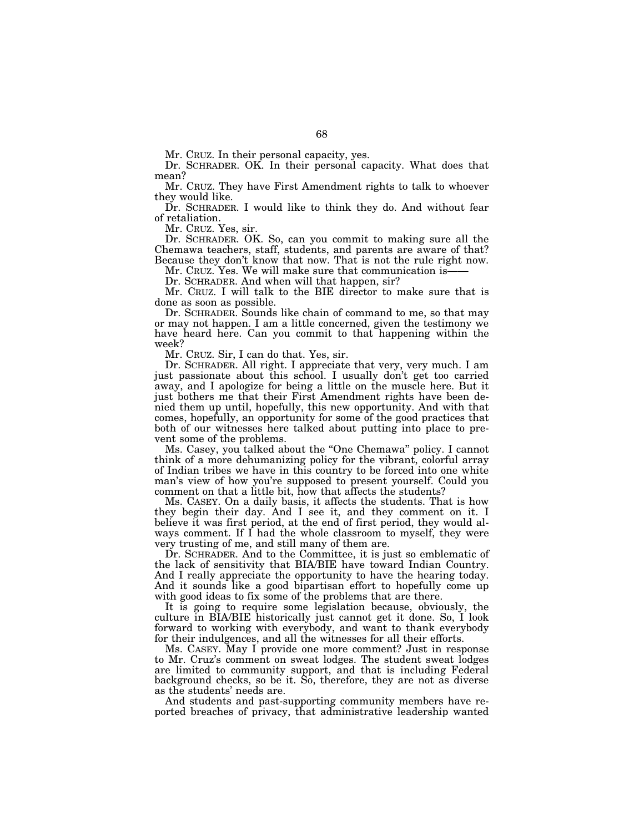Mr. CRUZ. In their personal capacity, yes.

Dr. SCHRADER. OK. In their personal capacity. What does that mean?

Mr. CRUZ. They have First Amendment rights to talk to whoever they would like.

Dr. SCHRADER. I would like to think they do. And without fear of retaliation.

Mr. CRUZ. Yes, sir.

Dr. SCHRADER. OK. So, can you commit to making sure all the Chemawa teachers, staff, students, and parents are aware of that? Because they don't know that now. That is not the rule right now.

Mr. CRUZ. Yes. We will make sure that communication is-Dr. SCHRADER. And when will that happen, sir?

Mr. CRUZ. I will talk to the BIE director to make sure that is

done as soon as possible.

Dr. SCHRADER. Sounds like chain of command to me, so that may or may not happen. I am a little concerned, given the testimony we have heard here. Can you commit to that happening within the week?

Mr. CRUZ. Sir, I can do that. Yes, sir.

Dr. SCHRADER. All right. I appreciate that very, very much. I am just passionate about this school. I usually don't get too carried away, and I apologize for being a little on the muscle here. But it just bothers me that their First Amendment rights have been denied them up until, hopefully, this new opportunity. And with that comes, hopefully, an opportunity for some of the good practices that both of our witnesses here talked about putting into place to prevent some of the problems.

Ms. Casey, you talked about the ''One Chemawa'' policy. I cannot think of a more dehumanizing policy for the vibrant, colorful array of Indian tribes we have in this country to be forced into one white man's view of how you're supposed to present yourself. Could you comment on that a little bit, how that affects the students?

Ms. CASEY. On a daily basis, it affects the students. That is how they begin their day. And I see it, and they comment on it. I believe it was first period, at the end of first period, they would always comment. If I had the whole classroom to myself, they were very trusting of me, and still many of them are.

Dr. SCHRADER. And to the Committee, it is just so emblematic of the lack of sensitivity that BIA/BIE have toward Indian Country. And I really appreciate the opportunity to have the hearing today. And it sounds like a good bipartisan effort to hopefully come up with good ideas to fix some of the problems that are there.

It is going to require some legislation because, obviously, the culture in BIA/BIE historically just cannot get it done. So, I look forward to working with everybody, and want to thank everybody for their indulgences, and all the witnesses for all their efforts.

Ms. CASEY. May I provide one more comment? Just in response to Mr. Cruz's comment on sweat lodges. The student sweat lodges are limited to community support, and that is including Federal background checks, so be it. So, therefore, they are not as diverse as the students' needs are.

And students and past-supporting community members have reported breaches of privacy, that administrative leadership wanted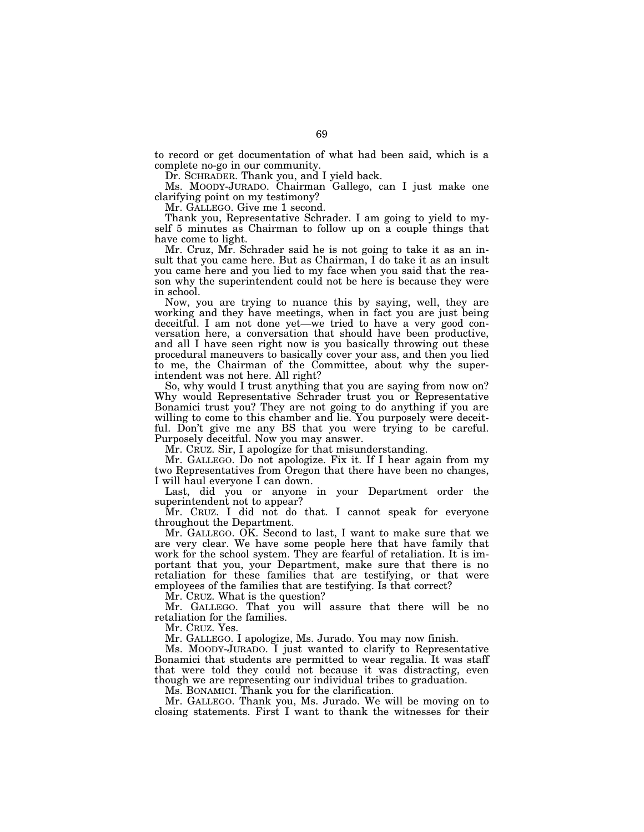to record or get documentation of what had been said, which is a complete no-go in our community.

Dr. SCHRADER. Thank you, and I yield back.

Ms. MOODY-JURADO. Chairman Gallego, can I just make one clarifying point on my testimony?

Mr. GALLEGO. Give me 1 second.

Thank you, Representative Schrader. I am going to yield to myself 5 minutes as Chairman to follow up on a couple things that have come to light.

Mr. Cruz, Mr. Schrader said he is not going to take it as an insult that you came here. But as Chairman, I do take it as an insult you came here and you lied to my face when you said that the reason why the superintendent could not be here is because they were in school.

Now, you are trying to nuance this by saying, well, they are working and they have meetings, when in fact you are just being deceitful. I am not done yet—we tried to have a very good conversation here, a conversation that should have been productive, and all I have seen right now is you basically throwing out these procedural maneuvers to basically cover your ass, and then you lied to me, the Chairman of the Committee, about why the superintendent was not here. All right?

So, why would I trust anything that you are saying from now on? Why would Representative Schrader trust you or Representative Bonamici trust you? They are not going to do anything if you are willing to come to this chamber and lie. You purposely were deceitful. Don't give me any BS that you were trying to be careful. Purposely deceitful. Now you may answer.

Mr. CRUZ. Sir, I apologize for that misunderstanding.

Mr. GALLEGO. Do not apologize. Fix it. If I hear again from my two Representatives from Oregon that there have been no changes, I will haul everyone I can down.

Last, did you or anyone in your Department order the superintendent not to appear?

Mr. CRUZ. I did not do that. I cannot speak for everyone throughout the Department.

Mr. GALLEGO. OK. Second to last, I want to make sure that we are very clear. We have some people here that have family that work for the school system. They are fearful of retaliation. It is important that you, your Department, make sure that there is no retaliation for these families that are testifying, or that were employees of the families that are testifying. Is that correct?

Mr. CRUZ. What is the question?

Mr. GALLEGO. That you will assure that there will be no retaliation for the families.

Mr. CRUZ. Yes.

Mr. GALLEGO. I apologize, Ms. Jurado. You may now finish.

Ms. MOODY-JURADO. I just wanted to clarify to Representative Bonamici that students are permitted to wear regalia. It was staff that were told they could not because it was distracting, even though we are representing our individual tribes to graduation.

Ms. BONAMICI. Thank you for the clarification.

Mr. GALLEGO. Thank you, Ms. Jurado. We will be moving on to closing statements. First I want to thank the witnesses for their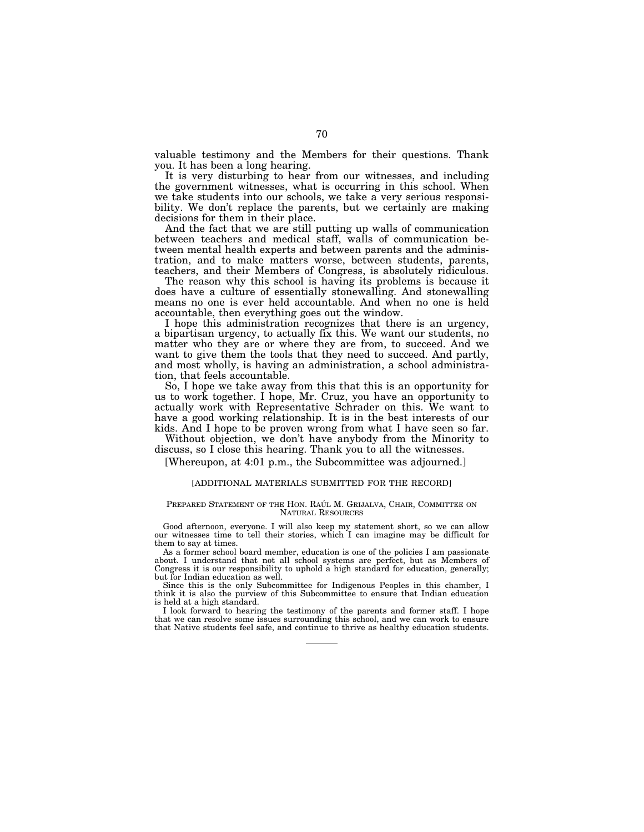valuable testimony and the Members for their questions. Thank you. It has been a long hearing.

It is very disturbing to hear from our witnesses, and including the government witnesses, what is occurring in this school. When we take students into our schools, we take a very serious responsibility. We don't replace the parents, but we certainly are making decisions for them in their place.

And the fact that we are still putting up walls of communication between teachers and medical staff, walls of communication between mental health experts and between parents and the administration, and to make matters worse, between students, parents, teachers, and their Members of Congress, is absolutely ridiculous.

The reason why this school is having its problems is because it does have a culture of essentially stonewalling. And stonewalling means no one is ever held accountable. And when no one is held accountable, then everything goes out the window.

I hope this administration recognizes that there is an urgency, a bipartisan urgency, to actually fix this. We want our students, no matter who they are or where they are from, to succeed. And we want to give them the tools that they need to succeed. And partly, and most wholly, is having an administration, a school administration, that feels accountable.

So, I hope we take away from this that this is an opportunity for us to work together. I hope, Mr. Cruz, you have an opportunity to actually work with Representative Schrader on this. We want to have a good working relationship. It is in the best interests of our kids. And I hope to be proven wrong from what I have seen so far.

Without objection, we don't have anybody from the Minority to discuss, so I close this hearing. Thank you to all the witnesses.

[Whereupon, at 4:01 p.m., the Subcommittee was adjourned.]

#### [ADDITIONAL MATERIALS SUBMITTED FOR THE RECORD]

#### PREPARED STATEMENT OF THE HON. RAÚL M. GRIJALVA, CHAIR, COMMITTEE ON NATURAL RESOURCES

Good afternoon, everyone. I will also keep my statement short, so we can allow our witnesses time to tell their stories, which I can imagine may be difficult for them to say at times.

As a former school board member, education is one of the policies I am passionate about. I understand that not all school systems are perfect, but as Members of Congress it is our responsibility to uphold a high standard for education, generally; but for Indian education as well.

Since this is the only Subcommittee for Indigenous Peoples in this chamber, I think it is also the purview of this Subcommittee to ensure that Indian education is held at a high standard.

I look forward to hearing the testimony of the parents and former staff. I hope that we can resolve some issues surrounding this school, and we can work to ensure that Native students feel safe, and continue to thrive as healthy education students.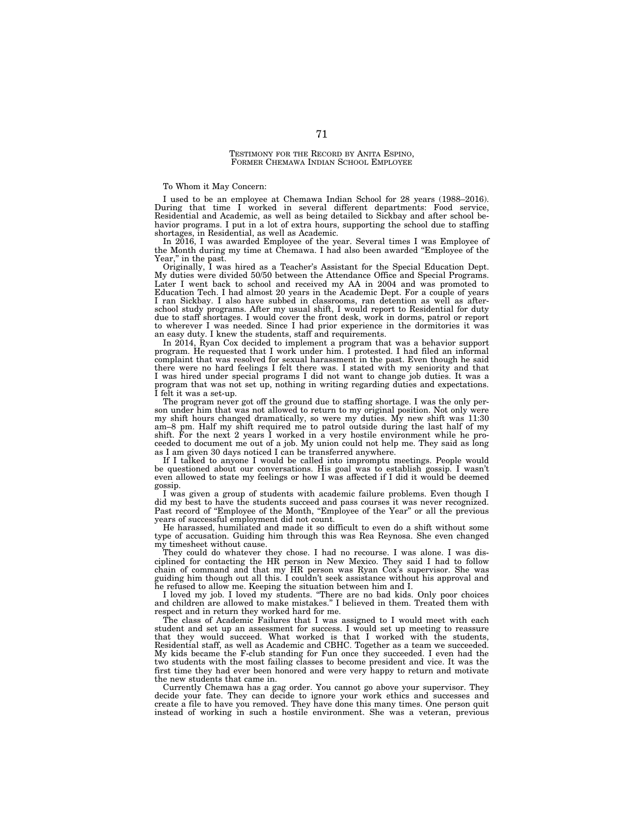#### TESTIMONY FOR THE RECORD BY ANITA ESPINO, FORMER CHEMAWA INDIAN SCHOOL EMPLOYEE

To Whom it May Concern:

I used to be an employee at Chemawa Indian School for 28 years (1988–2016). During that time I worked in several different departments: Food service, Residential and Academic, as well as being detailed to Sickbay and after school behavior programs. I put in a lot of extra hours, supporting the school due to staffing shortages, in Residential, as well as Academic.

In 2016, I was awarded Employee of the year. Several times I was Employee of the Month during my time at Chemawa. I had also been awarded ''Employee of the Year," in the past.

Originally, I was hired as a Teacher's Assistant for the Special Education Dept. My duties were divided 50/50 between the Attendance Office and Special Programs. Later I went back to school and received my AA in 2004 and was promoted to Education Tech. I had almost 20 years in the Academic Dept. For a couple of years I ran Sickbay. I also have subbed in classrooms, ran detention as well as afterschool study programs. After my usual shift, I would report to Residential for duty due to staff shortages. I would cover the front desk, work in dorms, patrol or report to wherever I was needed. Since I had prior experience in the dormitories it was an easy duty. I knew the students, staff and requirements.

In 2014, Ryan Cox decided to implement a program that was a behavior support program. He requested that I work under him. I protested. I had filed an informal complaint that was resolved for sexual harassment in the past. Even though he said there were no hard feelings I felt there was. I stated with my seniority and that I was hired under special programs I did not want to change job duties. It was a program that was not set up, nothing in writing regarding duties and expectations. I felt it was a set-up.

The program never got off the ground due to staffing shortage. I was the only person under him that was not allowed to return to my original position. Not only were my shift hours changed dramatically, so were my duties. My new shift was 11:30 am–8 pm. Half my shift required me to patrol outside during the last half of my shift. For the next 2 years I worked in a very hostile environment while he proceeded to document me out of a job. My union could not help me. They said as long as I am given 30 days noticed I can be transferred anywhere.

If I talked to anyone I would be called into impromptu meetings. People would be questioned about our conversations. His goal was to establish gossip. I wasn't even allowed to state my feelings or how I was affected if I did it would be deemed gossip.

I was given a group of students with academic failure problems. Even though I did my best to have the students succeed and pass courses it was never recognized. Past record of "Employee of the Month, "Employee of the Year" or all the previous years of successful employment did not count.

He harassed, humiliated and made it so difficult to even do a shift without some type of accusation. Guiding him through this was Rea Reynosa. She even changed my timesheet without cause.

They could do whatever they chose. I had no recourse. I was alone. I was disciplined for contacting the HR person in New Mexico. They said I had to follow chain of command and that my HR person was Ryan Cox's supervisor. She was guiding him though out all this. I couldn't seek assistance without his approval and he refused to allow me. Keeping the situation between him and I.

I loved my job. I loved my students. ''There are no bad kids. Only poor choices and children are allowed to make mistakes.'' I believed in them. Treated them with respect and in return they worked hard for me.

The class of Academic Failures that I was assigned to I would meet with each student and set up an assessment for success. I would set up meeting to reassure that they would succeed. What worked is that I worked with the students, Residential staff, as well as Academic and CBHC. Together as a team we succeeded. My kids became the F-club standing for Fun once they succeeded. I even had the two students with the most failing classes to become president and vice. It was the first time they had ever been honored and were very happy to return and motivate the new students that came in.

Currently Chemawa has a gag order. You cannot go above your supervisor. They decide your fate. They can decide to ignore your work ethics and successes and create a file to have you removed. They have done this many times. One person quit instead of working in such a hostile environment. She was a veteran, previous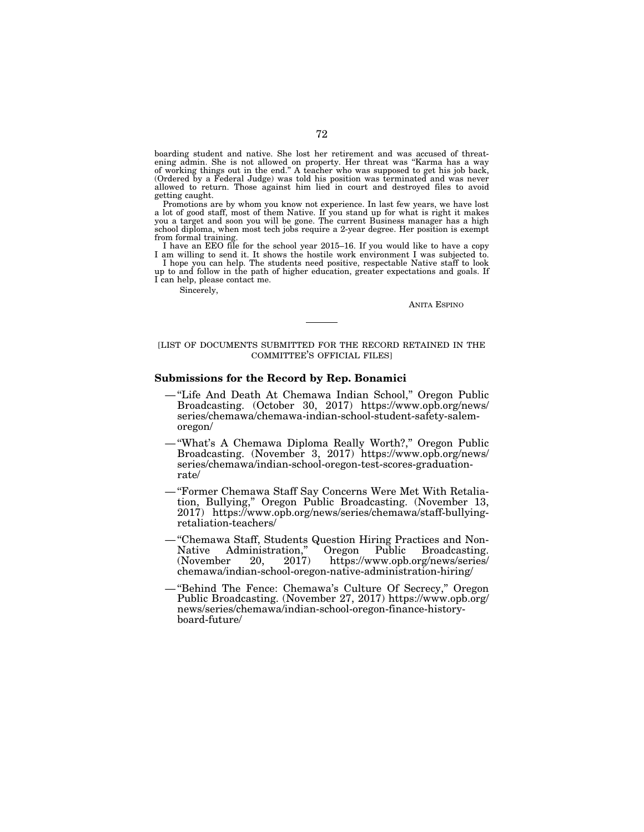boarding student and native. She lost her retirement and was accused of threatening admin. She is not allowed on property. Her threat was ''Karma has a way of working things out in the end.'' A teacher who was supposed to get his job back, (Ordered by a Federal Judge) was told his position was terminated and was never allowed to return. Those against him lied in court and destroyed files to avoid getting caught.

Promotions are by whom you know not experience. In last few years, we have lost a lot of good staff, most of them Native. If you stand up for what is right it makes you a target and soon you will be gone. The current Business manager has a high school diploma, when most tech jobs require a 2-year degree. Her position is exempt from formal training.

I have an EEO file for the school year 2015–16. If you would like to have a copy I am willing to send it. It shows the hostile work environment I was subjected to.

I hope you can help. The students need positive, respectable Native staff to look up to and follow in the path of higher education, greater expectations and goals. If I can help, please contact me.

Sincerely,

ANITA ESPINO

# [LIST OF DOCUMENTS SUBMITTED FOR THE RECORD RETAINED IN THE COMMITTEE'S OFFICIAL FILES]

### **Submissions for the Record by Rep. Bonamici**

- ''Life And Death At Chemawa Indian School,'' Oregon Public Broadcasting. (October 30, 2017) https://www.opb.org/news/ series/chemawa/chemawa-indian-school-student-safety-salemoregon/
- ''What's A Chemawa Diploma Really Worth?,'' Oregon Public Broadcasting. (November 3, 2017) https://www.opb.org/news/ series/chemawa/indian-school-oregon-test-scores-graduationrate/
- ''Former Chemawa Staff Say Concerns Were Met With Retaliation, Bullying,'' Oregon Public Broadcasting. (November 13, 2017) https://www.opb.org/news/series/chemawa/staff-bullyingretaliation-teachers/
- ''Chemawa Staff, Students Question Hiring Practices and Non-Native Administration," Oregon Public Broadcasting.<br>(November 20, 2017) https://www.opb.org/news/series/ https://www.opb.org/news/series/ chemawa/indian-school-oregon-native-administration-hiring/
- ''Behind The Fence: Chemawa's Culture Of Secrecy,'' Oregon Public Broadcasting. (November 27, 2017) https://www.opb.org/ news/series/chemawa/indian-school-oregon-finance-historyboard-future/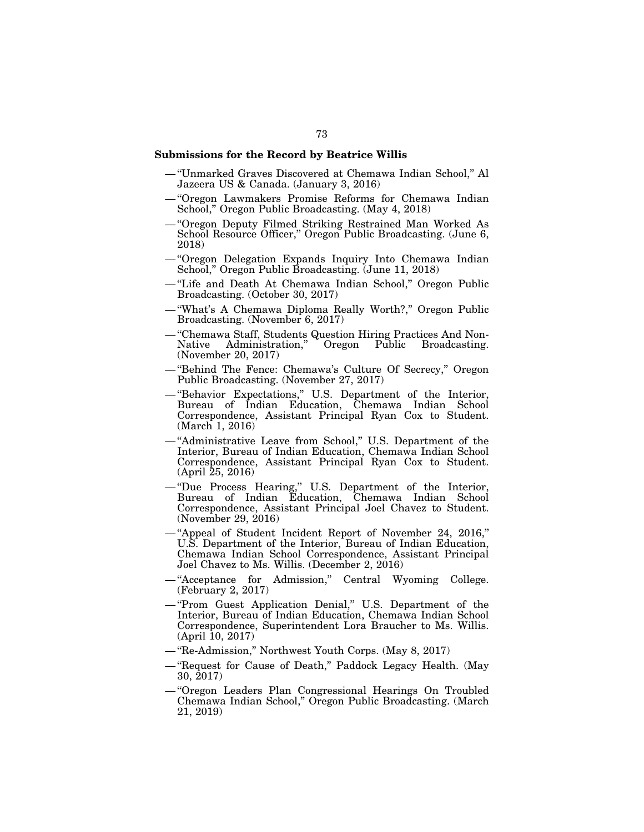# **Submissions for the Record by Beatrice Willis**

- ''Unmarked Graves Discovered at Chemawa Indian School,'' Al Jazeera US & Canada. (January 3, 2016)
- ''Oregon Lawmakers Promise Reforms for Chemawa Indian School,'' Oregon Public Broadcasting. (May 4, 2018)
- ''Oregon Deputy Filmed Striking Restrained Man Worked As School Resource Officer," Oregon Public Broadcasting. (June 6, 2018)
- ''Oregon Delegation Expands Inquiry Into Chemawa Indian School,'' Oregon Public Broadcasting. (June 11, 2018)
- ''Life and Death At Chemawa Indian School,'' Oregon Public Broadcasting. (October 30, 2017)
- ''What's A Chemawa Diploma Really Worth?,'' Oregon Public Broadcasting. (November 6, 2017)
- ''Chemawa Staff, Students Question Hiring Practices And Non-Oregon Public Broadcasting. (November 20, 2017)
- ''Behind The Fence: Chemawa's Culture Of Secrecy,'' Oregon Public Broadcasting. (November 27, 2017)
- ''Behavior Expectations,'' U.S. Department of the Interior, Bureau of Indian Education, Chemawa Indian School Correspondence, Assistant Principal Ryan Cox to Student. (March 1, 2016)
- ''Administrative Leave from School,'' U.S. Department of the Interior, Bureau of Indian Education, Chemawa Indian School Correspondence, Assistant Principal Ryan Cox to Student. (April 25, 2016)
- ''Due Process Hearing,'' U.S. Department of the Interior, Bureau of Indian Education, Chemawa Indian School Correspondence, Assistant Principal Joel Chavez to Student. (November 29, 2016)
- ''Appeal of Student Incident Report of November 24, 2016,'' U.S. Department of the Interior, Bureau of Indian Education, Chemawa Indian School Correspondence, Assistant Principal Joel Chavez to Ms. Willis. (December 2, 2016)
- "Acceptance for Admission," Central Wyoming College. (February 2, 2017)
- ''Prom Guest Application Denial,'' U.S. Department of the Interior, Bureau of Indian Education, Chemawa Indian School Correspondence, Superintendent Lora Braucher to Ms. Willis. (April 10, 2017)
- ''Re-Admission,'' Northwest Youth Corps. (May 8, 2017)
- ''Request for Cause of Death,'' Paddock Legacy Health. (May 30, 2017)
- ''Oregon Leaders Plan Congressional Hearings On Troubled Chemawa Indian School,'' Oregon Public Broadcasting. (March 21, 2019)